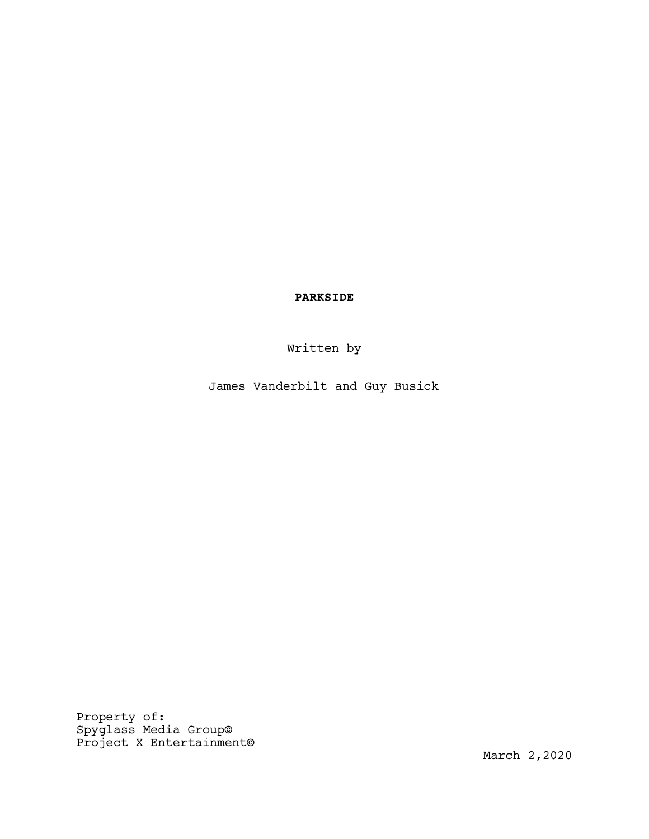PARKSIDE

Written by

James Vanderbilt and Guy Busick

Property of: Spyglass Media Group© Project X Entertainment©

March 2,2020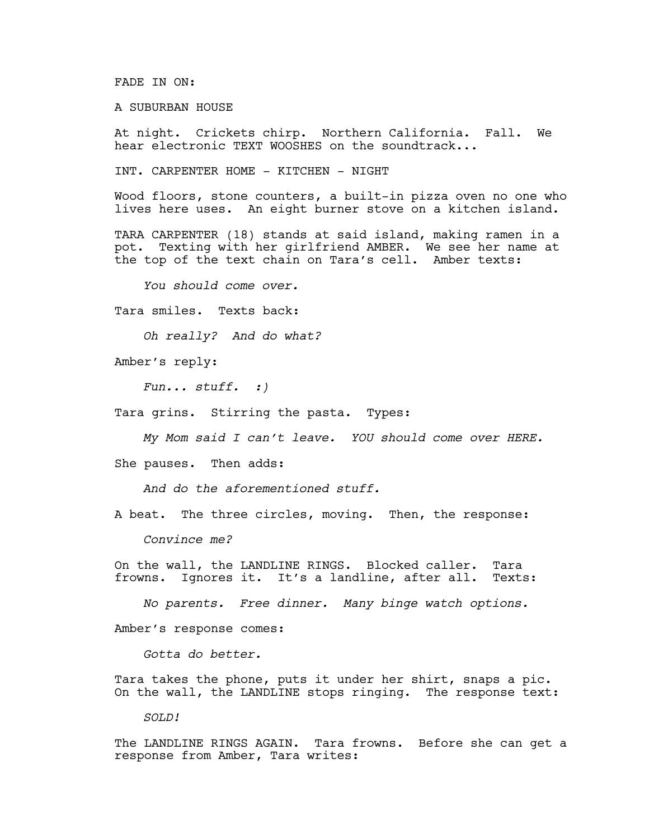FADE IN ON:

A SUBURBAN HOUSE

At night. Crickets chirp. Northern California. Fall. We hear electronic TEXT WOOSHES on the soundtrack...

INT. CARPENTER HOME - KITCHEN - NIGHT

Wood floors, stone counters, a built-in pizza oven no one who lives here uses. An eight burner stove on a kitchen island.

TARA CARPENTER (18) stands at said island, making ramen in a pot. Texting with her girlfriend AMBER. We see her name at the top of the text chain on Tara's cell. Amber texts:

*You should come over.*

Tara smiles. Texts back:

*Oh really? And do what?*

Amber's reply:

*Fun... stuff. :)*

Tara grins. Stirring the pasta. Types:

*My Mom said I can't leave. YOU should come over HERE.* 

She pauses. Then adds:

*And do the aforementioned stuff.*

A beat. The three circles, moving. Then, the response:

*Convince me?*

On the wall, the LANDLINE RINGS. Blocked caller. Tara frowns. Ignores it. It's a landline, after all. Texts:

*No parents. Free dinner. Many binge watch options.*

Amber's response comes:

*Gotta do better.*

Tara takes the phone, puts it under her shirt, snaps a pic. On the wall, the LANDLINE stops ringing. The response text:

*SOLD!*

The LANDLINE RINGS AGAIN. Tara frowns. Before she can get a response from Amber, Tara writes: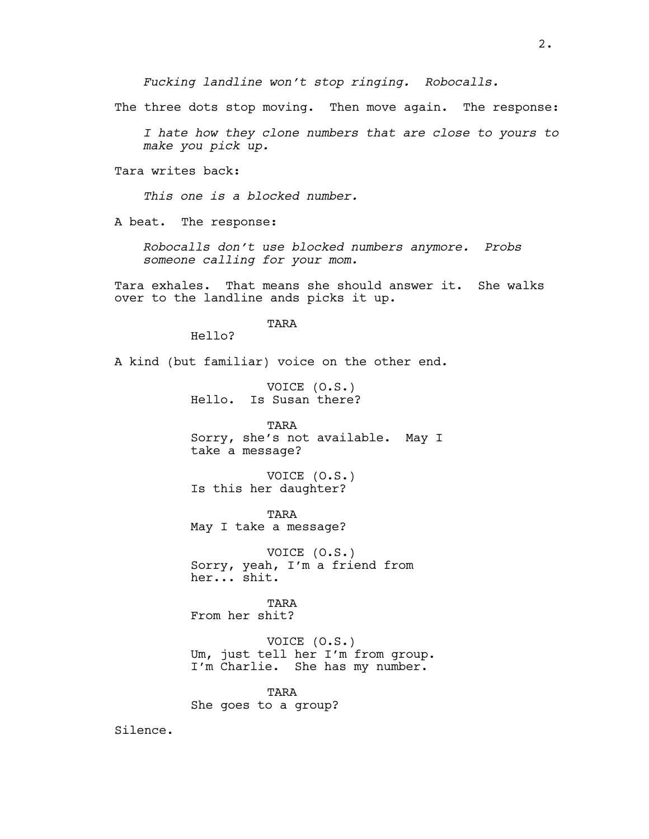*Fucking landline won't stop ringing. Robocalls.*

The three dots stop moving. Then move again. The response:

*I hate how they clone numbers that are close to yours to make you pick up.*

Tara writes back:

*This one is a blocked number.*

A beat. The response:

*Robocalls don't use blocked numbers anymore. Probs someone calling for your mom.*

Tara exhales. That means she should answer it. She walks over to the landline ands picks it up.

TARA

Hello?

A kind (but familiar) voice on the other end.

VOICE (O.S.) Hello. Is Susan there?

TARA Sorry, she's not available. May I take a message?

VOICE (O.S.) Is this her daughter?

TARA May I take a message?

VOICE (O.S.) Sorry, yeah, I'm a friend from her... shit.

TARA From her shit?

VOICE (O.S.) Um, just tell her I'm from group. I'm Charlie. She has my number.

TARA She goes to a group?

Silence.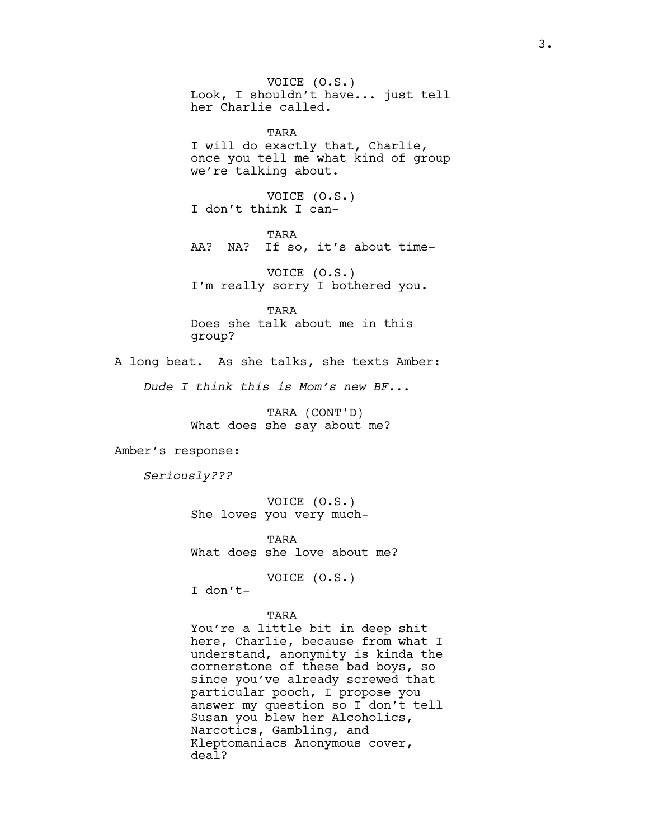VOICE (O.S.) Look, I shouldn't have... just tell her Charlie called.

TARA I will do exactly that, Charlie, once you tell me what kind of group we're talking about.

VOICE (O.S.) I don't think I can-

TARA AA? NA? If so, it's about time-

VOICE (O.S.) I'm really sorry I bothered you.

TARA Does she talk about me in this group?

A long beat. As she talks, she texts Amber:

*Dude I think this is Mom's new BF...*

TARA (CONT'D) What does she say about me?

Amber's response:

*Seriously???*

VOICE (O.S.) She loves you very much-

TARA What does she love about me?

VOICE (O.S.)

I don't-

TARA

You're a little bit in deep shit here, Charlie, because from what I understand, anonymity is kinda the cornerstone of these bad boys, so since you've already screwed that particular pooch, I propose you answer my question so I don't tell Susan you blew her Alcoholics, Narcotics, Gambling, and Kleptomaniacs Anonymous cover, deal?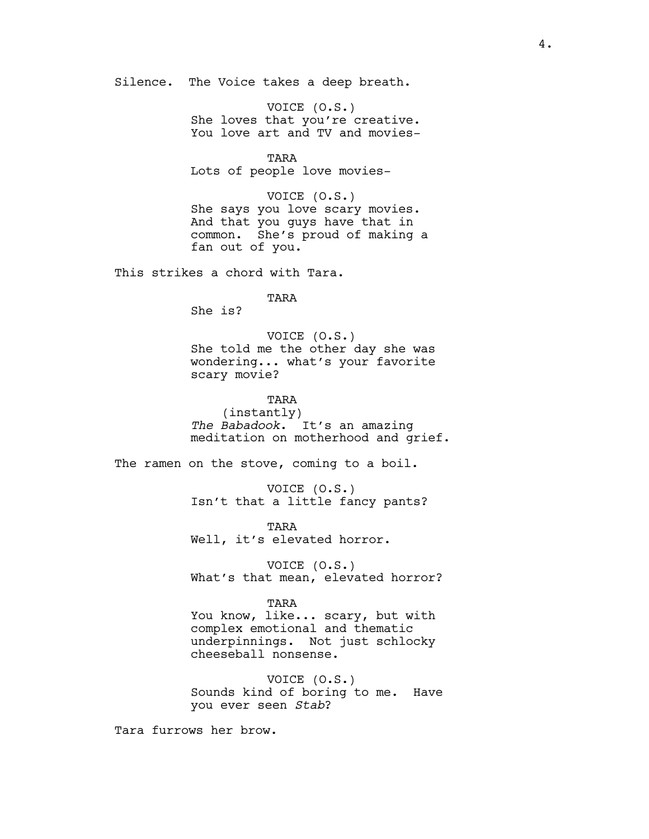Silence. The Voice takes a deep breath.

VOICE (O.S.) She loves that you're creative. You love art and TV and movies-

TARA Lots of people love movies-

VOICE (O.S.) She says you love scary movies. And that you guys have that in common. She's proud of making a fan out of you.

This strikes a chord with Tara.

TARA

She is?

VOICE (O.S.) She told me the other day she was wondering... what's your favorite scary movie?

TARA

(instantly) *The Babadook*. It's an amazing meditation on motherhood and grief.

The ramen on the stove, coming to a boil.

VOICE (O.S.) Isn't that a little fancy pants?

TARA Well, it's elevated horror.

VOICE (O.S.) What's that mean, elevated horror?

TARA

You know, like... scary, but with complex emotional and thematic underpinnings. Not just schlocky cheeseball nonsense.

VOICE (O.S.) Sounds kind of boring to me. Have you ever seen *Stab*?

Tara furrows her brow.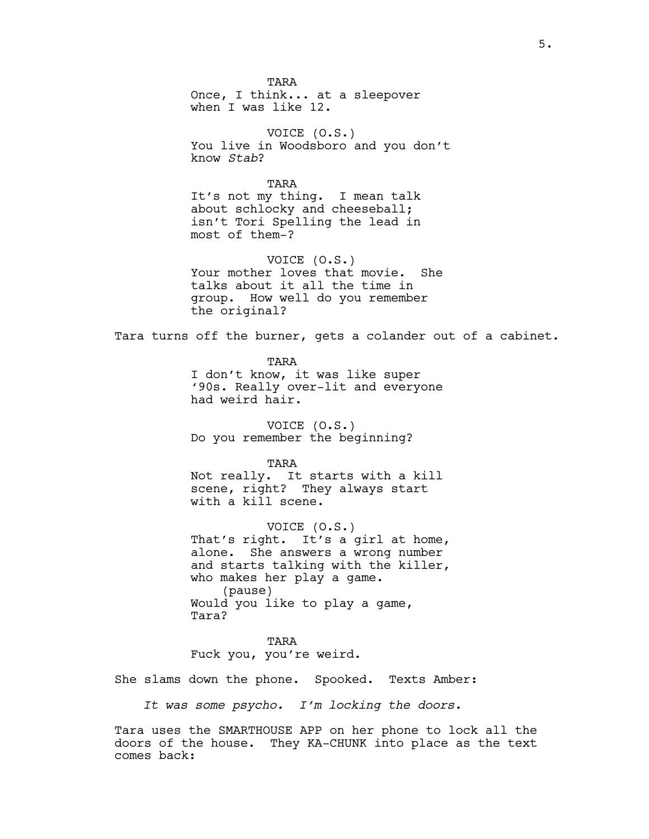TARA Once, I think... at a sleepover when I was like 12.

VOICE (O.S.) You live in Woodsboro and you don't know *Stab*?

TARA It's not my thing. I mean talk about schlocky and cheeseball; isn't Tori Spelling the lead in most of them-?

VOICE (O.S.) Your mother loves that movie. She talks about it all the time in group. How well do you remember the original?

Tara turns off the burner, gets a colander out of a cabinet.

TARA I don't know, it was like super '90s. Really over-lit and everyone had weird hair.

VOICE (O.S.) Do you remember the beginning?

TARA Not really. It starts with a kill scene, right? They always start with a kill scene.

VOICE (O.S.) That's right. It's a girl at home, alone. She answers a wrong number and starts talking with the killer, who makes her play a game. (pause) Would you like to play a game, Tara?

TARA Fuck you, you're weird.

She slams down the phone. Spooked. Texts Amber:

*It was some psycho. I'm locking the doors.*

Tara uses the SMARTHOUSE APP on her phone to lock all the doors of the house. They KA-CHUNK into place as the text comes back: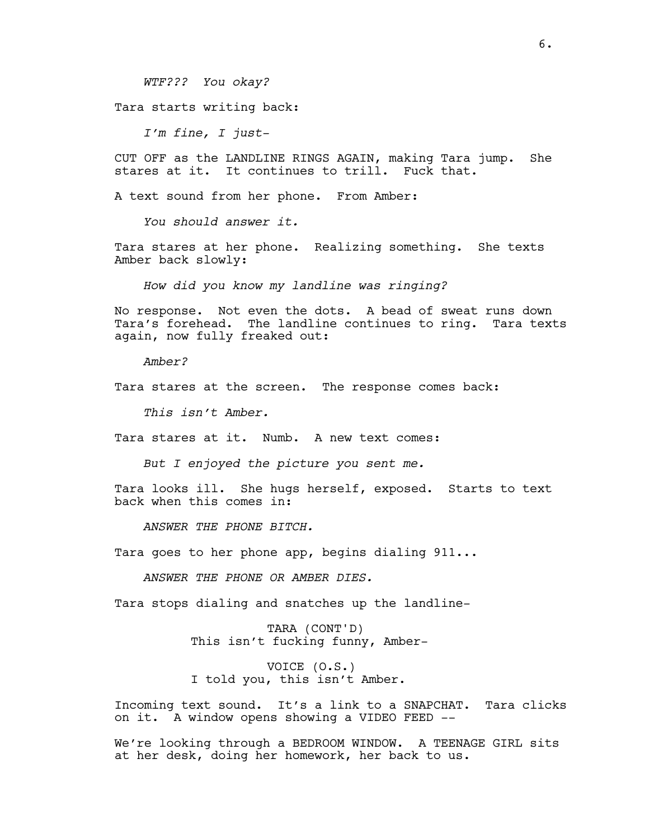*WTF??? You okay?*

Tara starts writing back:

*I'm fine, I just-*

CUT OFF as the LANDLINE RINGS AGAIN, making Tara jump. She stares at it. It continues to trill. Fuck that.

A text sound from her phone. From Amber:

*You should answer it.*

Tara stares at her phone. Realizing something. She texts Amber back slowly:

*How did you know my landline was ringing?*

No response. Not even the dots. A bead of sweat runs down Tara's forehead. The landline continues to ring. Tara texts again, now fully freaked out:

*Amber?*

Tara stares at the screen. The response comes back:

*This isn't Amber.*

Tara stares at it. Numb. A new text comes:

*But I enjoyed the picture you sent me.*

Tara looks ill. She hugs herself, exposed. Starts to text back when this comes in:

*ANSWER THE PHONE BITCH.*

Tara goes to her phone app, begins dialing 911...

*ANSWER THE PHONE OR AMBER DIES.* 

Tara stops dialing and snatches up the landline-

TARA (CONT'D) This isn't fucking funny, Amber-

VOICE (O.S.) I told you, this isn't Amber.

Incoming text sound. It's a link to a SNAPCHAT. Tara clicks on it. A window opens showing a VIDEO FEED --

We're looking through a BEDROOM WINDOW. A TEENAGE GIRL sits at her desk, doing her homework, her back to us.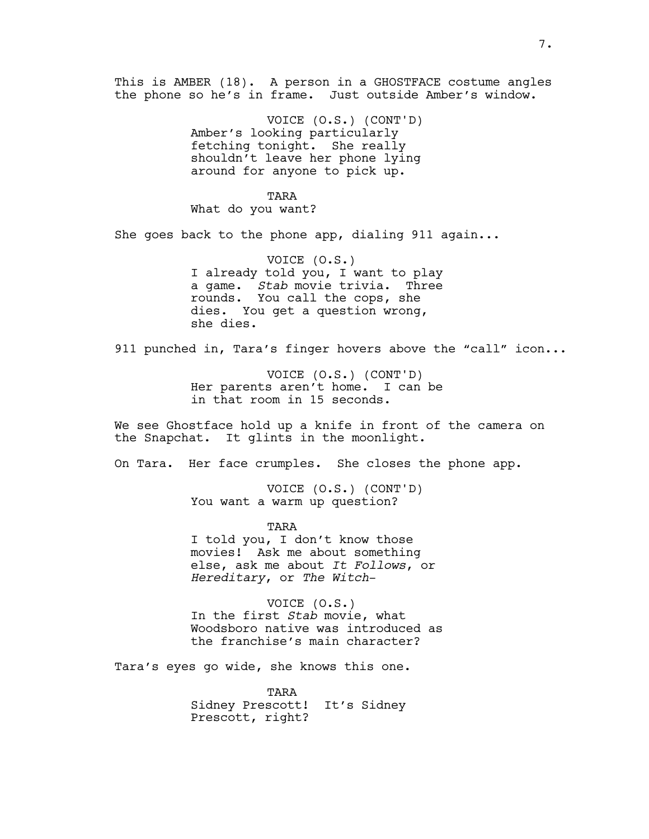This is AMBER (18). A person in a GHOSTFACE costume angles the phone so he's in frame. Just outside Amber's window.

> VOICE (O.S.) (CONT'D) Amber's looking particularly fetching tonight. She really shouldn't leave her phone lying around for anyone to pick up.

TARA What do you want?

She goes back to the phone app, dialing 911 again...

VOICE (O.S.) I already told you, I want to play a game. *Stab* movie trivia. Three rounds. You call the cops, she dies. You get a question wrong, she dies.

911 punched in, Tara's finger hovers above the "call" icon...

VOICE (O.S.) (CONT'D) Her parents aren't home. I can be in that room in 15 seconds.

We see Ghostface hold up a knife in front of the camera on the Snapchat. It glints in the moonlight.

On Tara. Her face crumples. She closes the phone app.

VOICE (O.S.) (CONT'D) You want a warm up question?

TARA I told you, I don't know those movies! Ask me about something else, ask me about *It Follows*, or *Hereditary*, or *The Witch*-

VOICE (O.S.) In the first *Stab* movie, what Woodsboro native was introduced as the franchise's main character?

Tara's eyes go wide, she knows this one.

TARA Sidney Prescott! It's Sidney Prescott, right?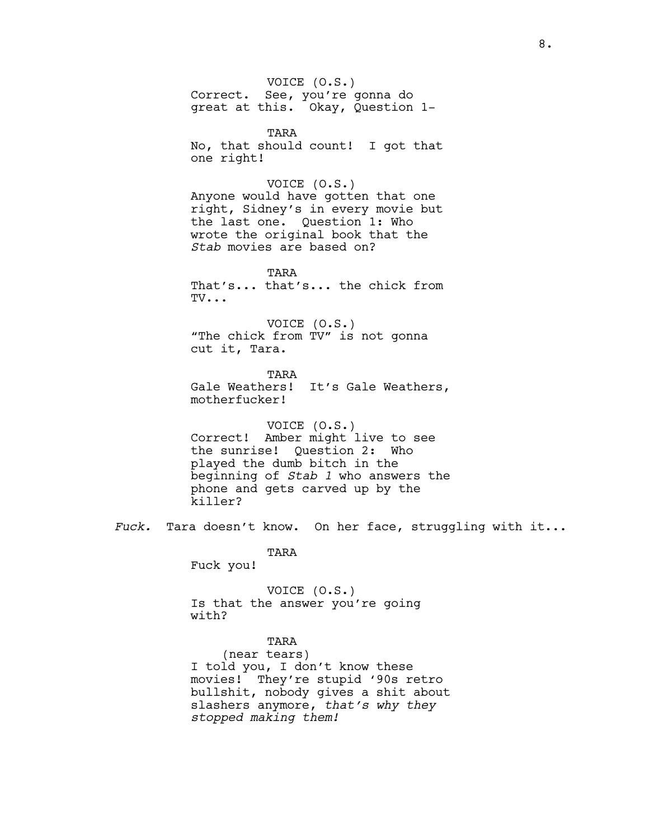VOICE (O.S.) Correct. See, you're gonna do great at this. Okay, Question 1-

TARA No, that should count! I got that one right!

## VOICE (O.S.)

Anyone would have gotten that one right, Sidney's in every movie but the last one. Question 1: Who wrote the original book that the *Stab* movies are based on?

TARA That's... that's... the chick from TV...

VOICE (O.S.) "The chick from TV" is not gonna cut it, Tara.

TARA Gale Weathers! It's Gale Weathers, motherfucker!

VOICE (O.S.) Correct! Amber might live to see the sunrise! Question 2: Who played the dumb bitch in the beginning of *Stab 1* who answers the phone and gets carved up by the killer?

*Fuck.* Tara doesn't know. On her face, struggling with it...

TARA

Fuck you!

VOICE (O.S.) Is that the answer you're going with?

# TARA

(near tears) I told you, I don't know these movies! They're stupid '90s retro bullshit, nobody gives a shit about slashers anymore, *that's why they stopped making them!*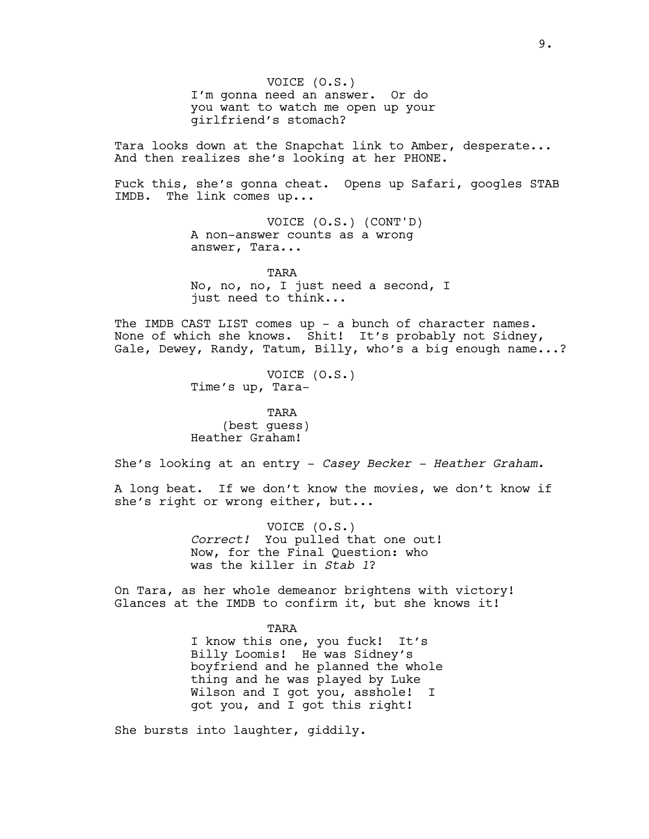VOICE (O.S.) I'm gonna need an answer. Or do you want to watch me open up your girlfriend's stomach?

Tara looks down at the Snapchat link to Amber, desperate... And then realizes she's looking at her PHONE.

Fuck this, she's gonna cheat. Opens up Safari, googles STAB IMDB. The link comes up...

> VOICE (O.S.) (CONT'D) A non-answer counts as a wrong answer, Tara...

TARA No, no, no, I just need a second, I just need to think...

The IMDB CAST LIST comes up - a bunch of character names. None of which she knows. Shit! It's probably not Sidney, Gale, Dewey, Randy, Tatum, Billy, who's a big enough name...?

> VOICE (O.S.) Time's up, Tara-

TARA (best guess) Heather Graham!

She's looking at an entry - *Casey Becker - Heather Graham.*

A long beat. If we don't know the movies, we don't know if she's right or wrong either, but...

> VOICE (O.S.) *Correct!* You pulled that one out! Now, for the Final Question: who was the killer in *Stab 1*?

On Tara, as her whole demeanor brightens with victory! Glances at the IMDB to confirm it, but she knows it!

> TARA I know this one, you fuck! It's Billy Loomis! He was Sidney's boyfriend and he planned the whole thing and he was played by Luke Wilson and I got you, asshole! I

got you, and I got this right!

She bursts into laughter, giddily.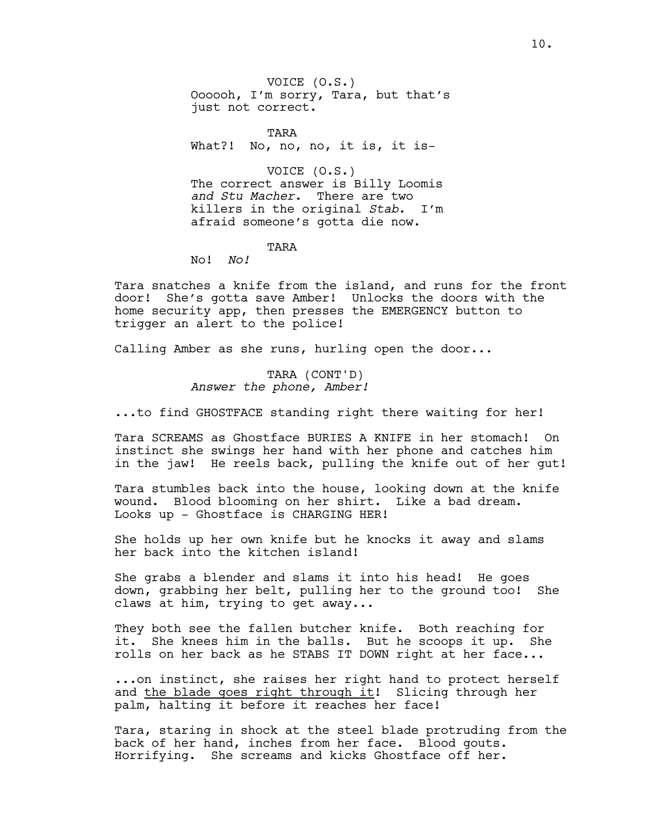VOICE (O.S.) Oooooh, I'm sorry, Tara, but that's just not correct.

TARA What?! No, no, no, it is, it is-

VOICE (O.S.) The correct answer is Billy Loomis *and Stu Macher*. There are two killers in the original *Stab*. I'm afraid someone's gotta die now.

TARA

No! *No!*

Tara snatches a knife from the island, and runs for the front door! She's gotta save Amber! Unlocks the doors with the home security app, then presses the EMERGENCY button to trigger an alert to the police!

Calling Amber as she runs, hurling open the door...

TARA (CONT'D) *Answer the phone, Amber!*

...to find GHOSTFACE standing right there waiting for her!

Tara SCREAMS as Ghostface BURIES A KNIFE in her stomach! On instinct she swings her hand with her phone and catches him in the jaw! He reels back, pulling the knife out of her gut!

Tara stumbles back into the house, looking down at the knife wound. Blood blooming on her shirt. Like a bad dream. Looks up - Ghostface is CHARGING HER!

She holds up her own knife but he knocks it away and slams her back into the kitchen island!

She grabs a blender and slams it into his head! He goes down, grabbing her belt, pulling her to the ground too! She claws at him, trying to get away...

They both see the fallen butcher knife. Both reaching for it. She knees him in the balls. But he scoops it up. She rolls on her back as he STABS IT DOWN right at her face...

...on instinct, she raises her right hand to protect herself and the blade goes right through it! Slicing through her palm, halting it before it reaches her face!

Tara, staring in shock at the steel blade protruding from the back of her hand, inches from her face. Blood gouts. Horrifying. She screams and kicks Ghostface off her.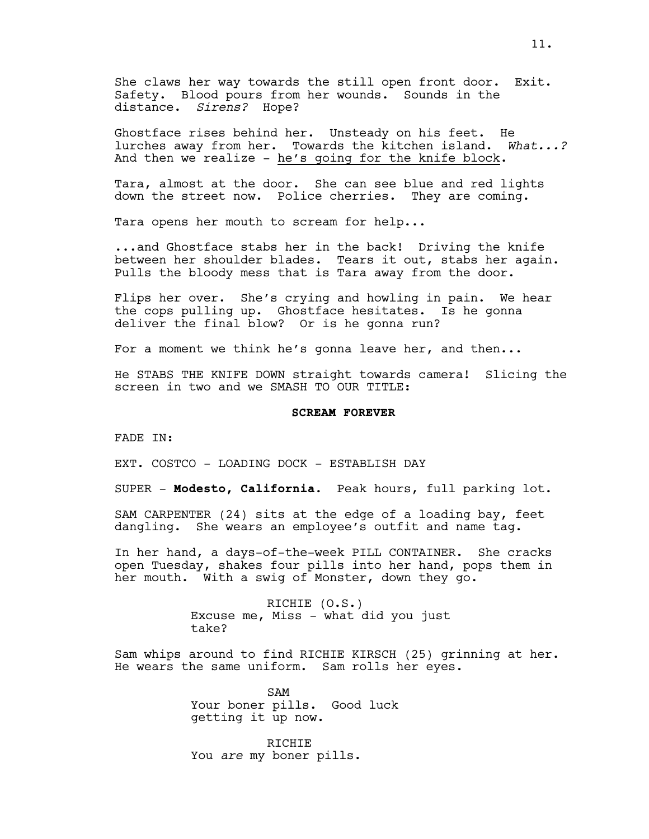Ghostface rises behind her. Unsteady on his feet. He lurches away from her. Towards the kitchen island. *What...?*  And then we realize -  $he's$  going for the knife block.

Tara, almost at the door. She can see blue and red lights down the street now. Police cherries. They are coming.

Tara opens her mouth to scream for help...

...and Ghostface stabs her in the back! Driving the knife between her shoulder blades. Tears it out, stabs her again. Pulls the bloody mess that is Tara away from the door.

Flips her over. She's crying and howling in pain. We hear the cops pulling up. Ghostface hesitates. Is he gonna deliver the final blow? Or is he gonna run?

For a moment we think he's gonna leave her, and then...

He STABS THE KNIFE DOWN straight towards camera! Slicing the screen in two and we SMASH TO OUR TITLE:

## **SCREAM FOREVER**

FADE IN:

EXT. COSTCO - LOADING DOCK - ESTABLISH DAY

SUPER - **Modesto, California.** Peak hours, full parking lot.

SAM CARPENTER (24) sits at the edge of a loading bay, feet dangling. She wears an employee's outfit and name tag.

In her hand, a days-of-the-week PILL CONTAINER. She cracks open Tuesday, shakes four pills into her hand, pops them in her mouth. With a swig of Monster, down they go.

> RICHIE (O.S.) Excuse me, Miss - what did you just take?

Sam whips around to find RICHIE KIRSCH (25) grinning at her. He wears the same uniform. Sam rolls her eyes.

> SAM Your boner pills. Good luck getting it up now.

RICHIE You *are* my boner pills.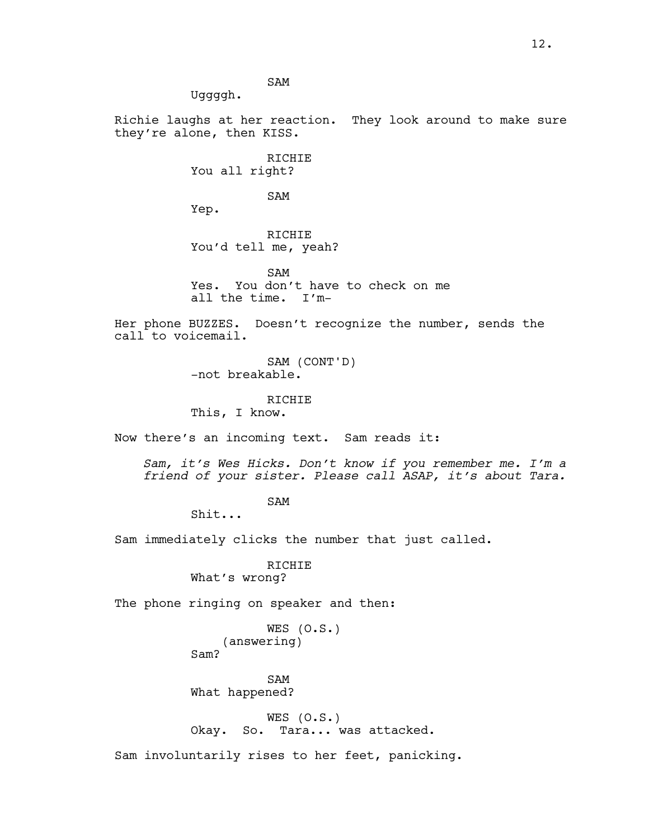SAM

Uggggh.

Richie laughs at her reaction. They look around to make sure they're alone, then KISS.

> RICHIE You all right?

> > SAM

Yep.

RICHIE You'd tell me, yeah?

SAM Yes. You don't have to check on me all the time. I'm-

Her phone BUZZES. Doesn't recognize the number, sends the call to voicemail.

> SAM (CONT'D) -not breakable.

> > RICHIE

This, I know.

Now there's an incoming text. Sam reads it:

*Sam, it's Wes Hicks. Don't know if you remember me. I'm a friend of your sister. Please call ASAP, it's about Tara.*

SAM

Shit...

Sam immediately clicks the number that just called.

RICHIE What's wrong?

The phone ringing on speaker and then:

```
WES (O.S.)
    (answering)
Sam?
```
SAM What happened?

WES  $(0.S.)$ Okay. So. Tara... was attacked.

Sam involuntarily rises to her feet, panicking.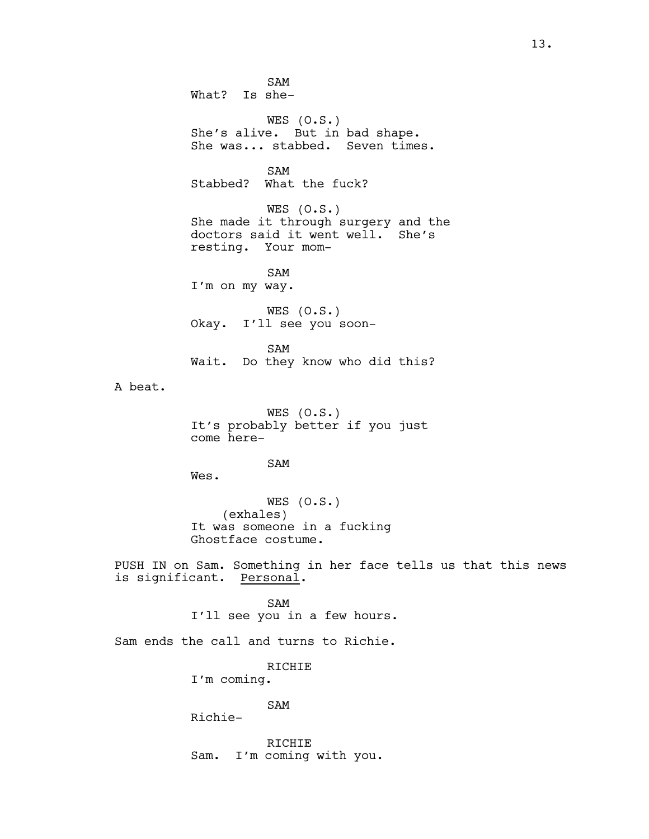SAM What? Is she-WES  $(0.5.)$ She's alive. But in bad shape. She was... stabbed. Seven times. SAM Stabbed? What the fuck? WES  $(0.S.)$ She made it through surgery and the doctors said it went well. She's resting. Your mom-SAM I'm on my way. WES  $(0.S.)$ Okay. I'll see you soon-SAM Wait. Do they know who did this? A beat. WES  $(0.S.)$ It's probably better if you just come here-SAM Wes. WES (O.S.) (exhales) It was someone in a fucking Ghostface costume. PUSH IN on Sam. Something in her face tells us that this news is significant. Personal. SAM I'll see you in a few hours. Sam ends the call and turns to Richie. RICHIE I'm coming. SAM Richie-RICHIE Sam. I'm coming with you.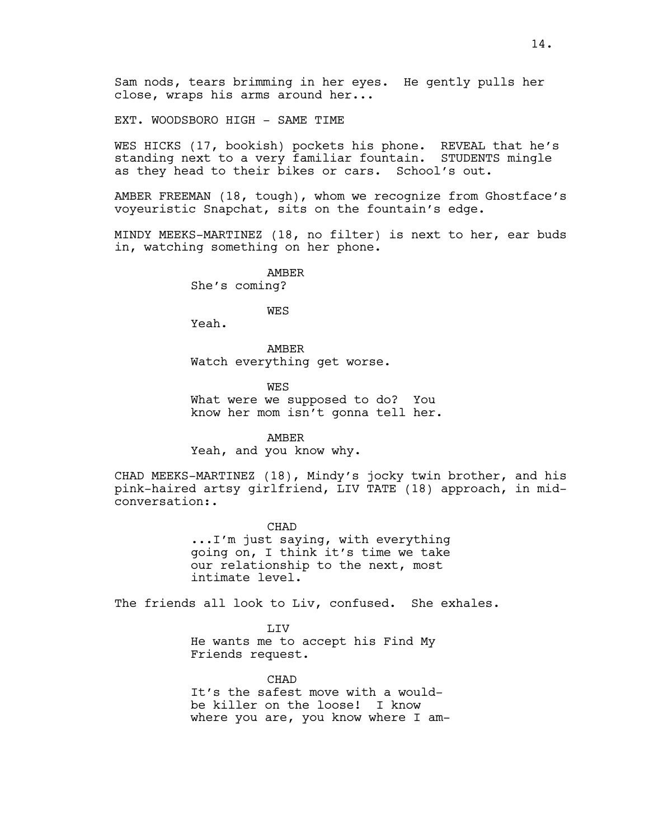Sam nods, tears brimming in her eyes. He gently pulls her close, wraps his arms around her...

EXT. WOODSBORO HIGH - SAME TIME

WES HICKS (17, bookish) pockets his phone. REVEAL that he's standing next to a very familiar fountain. STUDENTS mingle as they head to their bikes or cars. School's out.

AMBER FREEMAN (18, tough), whom we recognize from Ghostface's voyeuristic Snapchat, sits on the fountain's edge.

MINDY MEEKS-MARTINEZ (18, no filter) is next to her, ear buds in, watching something on her phone.

> AMBER She's coming?

> > WES

Yeah.

AMBER Watch everything get worse.

**WES** What were we supposed to do? You know her mom isn't gonna tell her.

AMBER Yeah, and you know why.

CHAD MEEKS-MARTINEZ (18), Mindy's jocky twin brother, and his pink-haired artsy girlfriend, LIV TATE (18) approach, in midconversation:.

> CHAD ...I'm just saying, with everything going on, I think it's time we take our relationship to the next, most intimate level.

The friends all look to Liv, confused. She exhales.

LIV He wants me to accept his Find My Friends request.

CHAD It's the safest move with a wouldbe killer on the loose! I know where you are, you know where I am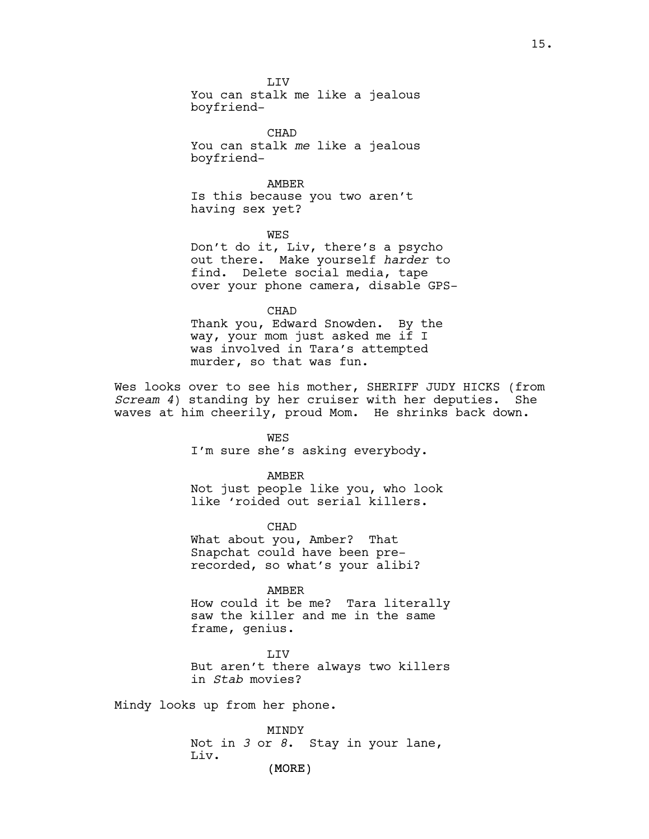**T.TV** 

You can stalk me like a jealous boyfriend-

CHAD You can stalk *me* like a jealous boyfriend-

AMBER Is this because you two aren't having sex yet?

WES Don't do it, Liv, there's a psycho out there. Make yourself *harder* to find. Delete social media, tape over your phone camera, disable GPS-

CHAD

Thank you, Edward Snowden. By the way, your mom just asked me if I was involved in Tara's attempted murder, so that was fun.

Wes looks over to see his mother, SHERIFF JUDY HICKS (from *Scream 4*) standing by her cruiser with her deputies. She waves at him cheerily, proud Mom. He shrinks back down.

> WES I'm sure she's asking everybody.

AMBER Not just people like you, who look like 'roided out serial killers.

CHAD What about you, Amber? That Snapchat could have been prerecorded, so what's your alibi?

AMBER How could it be me? Tara literally saw the killer and me in the same frame, genius.

LIV But aren't there always two killers in *Stab* movies?

Mindy looks up from her phone.

(MORE) MINDY Not in *3* or *8*. Stay in your lane, Liv.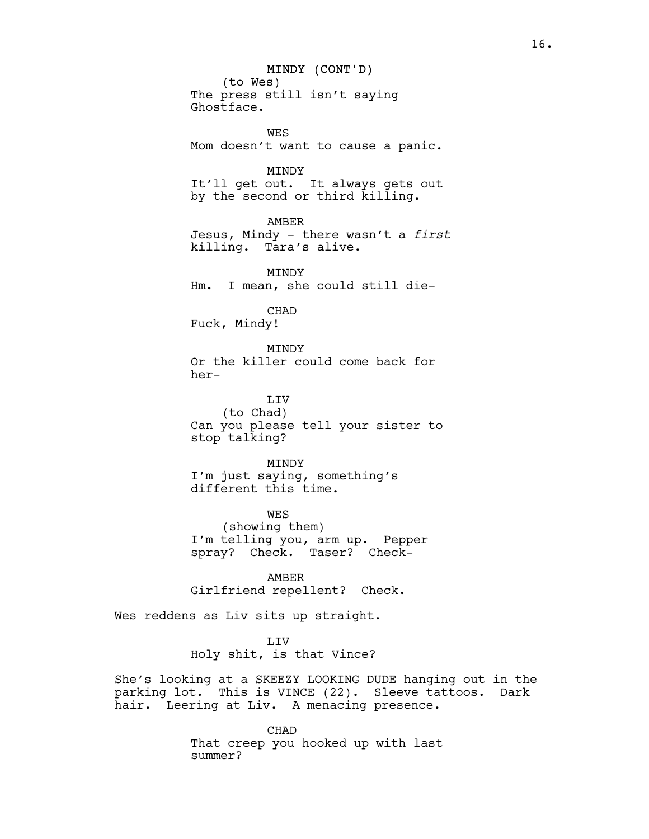## MINDY (CONT'D)

(to Wes) The press still isn't saying Ghostface.

WES Mom doesn't want to cause a panic.

MINDY It'll get out. It always gets out by the second or third killing.

AMBER Jesus, Mindy - there wasn't a *first* killing. Tara's alive.

MINDY Hm. I mean, she could still die-

CHAD

Fuck, Mindy!

MINDY Or the killer could come back for her-

LIV (to Chad) Can you please tell your sister to stop talking?

MINDY I'm just saying, something's different this time.

WES (showing them) I'm telling you, arm up. Pepper spray? Check. Taser? Check-

AMBER Girlfriend repellent? Check.

Wes reddens as Liv sits up straight.

LIV Holy shit, is that Vince?

She's looking at a SKEEZY LOOKING DUDE hanging out in the parking lot. This is VINCE (22). Sleeve tattoos. Dark hair. Leering at Liv. A menacing presence.

> CHAD That creep you hooked up with last summer?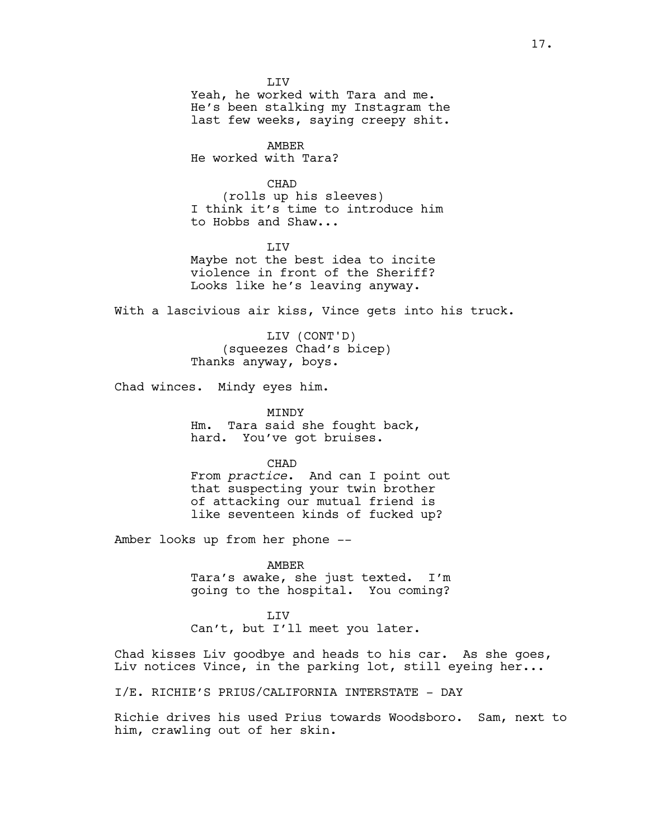LIV Yeah, he worked with Tara and me. He's been stalking my Instagram the last few weeks, saying creepy shit.

AMBER He worked with Tara?

CHAD (rolls up his sleeves) I think it's time to introduce him to Hobbs and Shaw...

LIV Maybe not the best idea to incite violence in front of the Sheriff? Looks like he's leaving anyway.

With a lascivious air kiss, Vince gets into his truck.

LIV (CONT'D) (squeezes Chad's bicep) Thanks anyway, boys.

Chad winces. Mindy eyes him.

MINDY Hm. Tara said she fought back, hard. You've got bruises.

CHAD From *practice*. And can I point out that suspecting your twin brother of attacking our mutual friend is like seventeen kinds of fucked up?

Amber looks up from her phone --

AMBER Tara's awake, she just texted. I'm going to the hospital. You coming?

LIV Can't, but I'll meet you later.

Chad kisses Liv goodbye and heads to his car. As she goes, Liv notices Vince, in the parking lot, still eyeing her...

I/E. RICHIE'S PRIUS/CALIFORNIA INTERSTATE - DAY

Richie drives his used Prius towards Woodsboro. Sam, next to him, crawling out of her skin.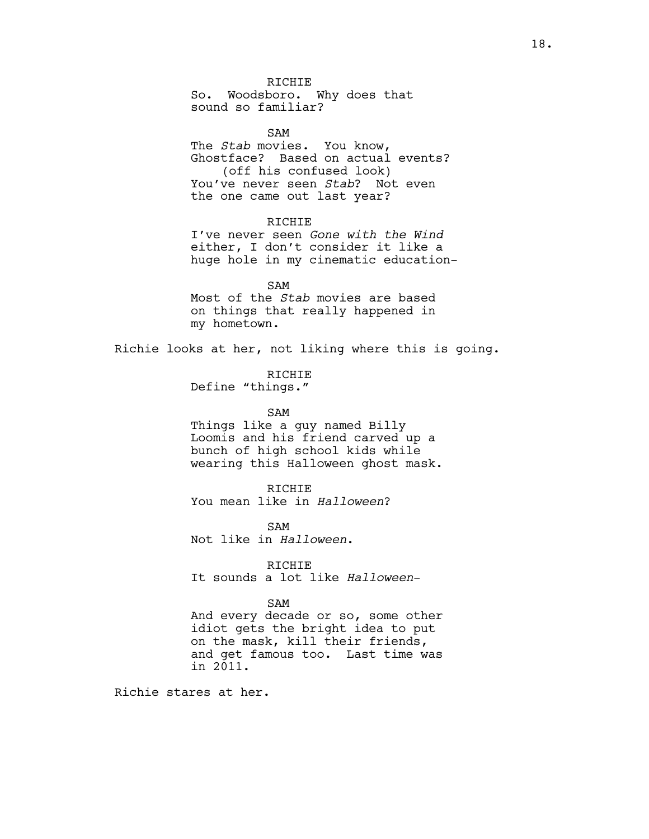RICHIE So. Woodsboro. Why does that sound so familiar?

SAM The *Stab* movies. You know, Ghostface? Based on actual events? (off his confused look) You've never seen *Stab*? Not even the one came out last year?

RICHIE

I've never seen *Gone with the Wind* either, I don't consider it like a huge hole in my cinematic education-

SAM Most of the *Stab* movies are based on things that really happened in my hometown.

Richie looks at her, not liking where this is going.

RICHIE Define "things."

SAM

Things like a guy named Billy Loomis and his friend carved up a bunch of high school kids while wearing this Halloween ghost mask.

RICHIE You mean like in *Halloween*?

SAM Not like in *Halloween*.

RICHIE It sounds a lot like *Halloween*-

SAM

And every decade or so, some other idiot gets the bright idea to put on the mask, kill their friends, and get famous too. Last time was in 2011.

Richie stares at her.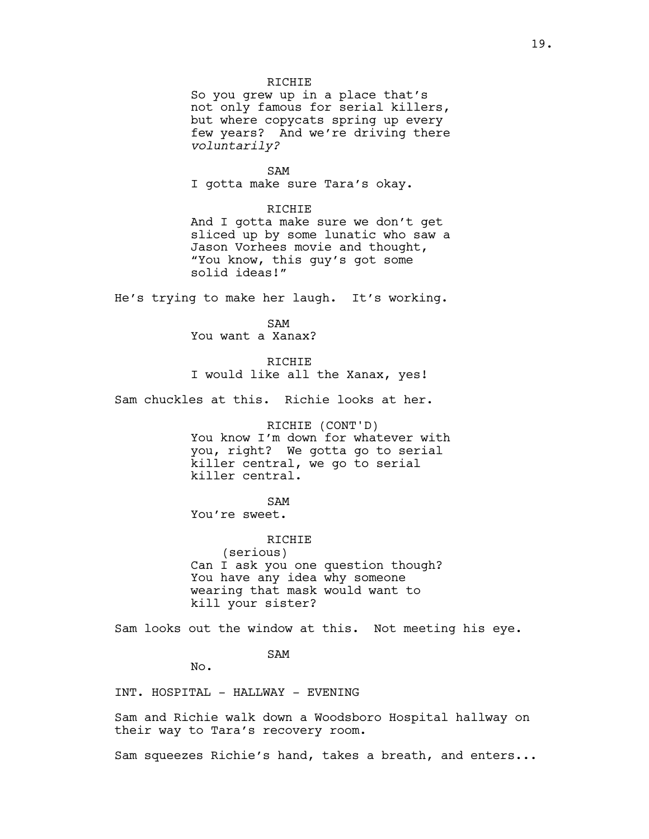## RICHIE

So you grew up in a place that's not only famous for serial killers, but where copycats spring up every few years? And we're driving there *voluntarily?*

SAM

I gotta make sure Tara's okay.

## RICHIE

And I gotta make sure we don't get sliced up by some lunatic who saw a Jason Vorhees movie and thought, "You know, this guy's got some solid ideas!"

He's trying to make her laugh. It's working.

SAM You want a Xanax?

**RICHIE** I would like all the Xanax, yes!

Sam chuckles at this. Richie looks at her.

RICHIE (CONT'D) You know I'm down for whatever with you, right? We gotta go to serial killer central, we go to serial killer central.

# SAM

You're sweet.

RICHIE (serious) Can I ask you one question though? You have any idea why someone wearing that mask would want to kill your sister?

Sam looks out the window at this. Not meeting his eye.

SAM

No.

INT. HOSPITAL - HALLWAY - EVENING

Sam and Richie walk down a Woodsboro Hospital hallway on their way to Tara's recovery room.

Sam squeezes Richie's hand, takes a breath, and enters...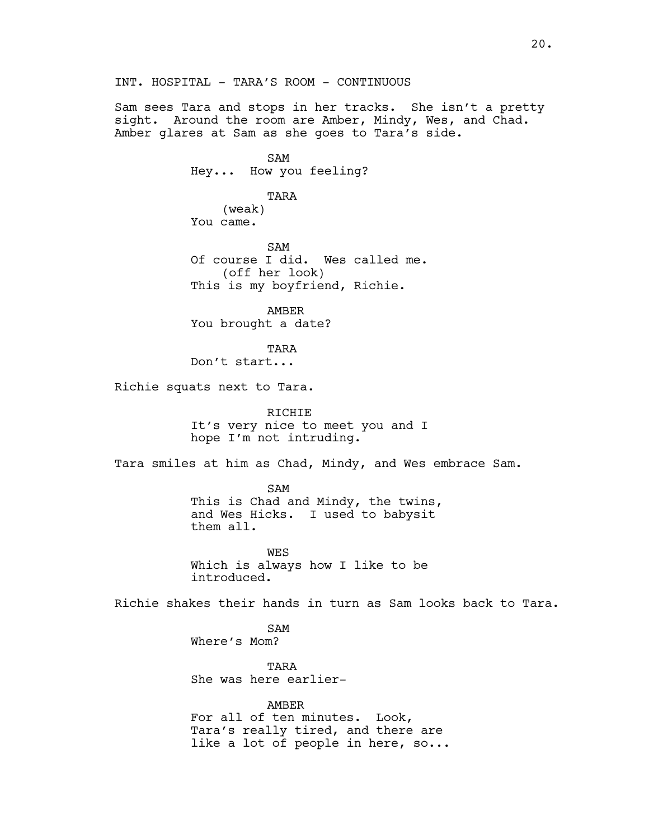Sam sees Tara and stops in her tracks. She isn't a pretty sight. Around the room are Amber, Mindy, Wes, and Chad. Amber glares at Sam as she goes to Tara's side.

> SAM Hey... How you feeling?

## TARA

(weak) You came.

SAM Of course I did. Wes called me. (off her look) This is my boyfriend, Richie.

AMBER You brought a date?

TARA Don't start...

Richie squats next to Tara.

RICHIE It's very nice to meet you and I hope I'm not intruding.

Tara smiles at him as Chad, Mindy, and Wes embrace Sam.

SAM This is Chad and Mindy, the twins, and Wes Hicks. I used to babysit them all.

**WES** Which is always how I like to be introduced.

Richie shakes their hands in turn as Sam looks back to Tara.

SAM Where's Mom?

TARA She was here earlier-

AMBER For all of ten minutes. Look, Tara's really tired, and there are like a lot of people in here, so...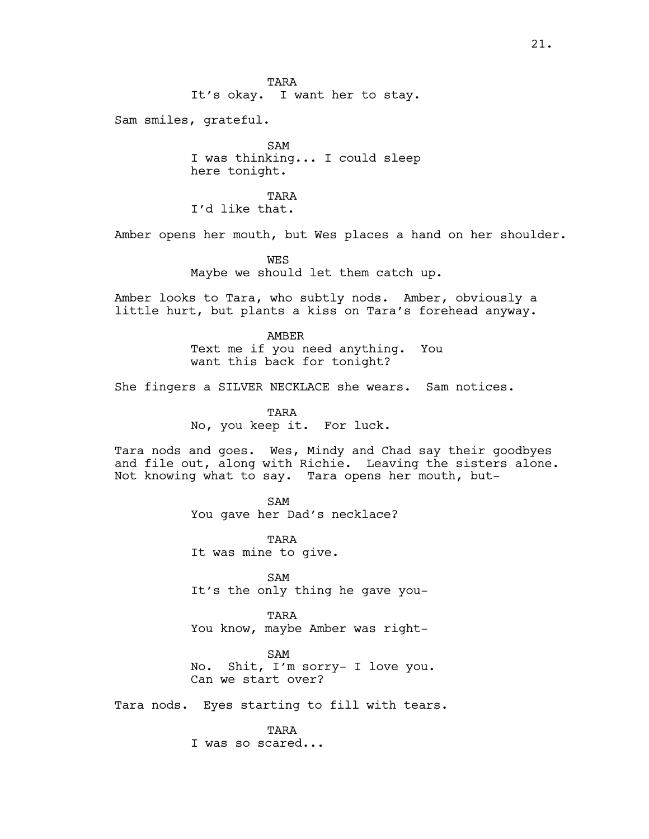TARA It's okay. I want her to stay.

Sam smiles, grateful.

SAM I was thinking... I could sleep here tonight.

TARA I'd like that.

Amber opens her mouth, but Wes places a hand on her shoulder.

WES Maybe we should let them catch up.

Amber looks to Tara, who subtly nods. Amber, obviously a little hurt, but plants a kiss on Tara's forehead anyway.

> AMBER Text me if you need anything. You want this back for tonight?

She fingers a SILVER NECKLACE she wears. Sam notices.

TARA No, you keep it. For luck.

Tara nods and goes. Wes, Mindy and Chad say their goodbyes and file out, along with Richie. Leaving the sisters alone. Not knowing what to say. Tara opens her mouth, but-

> SAM You gave her Dad's necklace?

TARA It was mine to give.

SAM It's the only thing he gave you-

TARA You know, maybe Amber was right-

SAM No. Shit, I'm sorry- I love you. Can we start over?

Tara nods. Eyes starting to fill with tears.

TARA I was so scared...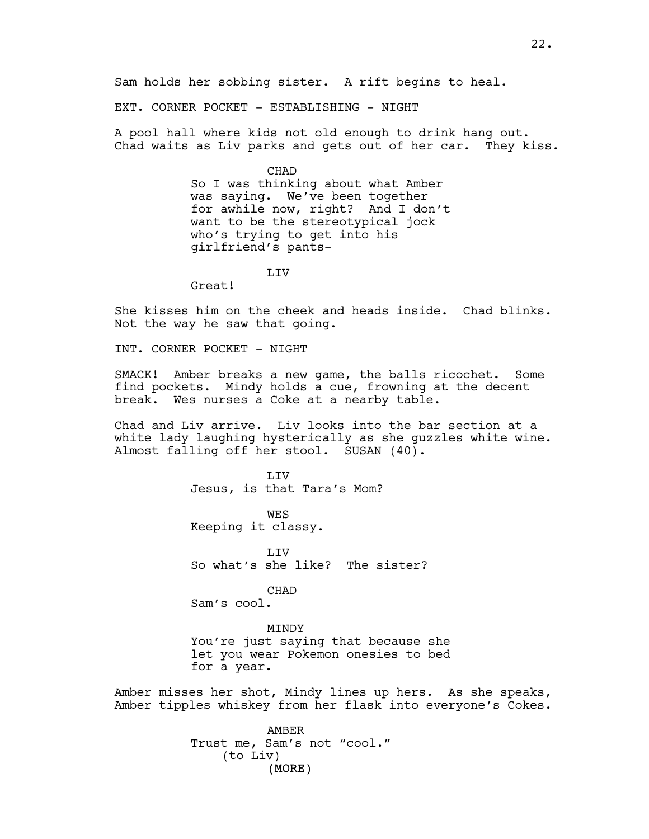Sam holds her sobbing sister. A rift begins to heal.

EXT. CORNER POCKET - ESTABLISHING - NIGHT

A pool hall where kids not old enough to drink hang out. Chad waits as Liv parks and gets out of her car. They kiss.

CHAD

So I was thinking about what Amber was saying. We've been together for awhile now, right? And I don't want to be the stereotypical jock who's trying to get into his girlfriend's pants-

LIV

Great!

She kisses him on the cheek and heads inside. Chad blinks. Not the way he saw that going.

INT. CORNER POCKET - NIGHT

SMACK! Amber breaks a new game, the balls ricochet. Some find pockets. Mindy holds a cue, frowning at the decent break. Wes nurses a Coke at a nearby table.

Chad and Liv arrive. Liv looks into the bar section at a white lady laughing hysterically as she guzzles white wine. Almost falling off her stool. SUSAN (40).

> **T.TV** Jesus, is that Tara's Mom? WES Keeping it classy. T.TV

So what's she like? The sister?

CHAD Sam's cool.

MINDY You're just saying that because she let you wear Pokemon onesies to bed for a year.

Amber misses her shot, Mindy lines up hers. As she speaks, Amber tipples whiskey from her flask into everyone's Cokes.

> (MORE) AMBER Trust me, Sam's not "cool." (to Liv)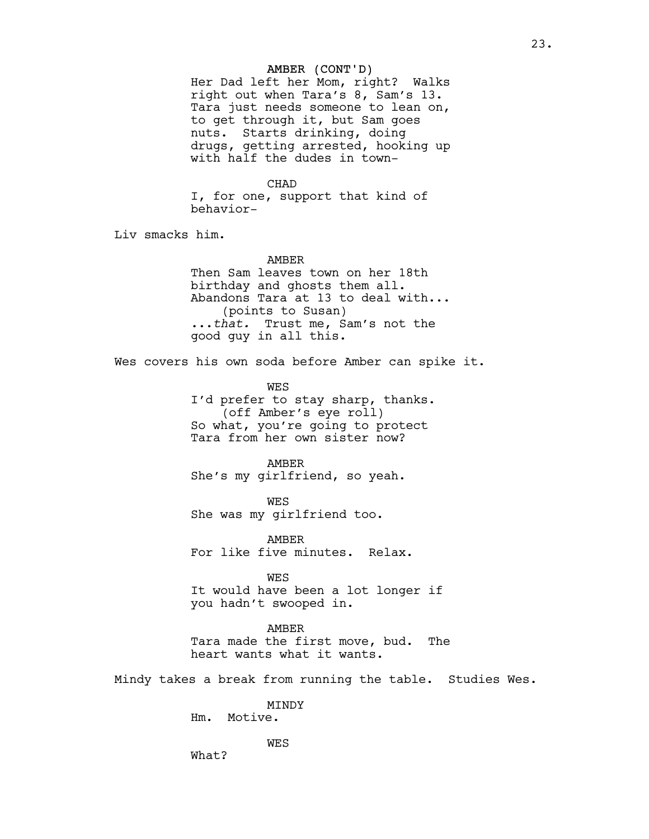## AMBER (CONT'D)

Her Dad left her Mom, right? Walks right out when Tara's 8, Sam's 13. Tara just needs someone to lean on, to get through it, but Sam goes nuts. Starts drinking, doing drugs, getting arrested, hooking up with half the dudes in town-

#### CHAD

I, for one, support that kind of behavior-

Liv smacks him.

#### AMBER

Then Sam leaves town on her 18th birthday and ghosts them all. Abandons Tara at 13 to deal with... (points to Susan) ...*that.* Trust me, Sam's not the good guy in all this.

Wes covers his own soda before Amber can spike it.

**WES** I'd prefer to stay sharp, thanks. (off Amber's eye roll) So what, you're going to protect Tara from her own sister now?

### AMBER

She's my girlfriend, so yeah.

WES She was my girlfriend too.

AMBER For like five minutes. Relax.

WES

It would have been a lot longer if you hadn't swooped in.

## AMBER

Tara made the first move, bud. The heart wants what it wants.

Mindy takes a break from running the table. Studies Wes.

MINDY

Hm. Motive.

WES

What?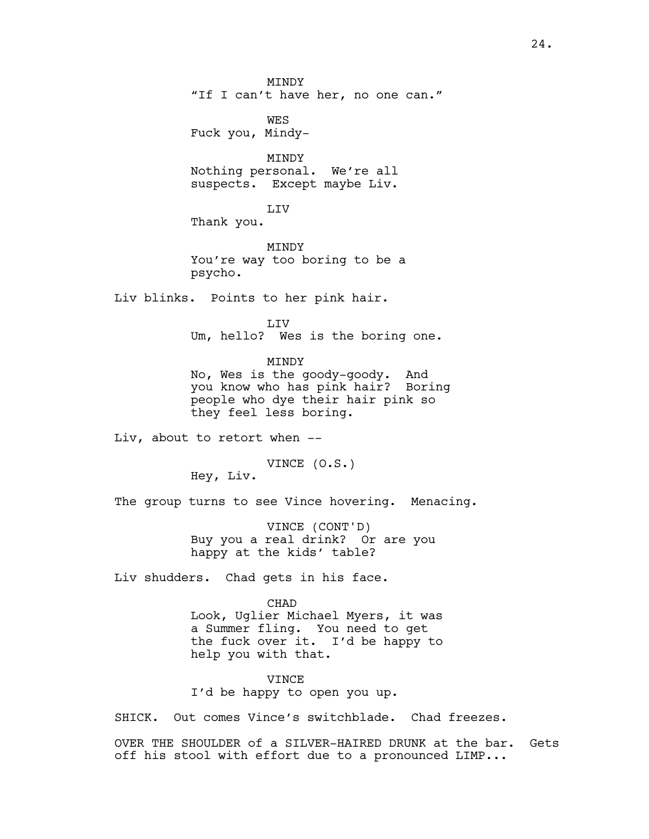**MTNDY** "If I can't have her, no one can."

WES Fuck you, Mindy-

MINDY Nothing personal. We're all suspects. Except maybe Liv.

LIV

Thank you.

**MTNDY** You're way too boring to be a psycho.

Liv blinks. Points to her pink hair.

LIV

Um, hello? Wes is the boring one.

MINDY

No, Wes is the goody-goody. And you know who has pink hair? Boring people who dye their hair pink so they feel less boring.

Liv, about to retort when --

VINCE (O.S.)

Hey, Liv.

The group turns to see Vince hovering. Menacing.

VINCE (CONT'D) Buy you a real drink? Or are you happy at the kids' table?

Liv shudders. Chad gets in his face.

### CHAD

Look, Uglier Michael Myers, it was a Summer fling. You need to get the fuck over it. I'd be happy to help you with that.

VINCE I'd be happy to open you up.

SHICK. Out comes Vince's switchblade. Chad freezes.

OVER THE SHOULDER of a SILVER-HAIRED DRUNK at the bar. Gets off his stool with effort due to a pronounced LIMP...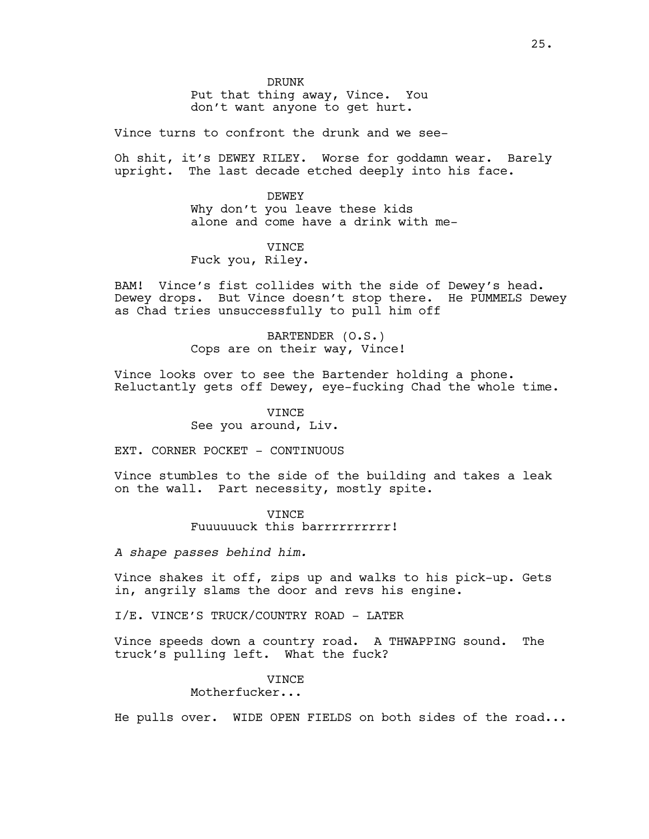DRUNK

Put that thing away, Vince. You don't want anyone to get hurt.

Vince turns to confront the drunk and we see-

Oh shit, it's DEWEY RILEY. Worse for goddamn wear. Barely upright. The last decade etched deeply into his face.

> DEWEY Why don't you leave these kids alone and come have a drink with me-

# **VINCE**

Fuck you, Riley.

BAM! Vince's fist collides with the side of Dewey's head. Dewey drops. But Vince doesn't stop there. He PUMMELS Dewey as Chad tries unsuccessfully to pull him off

> BARTENDER (O.S.) Cops are on their way, Vince!

Vince looks over to see the Bartender holding a phone. Reluctantly gets off Dewey, eye-fucking Chad the whole time.

> VINCE See you around, Liv.

EXT. CORNER POCKET - CONTINUOUS

Vince stumbles to the side of the building and takes a leak on the wall. Part necessity, mostly spite.

> VINCE Fuuuuuuck this barrrrrrrrrrr!

*A shape passes behind him.*

Vince shakes it off, zips up and walks to his pick-up. Gets in, angrily slams the door and revs his engine.

I/E. VINCE'S TRUCK/COUNTRY ROAD - LATER

Vince speeds down a country road. A THWAPPING sound. The truck's pulling left. What the fuck?

## VINCE

Motherfucker...

He pulls over. WIDE OPEN FIELDS on both sides of the road...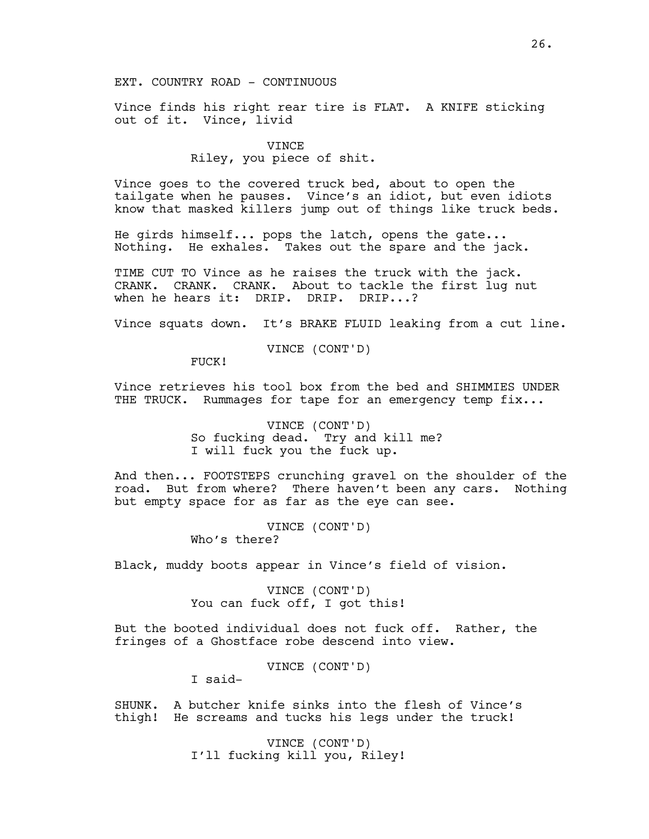# EXT. COUNTRY ROAD - CONTINUOUS

Vince finds his right rear tire is FLAT. A KNIFE sticking out of it. Vince, livid

#### VINCE

# Riley, you piece of shit.

Vince goes to the covered truck bed, about to open the tailgate when he pauses. Vince's an idiot, but even idiots know that masked killers jump out of things like truck beds.

He girds himself... pops the latch, opens the gate... Nothing. He exhales. Takes out the spare and the jack.

TIME CUT TO Vince as he raises the truck with the jack. CRANK. CRANK. CRANK. About to tackle the first lug nut when he hears it: DRIP. DRIP. DRIP...?

Vince squats down. It's BRAKE FLUID leaking from a cut line.

VINCE (CONT'D)

FUCK!

Vince retrieves his tool box from the bed and SHIMMIES UNDER THE TRUCK. Rummages for tape for an emergency temp fix...

> VINCE (CONT'D) So fucking dead. Try and kill me? I will fuck you the fuck up.

And then... FOOTSTEPS crunching gravel on the shoulder of the road. But from where? There haven't been any cars. Nothing but empty space for as far as the eye can see.

> VINCE (CONT'D) Who's there?

Black, muddy boots appear in Vince's field of vision.

VINCE (CONT'D) You can fuck off, I got this!

But the booted individual does not fuck off. Rather, the fringes of a Ghostface robe descend into view.

VINCE (CONT'D)

I said-

SHUNK. A butcher knife sinks into the flesh of Vince's thigh! He screams and tucks his legs under the truck!

> VINCE (CONT'D) I'll fucking kill you, Riley!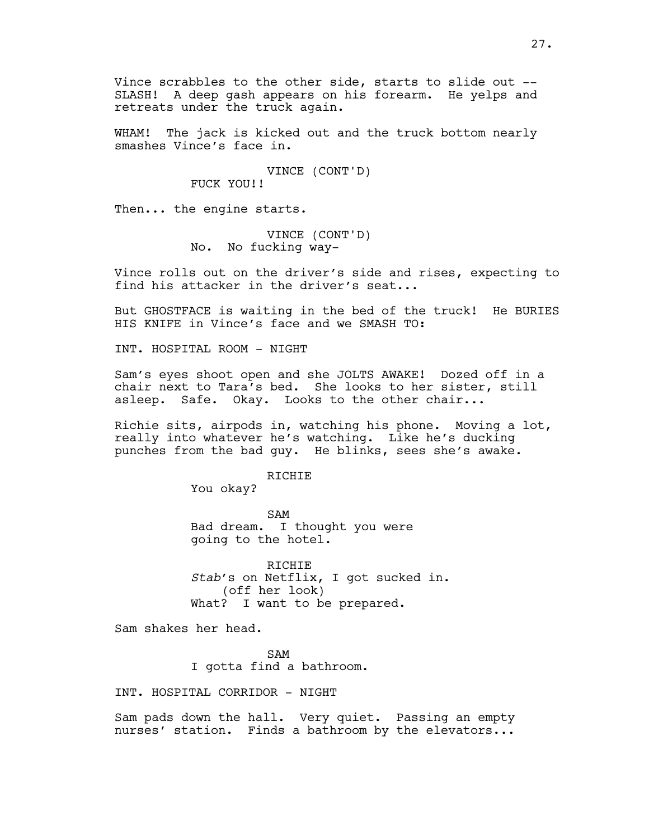Vince scrabbles to the other side, starts to slide out -- SLASH! A deep gash appears on his forearm. He yelps and retreats under the truck again.

WHAM! The jack is kicked out and the truck bottom nearly smashes Vince's face in.

> VINCE (CONT'D) FUCK YOU!!

Then... the engine starts.

VINCE (CONT'D) No. No fucking way-

Vince rolls out on the driver's side and rises, expecting to find his attacker in the driver's seat...

But GHOSTFACE is waiting in the bed of the truck! He BURIES HIS KNIFE in Vince's face and we SMASH TO:

INT. HOSPITAL ROOM - NIGHT

Sam's eyes shoot open and she JOLTS AWAKE! Dozed off in a chair next to Tara's bed. She looks to her sister, still asleep. Safe. Okay. Looks to the other chair...

Richie sits, airpods in, watching his phone. Moving a lot, really into whatever he's watching. Like he's ducking punches from the bad guy. He blinks, sees she's awake.

RICHIE

You okay?

SAM Bad dream. I thought you were going to the hotel.

RICHIE *Stab*'s on Netflix, I got sucked in. (off her look) What? I want to be prepared.

Sam shakes her head.

SAM I gotta find a bathroom.

INT. HOSPITAL CORRIDOR - NIGHT

Sam pads down the hall. Very quiet. Passing an empty nurses' station. Finds a bathroom by the elevators...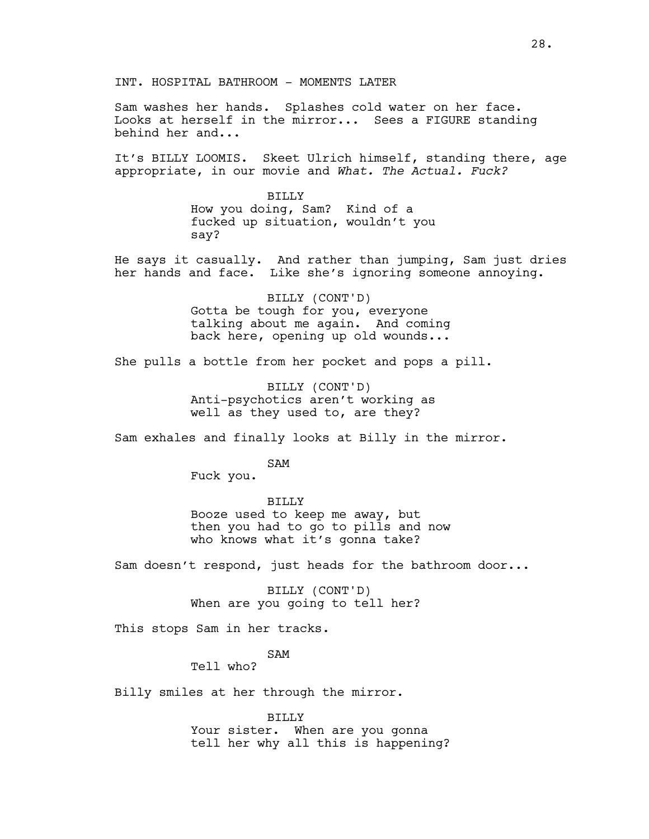Sam washes her hands. Splashes cold water on her face. Looks at herself in the mirror... Sees a FIGURE standing behind her and...

It's BILLY LOOMIS. Skeet Ulrich himself, standing there, age appropriate, in our movie and *What. The Actual. Fuck?*

> BILLY How you doing, Sam? Kind of a fucked up situation, wouldn't you say?

He says it casually. And rather than jumping, Sam just dries her hands and face. Like she's ignoring someone annoying.

> BILLY (CONT'D) Gotta be tough for you, everyone talking about me again. And coming back here, opening up old wounds...

She pulls a bottle from her pocket and pops a pill.

BILLY (CONT'D) Anti-psychotics aren't working as well as they used to, are they?

Sam exhales and finally looks at Billy in the mirror.

SAM

Fuck you.

BILLY

Booze used to keep me away, but then you had to go to pills and now who knows what it's gonna take?

Sam doesn't respond, just heads for the bathroom door...

BILLY (CONT'D) When are you going to tell her?

This stops Sam in her tracks.

SAM

Tell who?

Billy smiles at her through the mirror.

BILLY Your sister. When are you gonna tell her why all this is happening?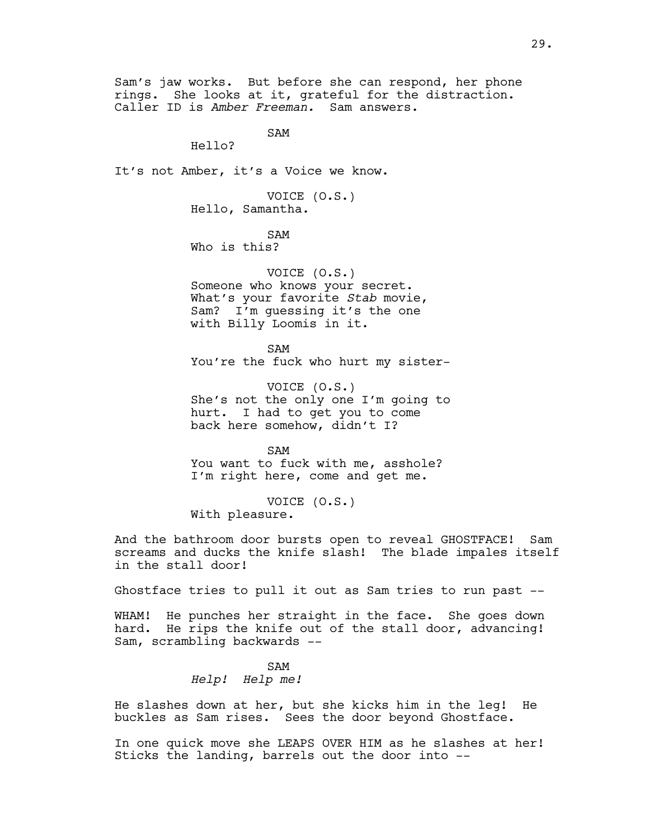Sam's jaw works. But before she can respond, her phone rings. She looks at it, grateful for the distraction. Caller ID is *Amber Freeman.* Sam answers.

SAM

Hello?

It's not Amber, it's a Voice we know.

VOICE (O.S.) Hello, Samantha.

SAM

Who is this?

VOICE (O.S.) Someone who knows your secret. What's your favorite *Stab* movie, Sam? I'm guessing it's the one with Billy Loomis in it.

SAM You're the fuck who hurt my sister-

VOICE (O.S.) She's not the only one I'm going to hurt. I had to get you to come back here somehow, didn't I?

SAM You want to fuck with me, asshole? I'm right here, come and get me.

VOICE (O.S.) With pleasure.

And the bathroom door bursts open to reveal GHOSTFACE! Sam screams and ducks the knife slash! The blade impales itself in the stall door!

Ghostface tries to pull it out as Sam tries to run past --

WHAM! He punches her straight in the face. She goes down hard. He rips the knife out of the stall door, advancing! Sam, scrambling backwards --

> SAM *Help! Help me!*

He slashes down at her, but she kicks him in the leg! He buckles as Sam rises. Sees the door beyond Ghostface.

In one quick move she LEAPS OVER HIM as he slashes at her! Sticks the landing, barrels out the door into --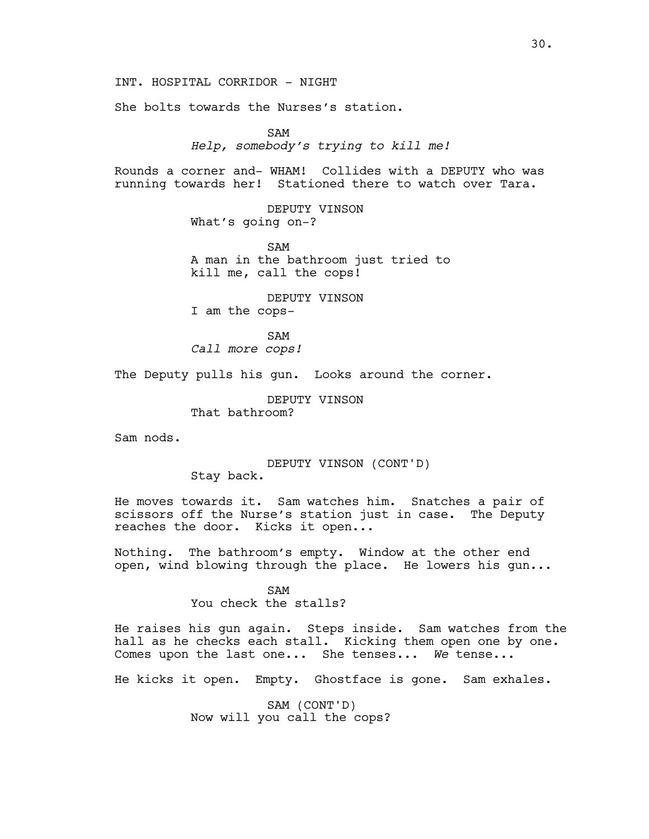INT. HOSPITAL CORRIDOR - NIGHT

She bolts towards the Nurses's station.

SAM *Help, somebody's trying to kill me!*

Rounds a corner and- WHAM! Collides with a DEPUTY who was running towards her! Stationed there to watch over Tara.

> DEPUTY VINSON What's going on-?

SAM A man in the bathroom just tried to kill me, call the cops!

DEPUTY VINSON I am the cops-

SAM *Call more cops!*

The Deputy pulls his gun. Looks around the corner.

DEPUTY VINSON

That bathroom?

Sam nods.

DEPUTY VINSON (CONT'D) Stay back.

He moves towards it. Sam watches him. Snatches a pair of scissors off the Nurse's station just in case. The Deputy reaches the door. Kicks it open...

Nothing. The bathroom's empty. Window at the other end open, wind blowing through the place. He lowers his gun...

> SAM You check the stalls?

He raises his gun again. Steps inside. Sam watches from the hall as he checks each stall. Kicking them open one by one. Comes upon the last one... She tenses... *We* tense...

He kicks it open. Empty. Ghostface is gone. Sam exhales.

SAM (CONT'D) Now will you call the cops?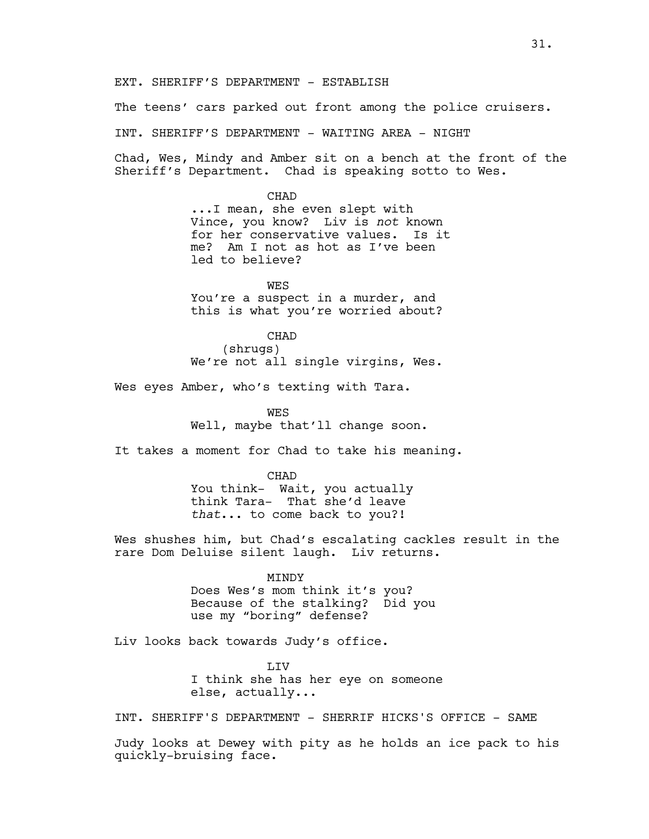EXT. SHERIFF'S DEPARTMENT - ESTABLISH

The teens' cars parked out front among the police cruisers.

INT. SHERIFF'S DEPARTMENT - WAITING AREA - NIGHT

Chad, Wes, Mindy and Amber sit on a bench at the front of the Sheriff's Department. Chad is speaking sotto to Wes.

> CHAD ...I mean, she even slept with Vince, you know? Liv is *not* known for her conservative values. Is it me? Am I not as hot as I've been led to believe?

**WES** You're a suspect in a murder, and this is what you're worried about?

CHAD (shrugs) We're not all single virgins, Wes.

Wes eyes Amber, who's texting with Tara.

**WES** Well, maybe that'll change soon.

It takes a moment for Chad to take his meaning.

**CHAD** You think- Wait, you actually think Tara- That she'd leave *that*... to come back to you?!

Wes shushes him, but Chad's escalating cackles result in the rare Dom Deluise silent laugh. Liv returns.

> MINDY Does Wes's mom think it's you? Because of the stalking? Did you use my "boring" defense?

Liv looks back towards Judy's office.

**T.TV** I think she has her eye on someone else, actually...

INT. SHERIFF'S DEPARTMENT - SHERRIF HICKS'S OFFICE - SAME

Judy looks at Dewey with pity as he holds an ice pack to his quickly-bruising face.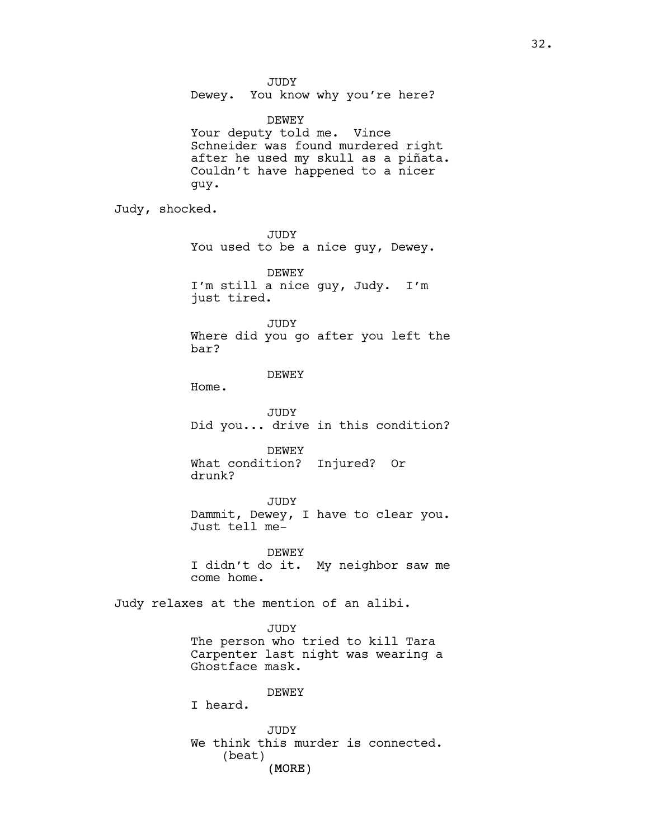JUDY

Dewey. You know why you're here?

DEWEY Your deputy told me. Vince Schneider was found murdered right after he used my skull as a piñata. Couldn't have happened to a nicer guy.

Judy, shocked.

JUDY You used to be a nice guy, Dewey.

DEWEY I'm still a nice guy, Judy. I'm just tired.

JUDY

Where did you go after you left the bar?

DEWEY

Home.

JUDY Did you... drive in this condition?

DEWEY What condition? Injured? Or drunk?

JUDY Dammit, Dewey, I have to clear you. Just tell me-

DEWEY I didn't do it. My neighbor saw me come home.

Judy relaxes at the mention of an alibi.

JUDY The person who tried to kill Tara Carpenter last night was wearing a Ghostface mask.

DEWEY

I heard.

(MORE) JUDY We think this murder is connected. (beat)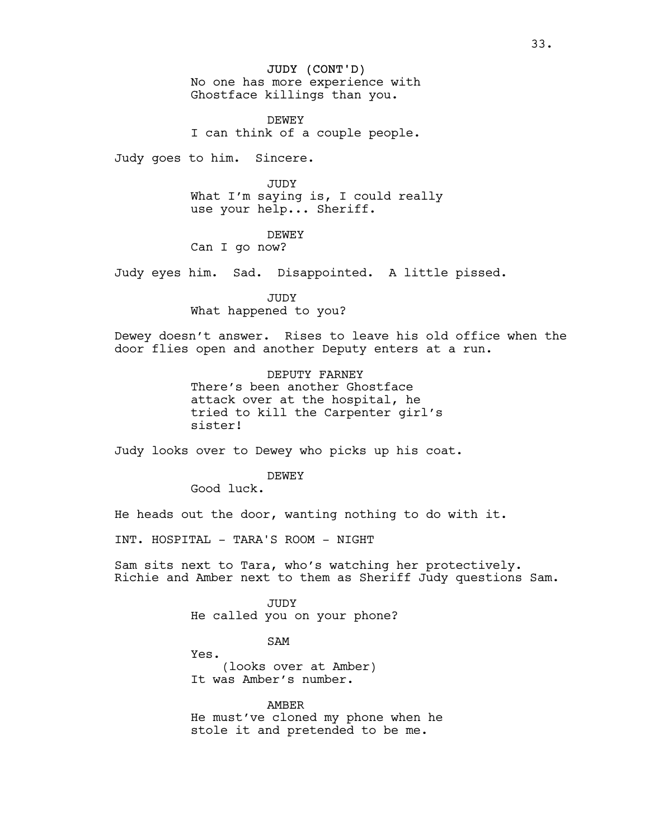JUDY (CONT'D) No one has more experience with Ghostface killings than you.

DEWEY I can think of a couple people.

Judy goes to him. Sincere.

JUDY

What I'm saying is, I could really use your help... Sheriff.

### DEWEY

Can I go now?

Judy eyes him. Sad. Disappointed. A little pissed.

JUDY What happened to you?

Dewey doesn't answer. Rises to leave his old office when the door flies open and another Deputy enters at a run.

> DEPUTY FARNEY There's been another Ghostface attack over at the hospital, he tried to kill the Carpenter girl's sister!

Judy looks over to Dewey who picks up his coat.

DEWEY

Good luck.

He heads out the door, wanting nothing to do with it.

INT. HOSPITAL - TARA'S ROOM - NIGHT

Sam sits next to Tara, who's watching her protectively. Richie and Amber next to them as Sheriff Judy questions Sam.

> JUDY He called you on your phone?

> > SAM

Yes. (looks over at Amber) It was Amber's number.

AMBER He must've cloned my phone when he stole it and pretended to be me.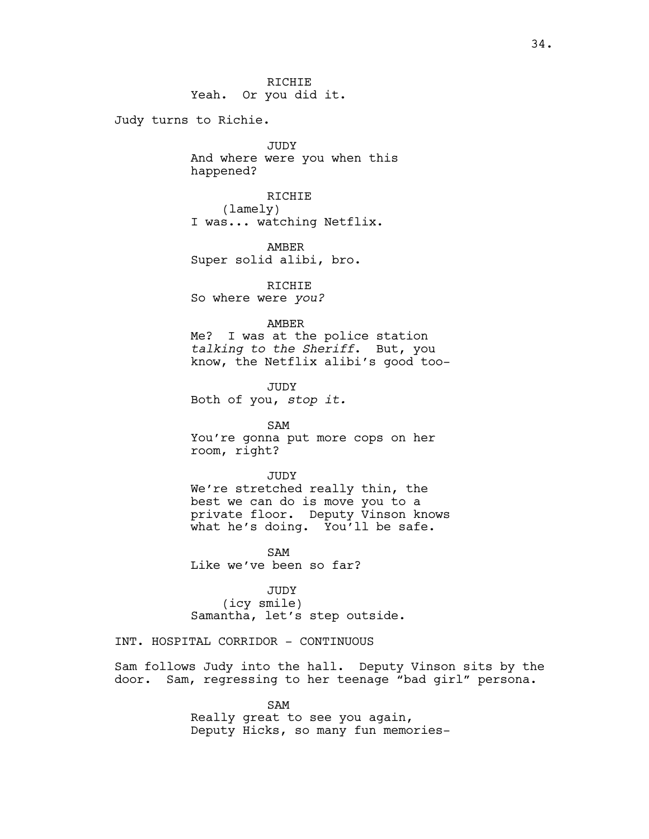34.

RICHIE Yeah. Or you did it.

Judy turns to Richie.

JUDY And where were you when this happened?

RICHIE (lamely) I was... watching Netflix.

AMBER Super solid alibi, bro.

RICHIE So where were *you?*

AMBER

Me? I was at the police station *talking to the Sheriff*. But, you know, the Netflix alibi's good too-

JUDY Both of you, *stop it.*

SAM You're gonna put more cops on her room, right?

JUDY We're stretched really thin, the best we can do is move you to a private floor. Deputy Vinson knows what he's doing. You'll be safe.

SAM Like we've been so far?

JUDY (icy smile) Samantha, let's step outside.

INT. HOSPITAL CORRIDOR - CONTINUOUS

Sam follows Judy into the hall. Deputy Vinson sits by the door. Sam, regressing to her teenage "bad girl" persona.

> SAM Really great to see you again, Deputy Hicks, so many fun memories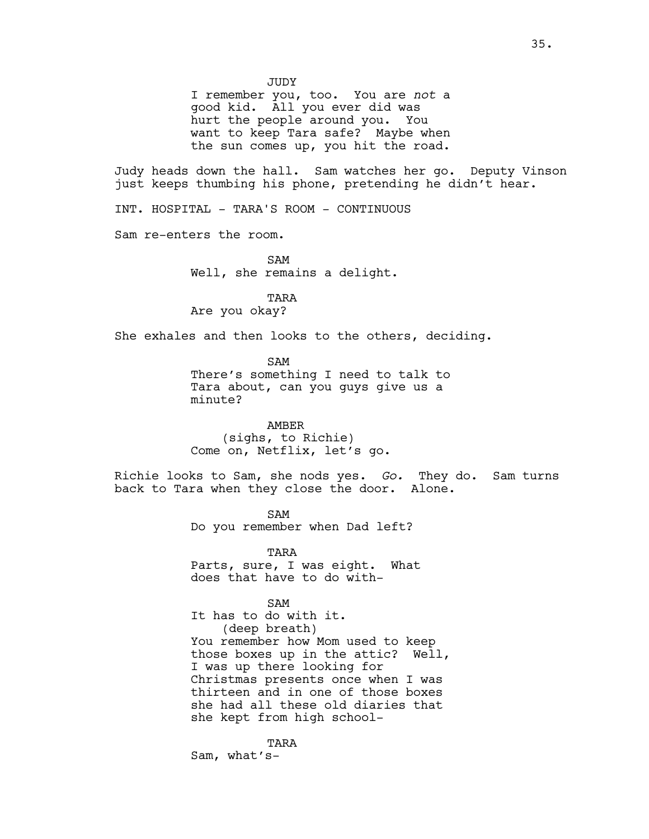JUDY

I remember you, too. You are *not* a good kid. All you ever did was hurt the people around you. You want to keep Tara safe? Maybe when the sun comes up, you hit the road.

Judy heads down the hall. Sam watches her go. Deputy Vinson just keeps thumbing his phone, pretending he didn't hear.

INT. HOSPITAL - TARA'S ROOM - CONTINUOUS

Sam re-enters the room.

SAM Well, she remains a delight.

TARA Are you okay?

She exhales and then looks to the others, deciding.

SAM There's something I need to talk to Tara about, can you guys give us a minute?

AMBER (sighs, to Richie) Come on, Netflix, let's go.

Richie looks to Sam, she nods yes. *Go.* They do. Sam turns back to Tara when they close the door. Alone.

> SAM Do you remember when Dad left?

TARA Parts, sure, I was eight. What does that have to do with-

SAM

It has to do with it. (deep breath) You remember how Mom used to keep those boxes up in the attic? Well, I was up there looking for Christmas presents once when I was thirteen and in one of those boxes she had all these old diaries that she kept from high school-

TARA Sam, what's-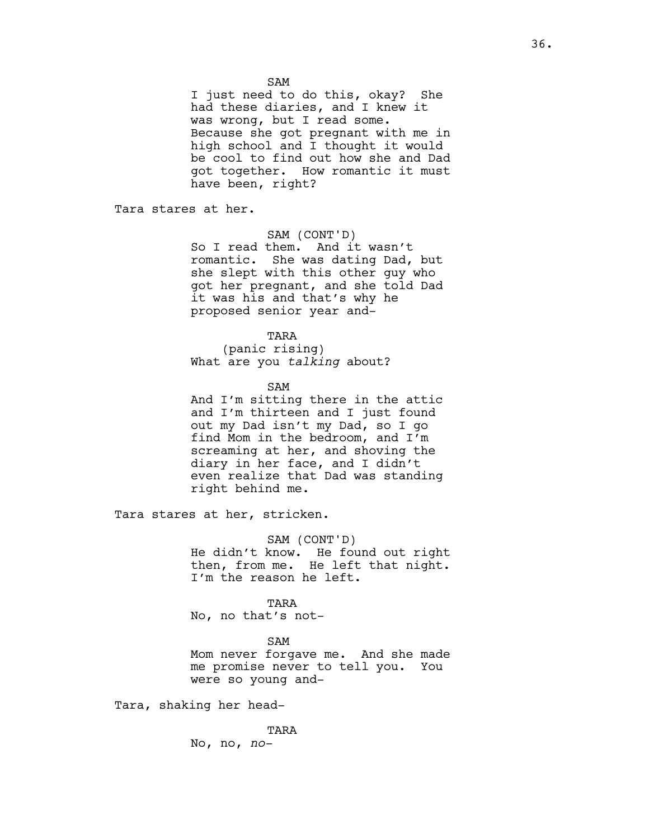I just need to do this, okay? She had these diaries, and I knew it was wrong, but I read some. Because she got pregnant with me in high school and I thought it would be cool to find out how she and Dad got together. How romantic it must have been, right?

Tara stares at her.

SAM (CONT'D)

So I read them. And it wasn't romantic. She was dating Dad, but she slept with this other guy who got her pregnant, and she told Dad it was his and that's why he proposed senior year and-

TARA (panic rising) What are you *talking* about?

SAM

And I'm sitting there in the attic and I'm thirteen and I just found out my Dad isn't my Dad, so I go find Mom in the bedroom, and I'm screaming at her, and shoving the diary in her face, and I didn't even realize that Dad was standing right behind me.

Tara stares at her, stricken.

SAM (CONT'D) He didn't know. He found out right then, from me. He left that night. I'm the reason he left.

TARA

No, no that's not-

SAM

Mom never forgave me. And she made me promise never to tell you. You were so young and-

Tara, shaking her head-

TARA No, no, *no-*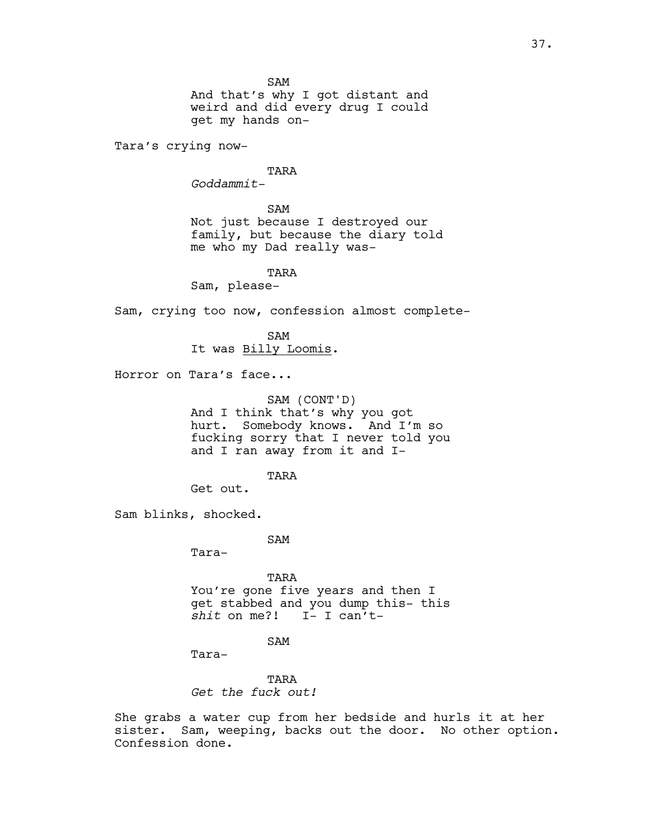SAM

And that's why I got distant and weird and did every drug I could get my hands on-

Tara's crying now-

TARA

*Goddammit-*

## SAM

Not just because I destroyed our family, but because the diary told me who my Dad really was-

## TARA

Sam, please-

Sam, crying too now, confession almost complete-

SAM It was Billy Loomis.

Horror on Tara's face...

SAM (CONT'D) And I think that's why you got hurt. Somebody knows. And I'm so fucking sorry that I never told you and I ran away from it and I-

TARA

Get out.

Sam blinks, shocked.

SAM

Tara-

TARA You're gone five years and then I get stabbed and you dump this- this *shit* on me?! I- I can't-

SAM

Tara-

TARA *Get the fuck out!*

She grabs a water cup from her bedside and hurls it at her sister. Sam, weeping, backs out the door. No other option. Confession done.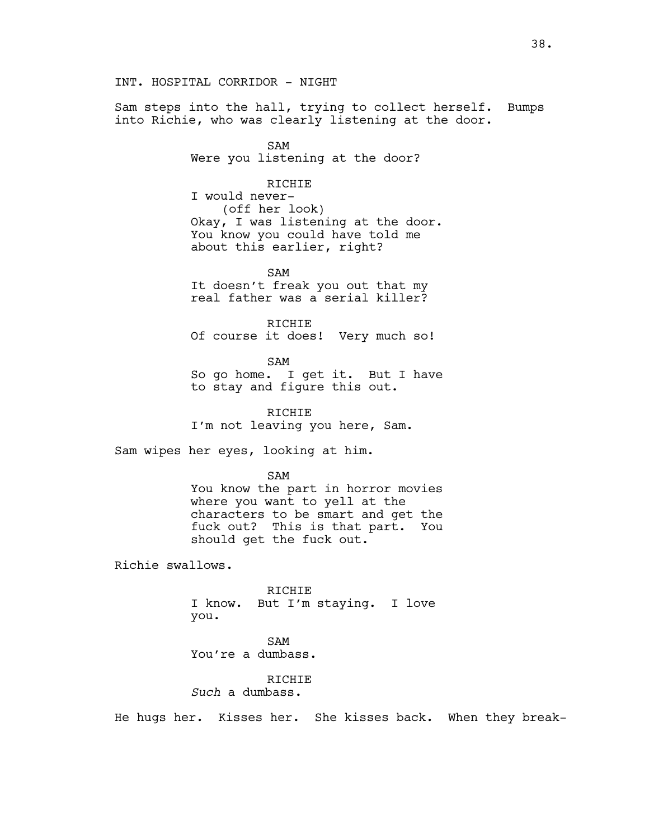INT. HOSPITAL CORRIDOR - NIGHT

Sam steps into the hall, trying to collect herself. Bumps into Richie, who was clearly listening at the door.

> SAM Were you listening at the door?

# RICHIE

I would never- (off her look) Okay, I was listening at the door. You know you could have told me about this earlier, right?

SAM It doesn't freak you out that my real father was a serial killer?

RICHIE Of course it does! Very much so!

SAM So go home. I get it. But I have to stay and figure this out.

RICHIE I'm not leaving you here, Sam.

Sam wipes her eyes, looking at him.

SAM

You know the part in horror movies where you want to yell at the characters to be smart and get the fuck out? This is that part. You should get the fuck out.

Richie swallows.

RICHIE I know. But I'm staying. I love you.

SAM

You're a dumbass.

# RICHIE *Such* a dumbass.

He hugs her. Kisses her. She kisses back. When they break-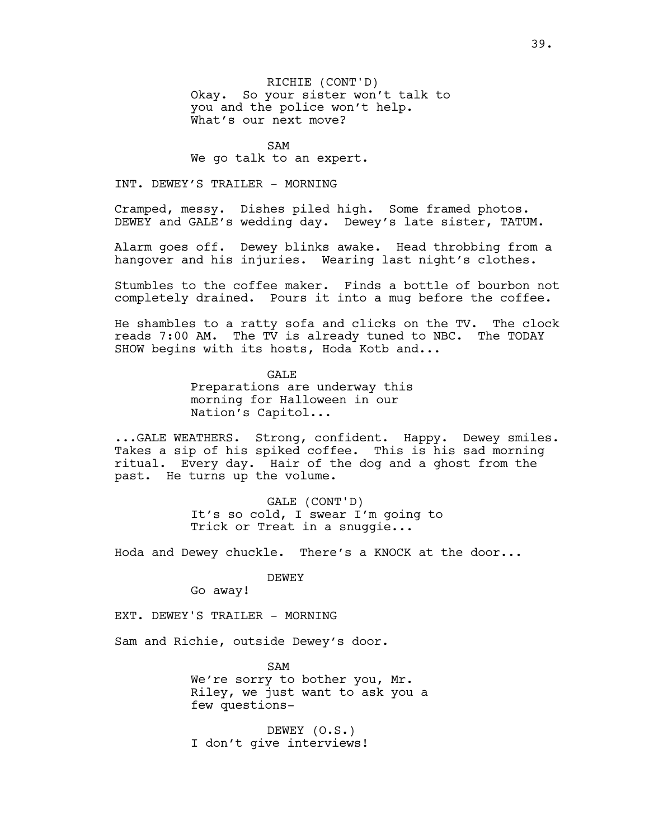RICHIE (CONT'D) Okay. So your sister won't talk to you and the police won't help. What's our next move?

SAM

We go talk to an expert.

INT. DEWEY'S TRAILER - MORNING

Cramped, messy. Dishes piled high. Some framed photos. DEWEY and GALE's wedding day. Dewey's late sister, TATUM.

Alarm goes off. Dewey blinks awake. Head throbbing from a hangover and his injuries. Wearing last night's clothes.

Stumbles to the coffee maker. Finds a bottle of bourbon not completely drained. Pours it into a mug before the coffee.

He shambles to a ratty sofa and clicks on the TV. The clock reads 7:00 AM. The TV is already tuned to NBC. The TODAY SHOW begins with its hosts, Hoda Kotb and...

> GALE Preparations are underway this morning for Halloween in our Nation's Capitol...

...GALE WEATHERS. Strong, confident. Happy. Dewey smiles. Takes a sip of his spiked coffee. This is his sad morning ritual. Every day. Hair of the dog and a ghost from the past. He turns up the volume.

> GALE (CONT'D) It's so cold, I swear I'm going to Trick or Treat in a snuggie...

Hoda and Dewey chuckle. There's a KNOCK at the door...

DEWEY

Go away!

EXT. DEWEY'S TRAILER - MORNING

Sam and Richie, outside Dewey's door.

SAM We're sorry to bother you, Mr. Riley, we just want to ask you a few questions-

DEWEY (O.S.) I don't give interviews!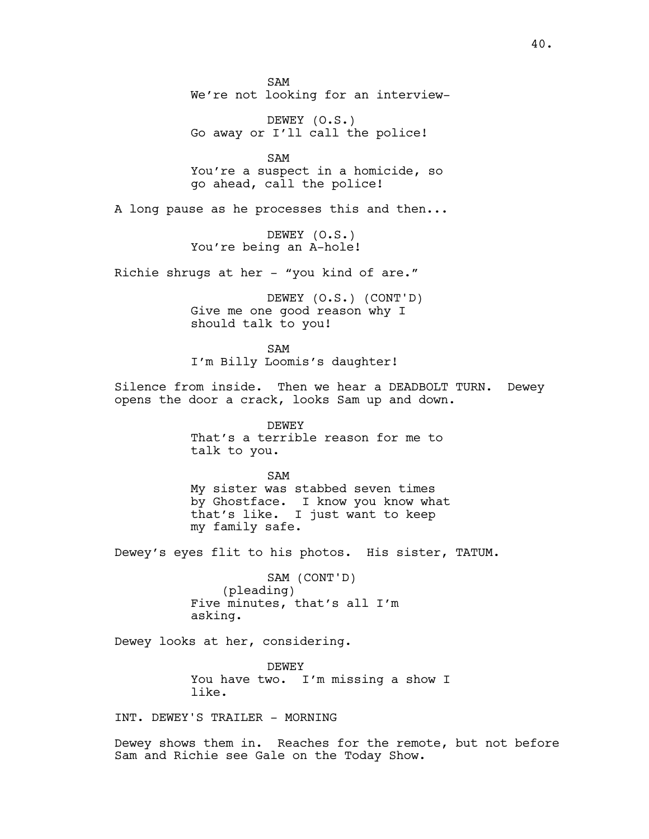SAM We're not looking for an interview-

DEWEY (O.S.) Go away or I'll call the police!

SAM You're a suspect in a homicide, so go ahead, call the police!

A long pause as he processes this and then...

DEWEY (O.S.) You're being an A-hole!

Richie shrugs at her - "you kind of are."

DEWEY (O.S.) (CONT'D) Give me one good reason why I should talk to you!

SAM I'm Billy Loomis's daughter!

Silence from inside. Then we hear a DEADBOLT TURN. Dewey opens the door a crack, looks Sam up and down.

> DEWEY That's a terrible reason for me to talk to you.

SAM My sister was stabbed seven times by Ghostface. I know you know what that's like. I just want to keep my family safe.

Dewey's eyes flit to his photos. His sister, TATUM.

SAM (CONT'D) (pleading) Five minutes, that's all I'm asking.

Dewey looks at her, considering.

DEWEY You have two. I'm missing a show I like.

INT. DEWEY'S TRAILER - MORNING

Dewey shows them in. Reaches for the remote, but not before Sam and Richie see Gale on the Today Show.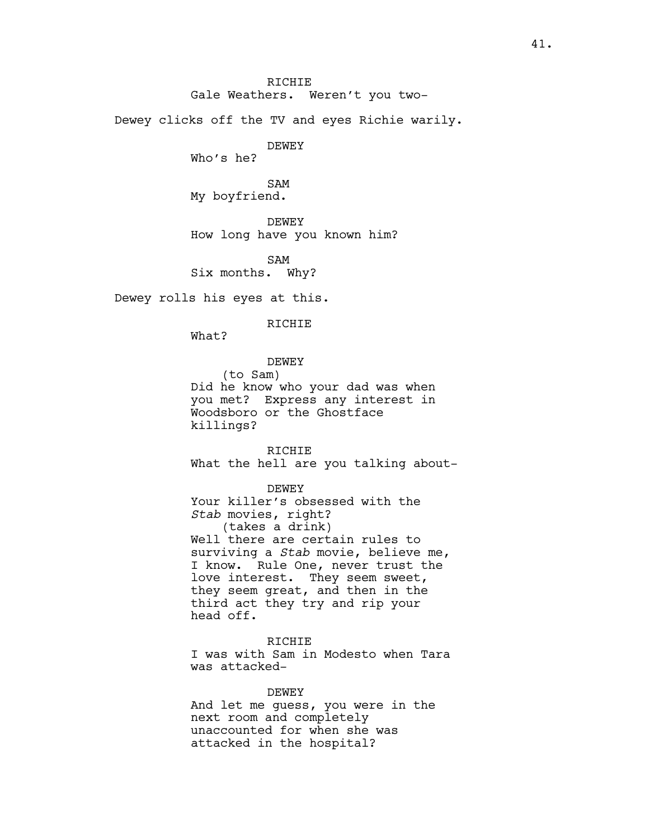Dewey clicks off the TV and eyes Richie warily.

DEWEY

Who's he?

SAM My boyfriend.

DEWEY How long have you known him?

SAM Six months. Why?

Dewey rolls his eyes at this.

### RICHIE

What?

DEWEY

(to Sam)

Did he know who your dad was when you met? Express any interest in Woodsboro or the Ghostface killings?

RICHIE What the hell are you talking about-

DEWEY

Your killer's obsessed with the *Stab* movies, right? (takes a drink) Well there are certain rules to surviving a *Stab* movie, believe me, I know. Rule One, never trust the love interest. They seem sweet, they seem great, and then in the third act they try and rip your head off.

### RICHIE

I was with Sam in Modesto when Tara was attacked-

DEWEY

And let me guess, you were in the next room and completely unaccounted for when she was attacked in the hospital?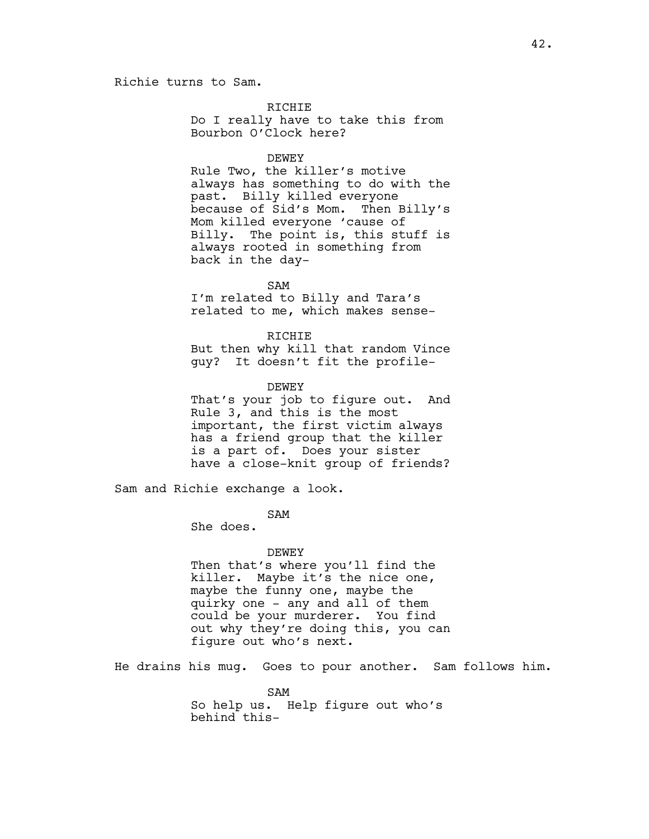## Richie turns to Sam.

RICHIE

Do I really have to take this from Bourbon O'Clock here?

DEWEY

Rule Two, the killer's motive always has something to do with the past. Billy killed everyone because of Sid's Mom. Then Billy's Mom killed everyone 'cause of Billy. The point is, this stuff is always rooted in something from back in the day-

SAM I'm related to Billy and Tara's related to me, which makes sense-

RICHIE But then why kill that random Vince guy? It doesn't fit the profile-

DEWEY That's your job to figure out. And Rule 3, and this is the most important, the first victim always has a friend group that the killer is a part of. Does your sister have a close-knit group of friends?

Sam and Richie exchange a look.

SAM

She does.

DEWEY

Then that's where you'll find the killer. Maybe it's the nice one, maybe the funny one, maybe the quirky one - any and all of them could be your murderer. You find out why they're doing this, you can figure out who's next.

He drains his mug. Goes to pour another. Sam follows him.

SAM So help us. Help figure out who's behind this-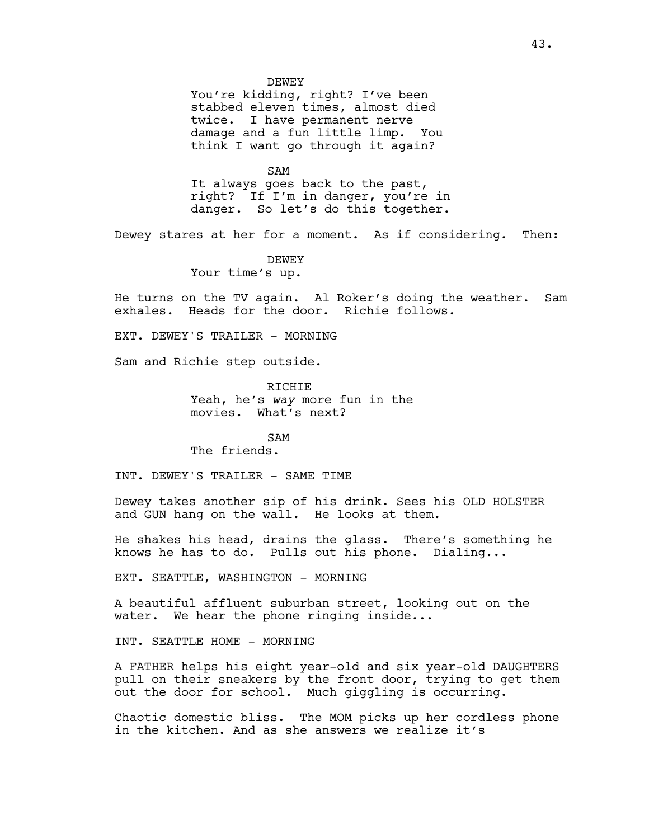#### DEWEY

You're kidding, right? I've been stabbed eleven times, almost died twice. I have permanent nerve damage and a fun little limp. You think I want go through it again?

SAM

It always goes back to the past, right? If I'm in danger, you're in danger. So let's do this together.

Dewey stares at her for a moment. As if considering. Then:

DEWEY

Your time's up.

He turns on the TV again. Al Roker's doing the weather. Sam exhales. Heads for the door. Richie follows.

EXT. DEWEY'S TRAILER - MORNING

Sam and Richie step outside.

RICHIE Yeah, he's *way* more fun in the movies. What's next?

SAM The friends.

INT. DEWEY'S TRAILER - SAME TIME

Dewey takes another sip of his drink. Sees his OLD HOLSTER and GUN hang on the wall. He looks at them.

He shakes his head, drains the glass. There's something he knows he has to do. Pulls out his phone. Dialing...

EXT. SEATTLE, WASHINGTON - MORNING

A beautiful affluent suburban street, looking out on the water. We hear the phone ringing inside...

INT. SEATTLE HOME - MORNING

A FATHER helps his eight year-old and six year-old DAUGHTERS pull on their sneakers by the front door, trying to get them out the door for school. Much giggling is occurring.

Chaotic domestic bliss. The MOM picks up her cordless phone in the kitchen. And as she answers we realize it's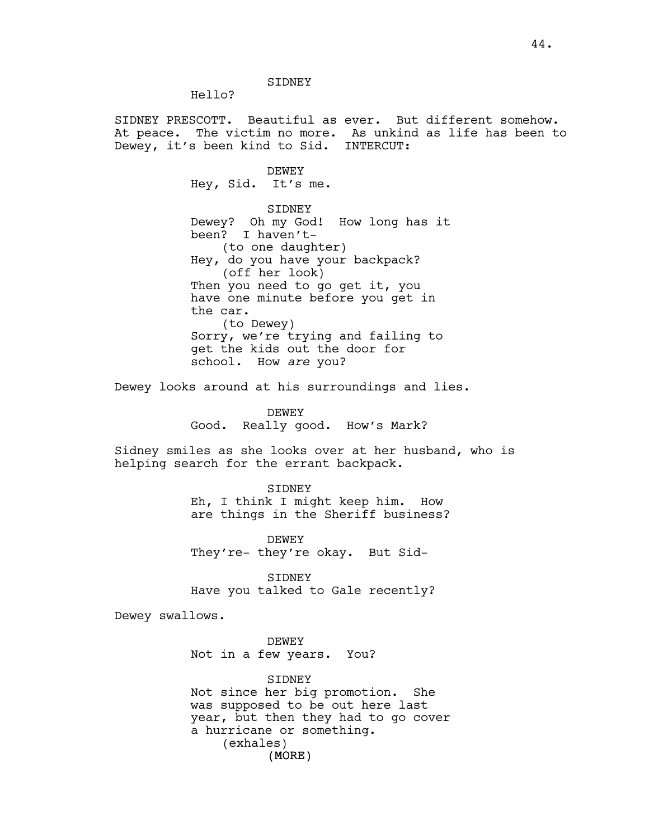SIDNEY

Hello?

SIDNEY PRESCOTT. Beautiful as ever. But different somehow. At peace. The victim no more. As unkind as life has been to Dewey, it's been kind to Sid. INTERCUT:

> DEWEY Hey, Sid. It's me. SIDNEY Dewey? Oh my God! How long has it been? I haven't- (to one daughter) Hey, do you have your backpack? (off her look) Then you need to go get it, you have one minute before you get in the car. (to Dewey) Sorry, we're trying and failing to get the kids out the door for school. How *are* you?

Dewey looks around at his surroundings and lies.

DEWEY Good. Really good. How's Mark?

Sidney smiles as she looks over at her husband, who is helping search for the errant backpack.

> SIDNEY Eh, I think I might keep him. How are things in the Sheriff business?

DEWEY They're- they're okay. But Sid-

SIDNEY Have you talked to Gale recently?

Dewey swallows.

DEWEY Not in a few years. You?

(MORE) SIDNEY Not since her big promotion. She was supposed to be out here last year, but then they had to go cover a hurricane or something. (exhales)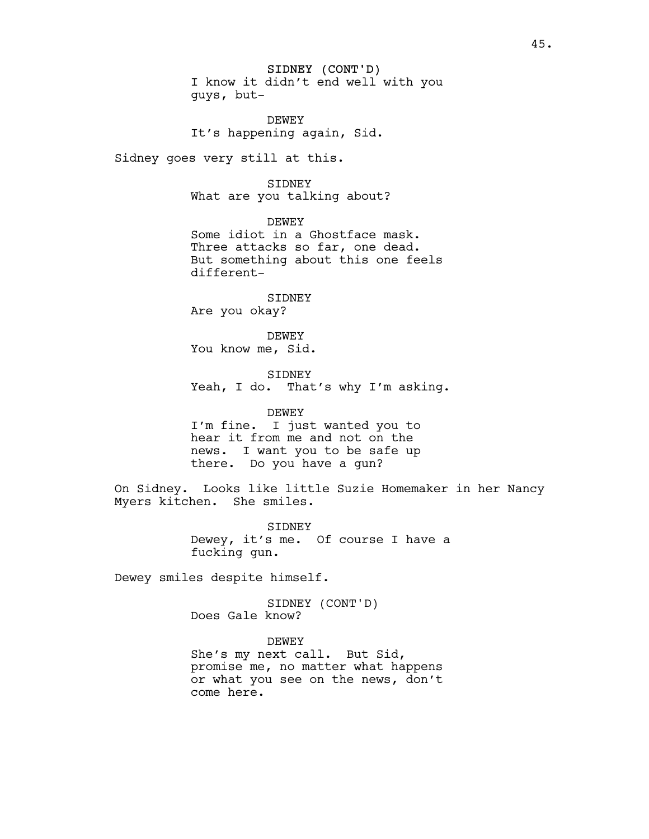SIDNEY (CONT'D) I know it didn't end well with you guys, but-

DEWEY It's happening again, Sid.

Sidney goes very still at this.

SIDNEY

What are you talking about?

DEWEY Some idiot in a Ghostface mask. Three attacks so far, one dead. But something about this one feels different-

SIDNEY Are you okay?

DEWEY You know me, Sid.

SIDNEY Yeah, I do. That's why I'm asking.

DEWEY I'm fine. I just wanted you to hear it from me and not on the news. I want you to be safe up there. Do you have a gun?

On Sidney. Looks like little Suzie Homemaker in her Nancy Myers kitchen. She smiles.

> SIDNEY Dewey, it's me. Of course I have a fucking gun.

Dewey smiles despite himself.

SIDNEY (CONT'D) Does Gale know?

DEWEY

She's my next call. But Sid, promise me, no matter what happens or what you see on the news, don't come here.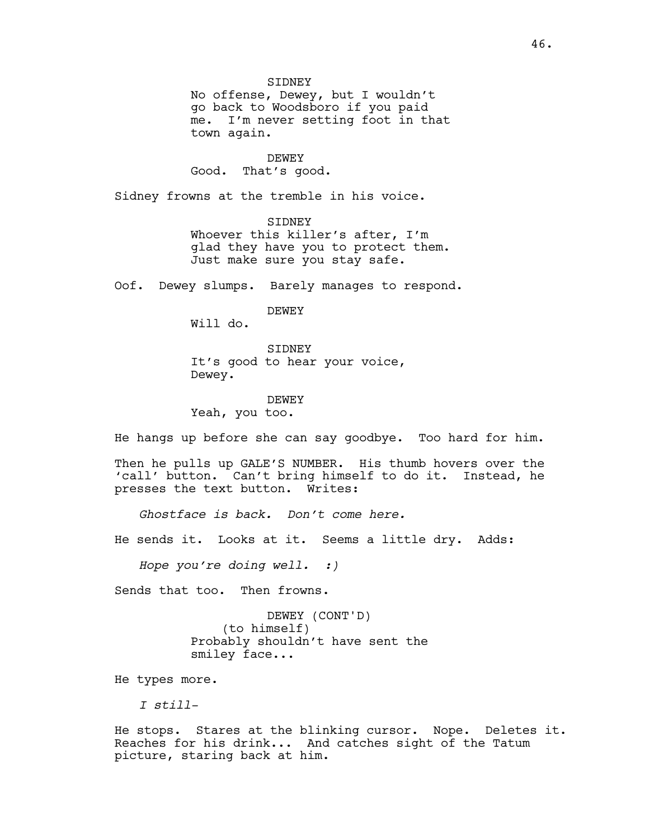**STDNEY** No offense, Dewey, but I wouldn't go back to Woodsboro if you paid me. I'm never setting foot in that town again.

DEWEY Good. That's good.

Sidney frowns at the tremble in his voice.

SIDNEY Whoever this killer's after, I'm glad they have you to protect them. Just make sure you stay safe.

Oof. Dewey slumps. Barely manages to respond.

DEWEY

Will do.

SIDNEY It's good to hear your voice, Dewey.

DEWEY Yeah, you too.

He hangs up before she can say goodbye. Too hard for him.

Then he pulls up GALE'S NUMBER. His thumb hovers over the 'call' button. Can't bring himself to do it. Instead, he presses the text button. Writes:

*Ghostface is back. Don't come here.*

He sends it. Looks at it. Seems a little dry. Adds:

*Hope you're doing well. :)*

Sends that too. Then frowns.

DEWEY (CONT'D) (to himself) Probably shouldn't have sent the smiley face...

He types more.

*I still-*

He stops. Stares at the blinking cursor. Nope. Deletes it. Reaches for his drink... And catches sight of the Tatum picture, staring back at him.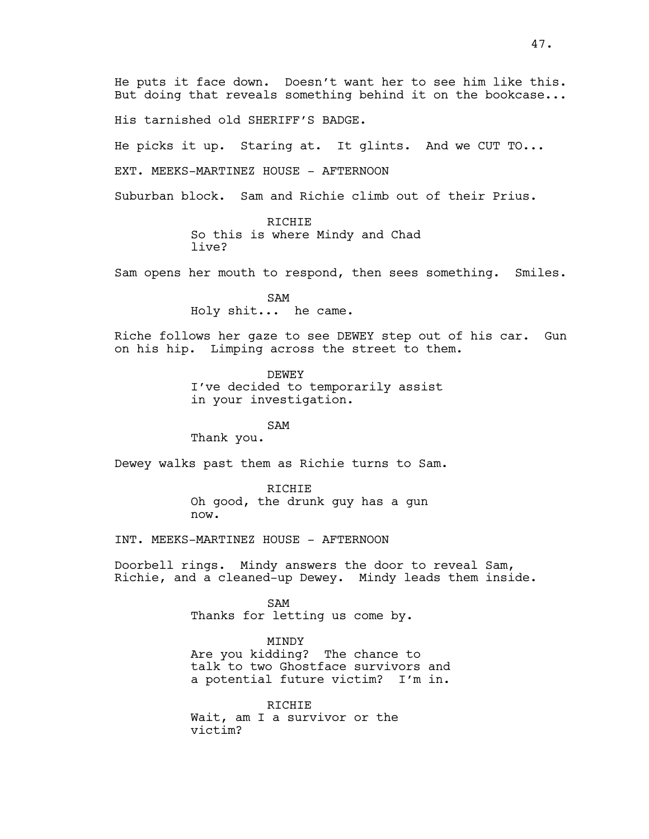His tarnished old SHERIFF'S BADGE.

He picks it up. Staring at. It glints. And we CUT TO...

EXT. MEEKS-MARTINEZ HOUSE - AFTERNOON

Suburban block. Sam and Richie climb out of their Prius.

RICHIE So this is where Mindy and Chad live?

Sam opens her mouth to respond, then sees something. Smiles.

SAM Holy shit... he came.

Riche follows her gaze to see DEWEY step out of his car. Gun on his hip. Limping across the street to them.

> DEWEY I've decided to temporarily assist in your investigation.

SAM Thank you.

Dewey walks past them as Richie turns to Sam.

RICHIE Oh good, the drunk guy has a gun now.

INT. MEEKS-MARTINEZ HOUSE - AFTERNOON

Doorbell rings. Mindy answers the door to reveal Sam, Richie, and a cleaned-up Dewey. Mindy leads them inside.

> SAM Thanks for letting us come by.

MINDY Are you kidding? The chance to talk to two Ghostface survivors and a potential future victim? I'm in.

RICHIE Wait, am I a survivor or the victim?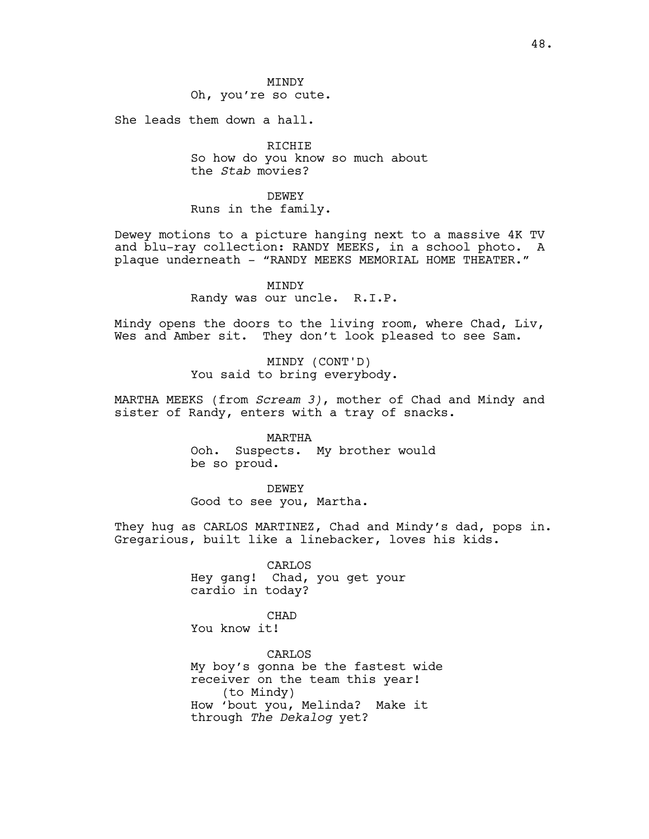**MTNDY** Oh, you're so cute.

She leads them down a hall.

RICHIE So how do you know so much about the *Stab* movies?

DEWEY Runs in the family.

Dewey motions to a picture hanging next to a massive 4K TV and blu-ray collection: RANDY MEEKS, in a school photo. A plaque underneath - "RANDY MEEKS MEMORIAL HOME THEATER."

> MINDY Randy was our uncle. R.I.P.

Mindy opens the doors to the living room, where Chad, Liv, Wes and Amber sit. They don't look pleased to see Sam.

> MINDY (CONT'D) You said to bring everybody.

MARTHA MEEKS (from *Scream 3)*, mother of Chad and Mindy and sister of Randy, enters with a tray of snacks.

> MARTHA Ooh. Suspects. My brother would be so proud.

DEWEY Good to see you, Martha.

They hug as CARLOS MARTINEZ, Chad and Mindy's dad, pops in. Gregarious, built like a linebacker, loves his kids.

> CARLOS Hey gang! Chad, you get your cardio in today?

CHAD You know it!

CARLOS My boy's gonna be the fastest wide receiver on the team this year! (to Mindy) How 'bout you, Melinda? Make it through *The Dekalog* yet?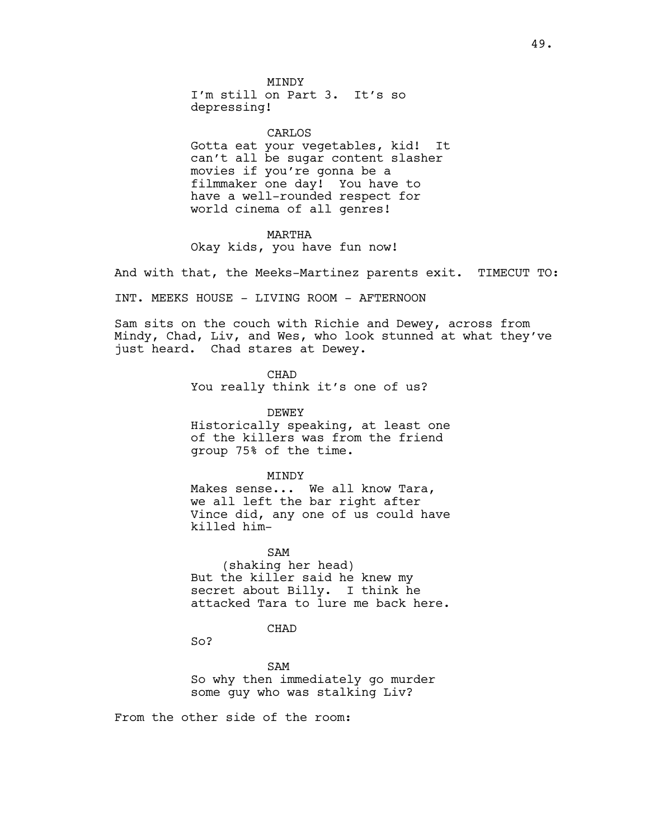**MTNDY** I'm still on Part 3. It's so depressing!

CARLOS Gotta eat your vegetables, kid! It can't all be sugar content slasher movies if you're gonna be a filmmaker one day! You have to have a well-rounded respect for world cinema of all genres!

### MARTHA

Okay kids, you have fun now!

And with that, the Meeks-Martinez parents exit. TIMECUT TO:

INT. MEEKS HOUSE - LIVING ROOM - AFTERNOON

Sam sits on the couch with Richie and Dewey, across from Mindy, Chad, Liv, and Wes, who look stunned at what they've just heard. Chad stares at Dewey.

> CHAD You really think it's one of us?

DEWEY Historically speaking, at least one of the killers was from the friend group 75% of the time.

## MINDY

Makes sense... We all know Tara, we all left the bar right after Vince did, any one of us could have killed him-

SAM (shaking her head) But the killer said he knew my secret about Billy. I think he attacked Tara to lure me back here.

#### CHAD

So?

SAM So why then immediately go murder some guy who was stalking Liv?

From the other side of the room: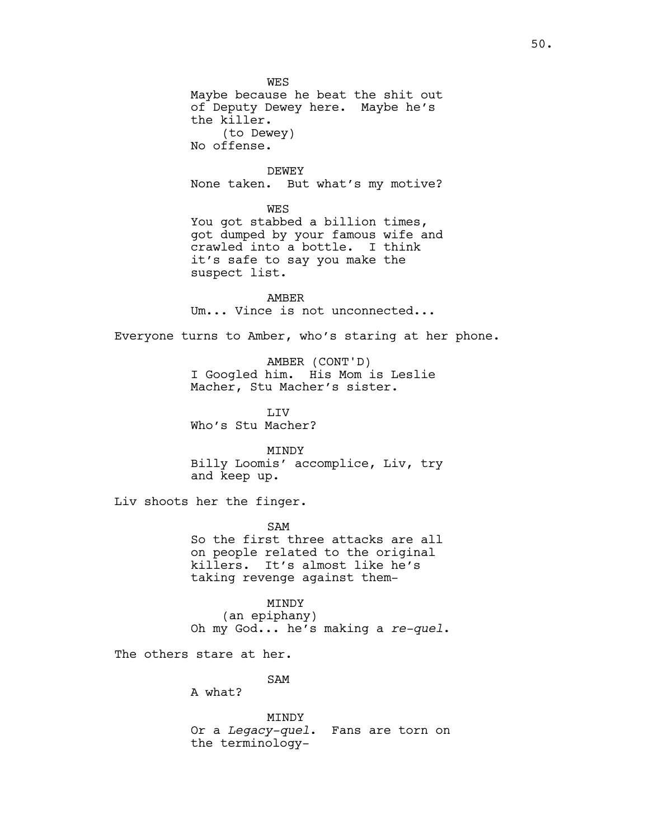**WES** Maybe because he beat the shit out of Deputy Dewey here. Maybe he's the killer. (to Dewey) No offense. DEWEY None taken. But what's my motive? WES You got stabbed a billion times, got dumped by your famous wife and crawled into a bottle. I think it's safe to say you make the suspect list. AMBER Um... Vince is not unconnected... Everyone turns to Amber, who's staring at her phone. AMBER (CONT'D) I Googled him. His Mom is Leslie Macher, Stu Macher's sister. **T.TV** Who's Stu Macher? MINDY Billy Loomis' accomplice, Liv, try and keep up. Liv shoots her the finger. SAM So the first three attacks are all on people related to the original killers. It's almost like he's taking revenge against them-MINDY (an epiphany) Oh my God... he's making a *re-quel*. The others stare at her. SAM A what? MINDY

Or a *Legacy-quel*. Fans are torn on the terminology-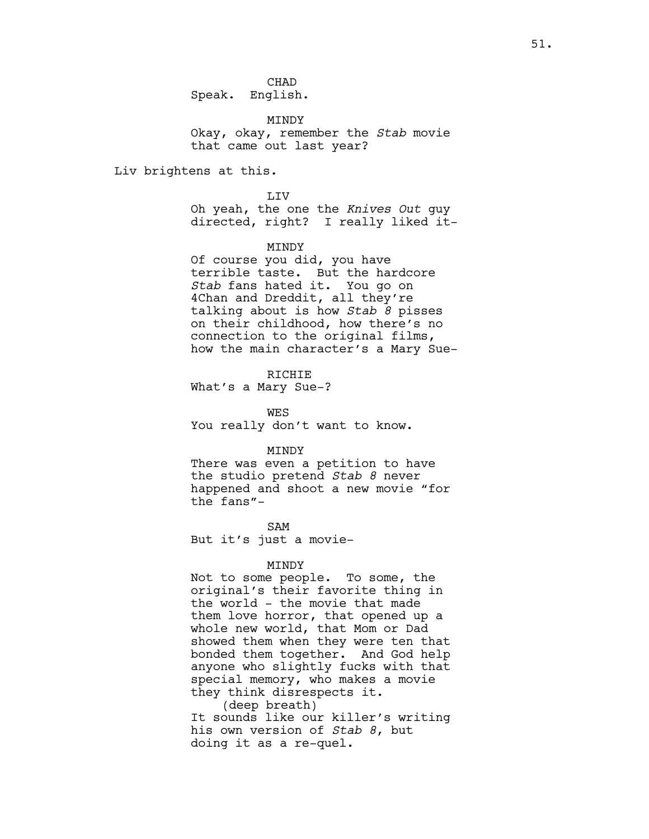**CHAD** Speak. English.

MINDY Okay, okay, remember the *Stab* movie that came out last year?

Liv brightens at this.

LIV Oh yeah, the one the *Knives Out* guy directed, right? I really liked it-

MINDY

Of course you did, you have terrible taste. But the hardcore *Stab* fans hated it. You go on 4Chan and Dreddit, all they're talking about is how *Stab 8* pisses on their childhood, how there's no connection to the original films, how the main character's a Mary Sue-

RICHIE What's a Mary Sue-?

WES You really don't want to know.

#### MINDY

There was even a petition to have the studio pretend *Stab 8* never happened and shoot a new movie "for the fans"-

SAM But it's just a movie-

### MINDY

Not to some people. To some, the original's their favorite thing in the world - the movie that made them love horror, that opened up a whole new world, that Mom or Dad showed them when they were ten that bonded them together. And God help anyone who slightly fucks with that special memory, who makes a movie they think disrespects it.

(deep breath) It sounds like our killer's writing his own version of *Stab 8*, but doing it as a re-quel.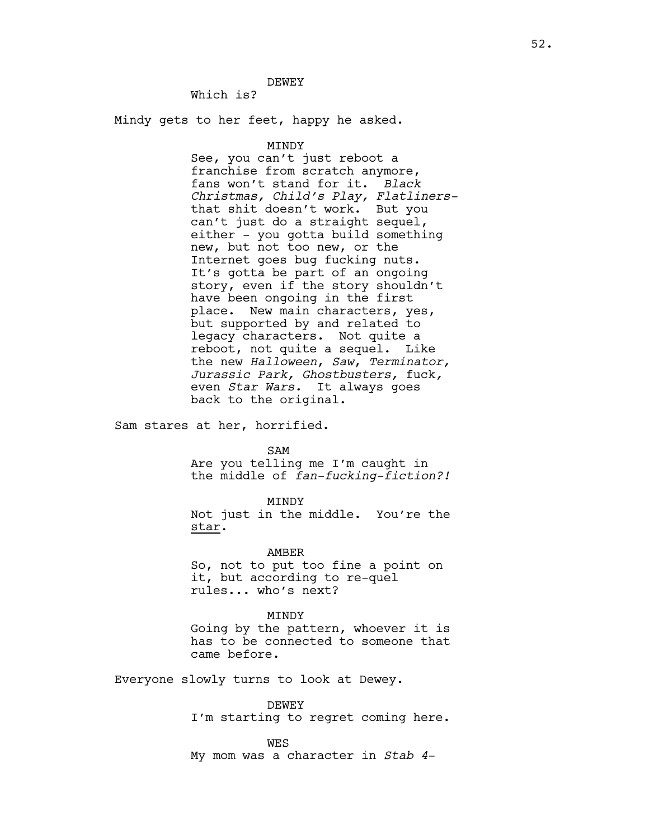DEWEY

Which is?

Mindy gets to her feet, happy he asked.

MINDY

See, you can't just reboot a franchise from scratch anymore, fans won't stand for it. *Black Christmas, Child's Play, Flatliners*that shit doesn't work. But you can't just do a straight sequel, either - you gotta build something new, but not too new, or the Internet goes bug fucking nuts. It's gotta be part of an ongoing story, even if the story shouldn't have been ongoing in the first place. New main characters, yes, but supported by and related to legacy characters. Not quite a reboot, not quite a sequel. Like the new *Halloween*, *Saw*, *Terminator, Jurassic Park, Ghostbusters,* fuck*,*  even *Star Wars.* It always goes back to the original.

Sam stares at her, horrified.

SAM

Are you telling me I'm caught in the middle of *fan-fucking-fiction?!*

MINDY Not just in the middle. You're the star.

AMBER So, not to put too fine a point on it, but according to re-quel rules... who's next?

MINDY

Going by the pattern, whoever it is has to be connected to someone that came before.

Everyone slowly turns to look at Dewey.

DEWEY I'm starting to regret coming here.

WES My mom was a character in *Stab 4*-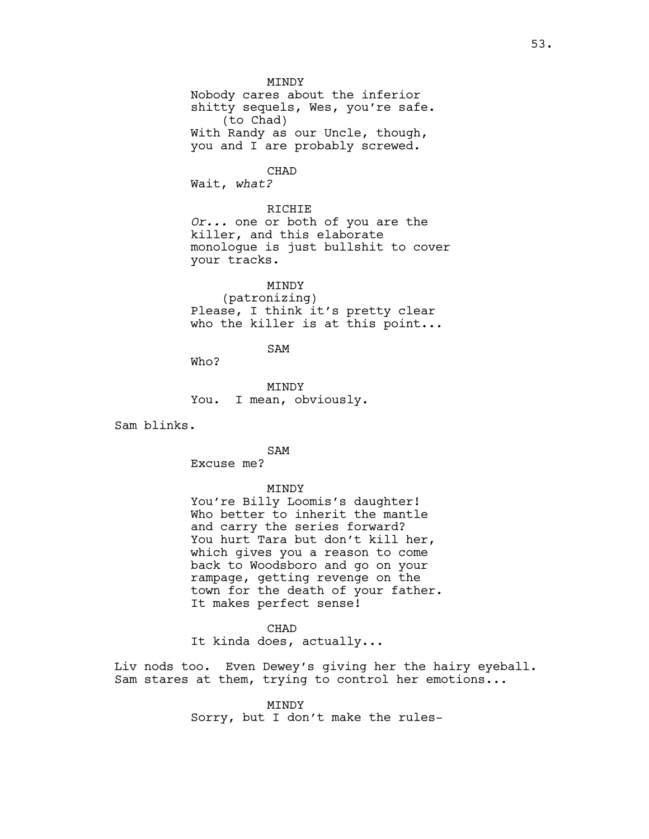MINDY Nobody cares about the inferior shitty sequels, Wes, you're safe. (to Chad) With Randy as our Uncle, though, you and I are probably screwed.

CHAD

Wait, *what?*

RICHIE *Or...* one or both of you are the killer, and this elaborate monologue is just bullshit to cover your tracks.

MINDY (patronizing) Please, I think it's pretty clear who the killer is at this point...

SAM

Who?

MINDY You. I mean, obviously.

Sam blinks.

SAM

Excuse me?

## MINDY

You're Billy Loomis's daughter! Who better to inherit the mantle and carry the series forward? You hurt Tara but don't kill her, which gives you a reason to come back to Woodsboro and go on your rampage, getting revenge on the town for the death of your father. It makes perfect sense!

CHAD

It kinda does, actually...

Liv nods too. Even Dewey's giving her the hairy eyeball. Sam stares at them, trying to control her emotions...

> MINDY Sorry, but I don't make the rules-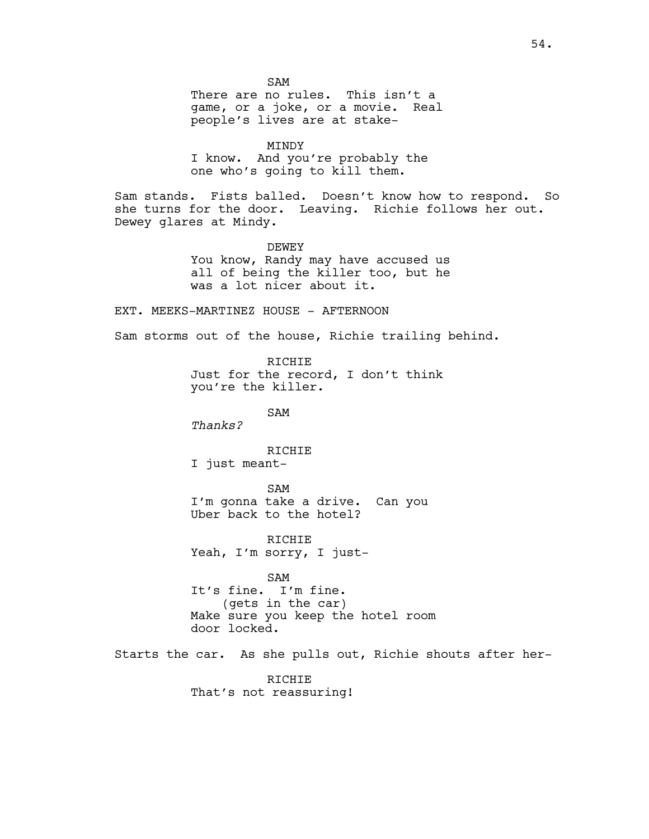SAM There are no rules. This isn't a game, or a joke, or a movie. Real people's lives are at stake-

MINDY I know. And you're probably the one who's going to kill them.

Sam stands. Fists balled. Doesn't know how to respond. So she turns for the door. Leaving. Richie follows her out. Dewey glares at Mindy.

> DEWEY You know, Randy may have accused us all of being the killer too, but he was a lot nicer about it.

EXT. MEEKS-MARTINEZ HOUSE - AFTERNOON

Sam storms out of the house, Richie trailing behind.

RICHIE Just for the record, I don't think you're the killer.

SAM

*Thanks?*

**RICHIE** 

I just meant-

SAM I'm gonna take a drive. Can you Uber back to the hotel?

RICHIE Yeah, I'm sorry, I just-

SAM It's fine. I'm fine. (gets in the car) Make sure you keep the hotel room door locked.

Starts the car. As she pulls out, Richie shouts after her-

RICHIE That's not reassuring!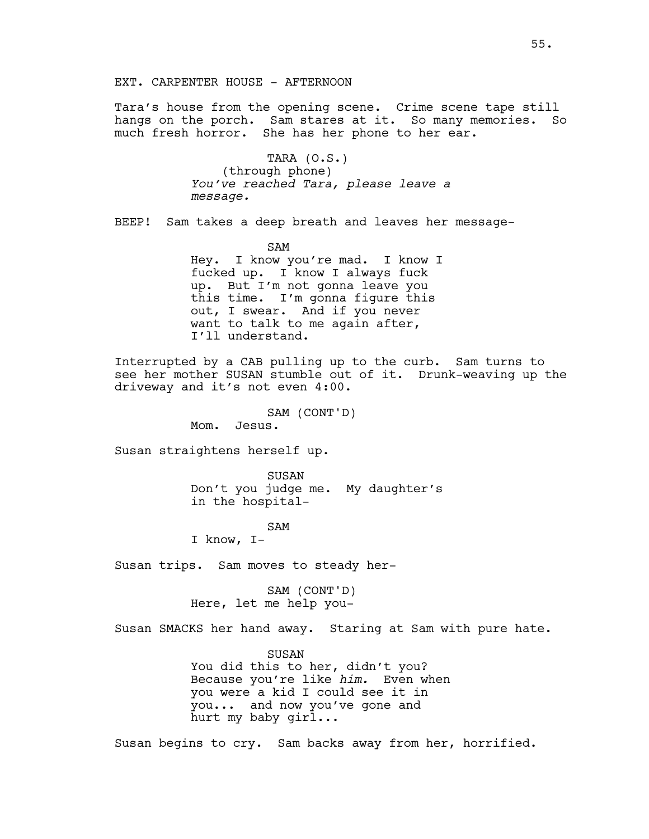EXT. CARPENTER HOUSE - AFTERNOON

Tara's house from the opening scene. Crime scene tape still hangs on the porch. Sam stares at it. So many memories. So much fresh horror. She has her phone to her ear.

> TARA (O.S.) (through phone) *You've reached Tara, please leave a message.*

BEEP! Sam takes a deep breath and leaves her message-

SAM Hey. I know you're mad. I know I fucked up. I know I always fuck up. But I'm not gonna leave you this time. I'm gonna figure this out, I swear. And if you never want to talk to me again after, I'll understand.

Interrupted by a CAB pulling up to the curb. Sam turns to see her mother SUSAN stumble out of it. Drunk-weaving up the driveway and it's not even 4:00.

SAM (CONT'D)

Mom. Jesus.

Susan straightens herself up.

SUSAN Don't you judge me. My daughter's in the hospital-

## SAM

I know, I-

Susan trips. Sam moves to steady her-

SAM (CONT'D) Here, let me help you-

Susan SMACKS her hand away. Staring at Sam with pure hate.

SUSAN You did this to her, didn't you? Because you're like *him.* Even when you were a kid I could see it in you... and now you've gone and hurt my baby girl...

Susan begins to cry. Sam backs away from her, horrified.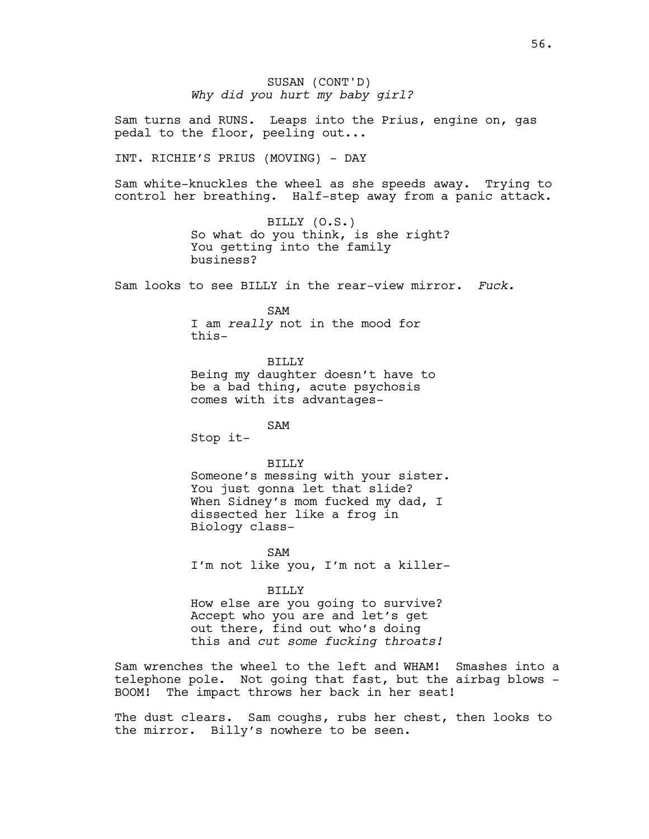SUSAN (CONT'D) *Why did you hurt my baby girl?*

Sam turns and RUNS. Leaps into the Prius, engine on, gas pedal to the floor, peeling out...

INT. RICHIE'S PRIUS (MOVING) - DAY

Sam white-knuckles the wheel as she speeds away. Trying to control her breathing. Half-step away from a panic attack.

> BILLY (O.S.) So what do you think, is she right? You getting into the family business?

Sam looks to see BILLY in the rear-view mirror. *Fuck.*

SAM

I am *really* not in the mood for this-

BILLY

Being my daughter doesn't have to be a bad thing, acute psychosis comes with its advantages-

SAM

Stop it-

## BILLY

Someone's messing with your sister. You just gonna let that slide? When Sidney's mom fucked my dad, I dissected her like a frog in Biology class-

SAM I'm not like you, I'm not a killer-

#### BILLY

How else are you going to survive? Accept who you are and let's get out there, find out who's doing this and *cut some fucking throats!*

Sam wrenches the wheel to the left and WHAM! Smashes into a telephone pole. Not going that fast, but the airbag blows - BOOM! The impact throws her back in her seat!

The dust clears. Sam coughs, rubs her chest, then looks to the mirror. Billy's nowhere to be seen.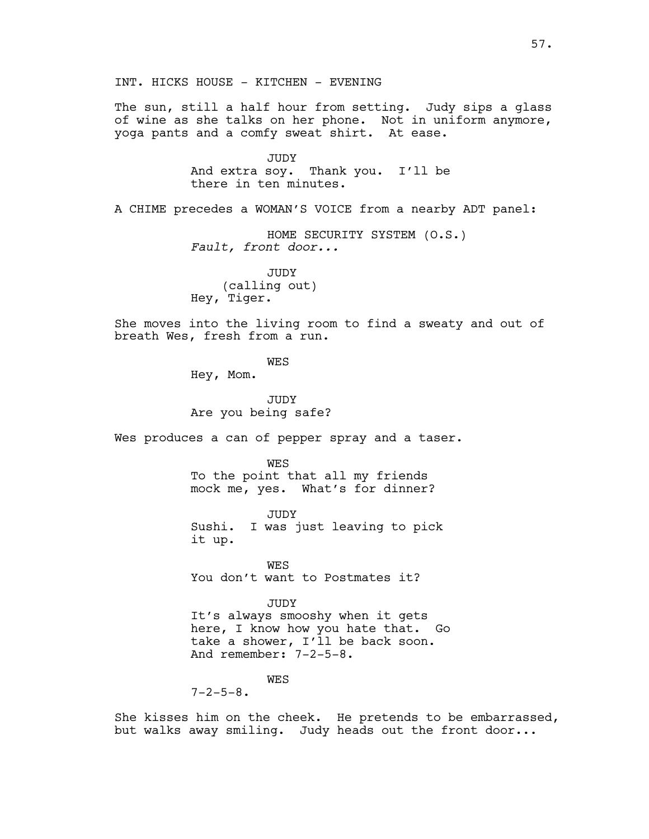INT. HICKS HOUSE - KITCHEN - EVENING

The sun, still a half hour from setting. Judy sips a glass of wine as she talks on her phone. Not in uniform anymore, yoga pants and a comfy sweat shirt. At ease.

> JUDY And extra soy. Thank you. I'll be there in ten minutes.

A CHIME precedes a WOMAN'S VOICE from a nearby ADT panel:

HOME SECURITY SYSTEM (O.S.) *Fault, front door...*

JUDY (calling out) Hey, Tiger.

She moves into the living room to find a sweaty and out of breath Wes, fresh from a run.

**WES** 

Hey, Mom.

JUDY Are you being safe?

Wes produces a can of pepper spray and a taser.

WES

To the point that all my friends mock me, yes. What's for dinner?

JUDY Sushi. I was just leaving to pick it up.

WES You don't want to Postmates it?

JUDY

It's always smooshy when it gets here, I know how you hate that. Go take a shower, I'll be back soon. And remember: 7-2-5-8.

WES

 $7 - 2 - 5 - 8$ .

She kisses him on the cheek. He pretends to be embarrassed, but walks away smiling. Judy heads out the front door...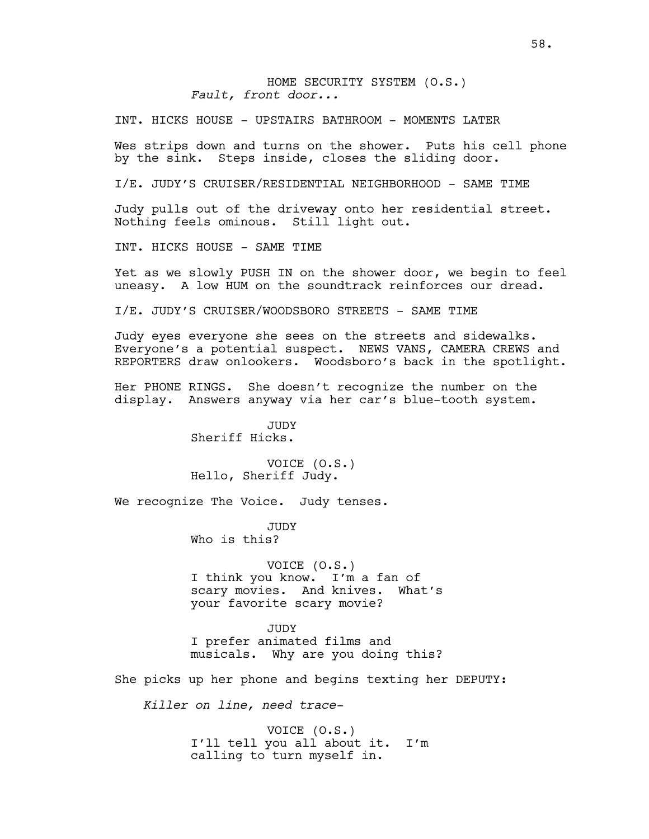HOME SECURITY SYSTEM (O.S.) *Fault, front door...*

INT. HICKS HOUSE - UPSTAIRS BATHROOM - MOMENTS LATER

Wes strips down and turns on the shower. Puts his cell phone by the sink. Steps inside, closes the sliding door.

I/E. JUDY'S CRUISER/RESIDENTIAL NEIGHBORHOOD - SAME TIME

Judy pulls out of the driveway onto her residential street. Nothing feels ominous. Still light out.

INT. HICKS HOUSE - SAME TIME

Yet as we slowly PUSH IN on the shower door, we begin to feel uneasy. A low HUM on the soundtrack reinforces our dread.

I/E. JUDY'S CRUISER/WOODSBORO STREETS - SAME TIME

Judy eyes everyone she sees on the streets and sidewalks. Everyone's a potential suspect. NEWS VANS, CAMERA CREWS and REPORTERS draw onlookers. Woodsboro's back in the spotlight.

Her PHONE RINGS. She doesn't recognize the number on the display. Answers anyway via her car's blue-tooth system.

> JUDY Sheriff Hicks.

VOICE (O.S.) Hello, Sheriff Judy.

We recognize The Voice. Judy tenses.

JUDY Who is this?

VOICE (O.S.) I think you know. I'm a fan of scary movies. And knives. What's your favorite scary movie?

JUDY I prefer animated films and musicals. Why are you doing this?

She picks up her phone and begins texting her DEPUTY:

*Killer on line, need trace-*

VOICE (O.S.) I'll tell you all about it. I'm calling to turn myself in.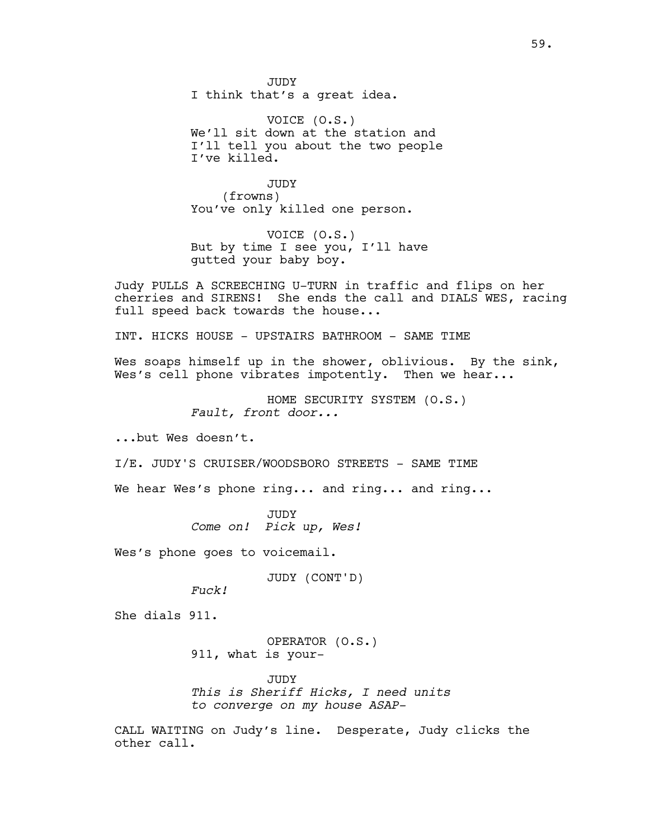JUDY I think that's a great idea.

VOICE (O.S.) We'll sit down at the station and I'll tell you about the two people I've killed.

JUDY (frowns) You've only killed one person.

VOICE (O.S.) But by time I see you, I'll have gutted your baby boy.

Judy PULLS A SCREECHING U-TURN in traffic and flips on her cherries and SIRENS! She ends the call and DIALS WES, racing full speed back towards the house...

INT. HICKS HOUSE - UPSTAIRS BATHROOM - SAME TIME

Wes soaps himself up in the shower, oblivious. By the sink, Wes's cell phone vibrates impotently. Then we hear...

> HOME SECURITY SYSTEM (O.S.) *Fault, front door...*

...but Wes doesn't.

I/E. JUDY'S CRUISER/WOODSBORO STREETS - SAME TIME

We hear Wes's phone ring... and ring... and ring...

JUDY *Come on! Pick up, Wes!*

Wes's phone goes to voicemail.

JUDY (CONT'D)

*Fuck!*

She dials 911.

OPERATOR (O.S.) 911, what is your-

JUDY *This is Sheriff Hicks, I need units to converge on my house ASAP-*

CALL WAITING on Judy's line. Desperate, Judy clicks the other call.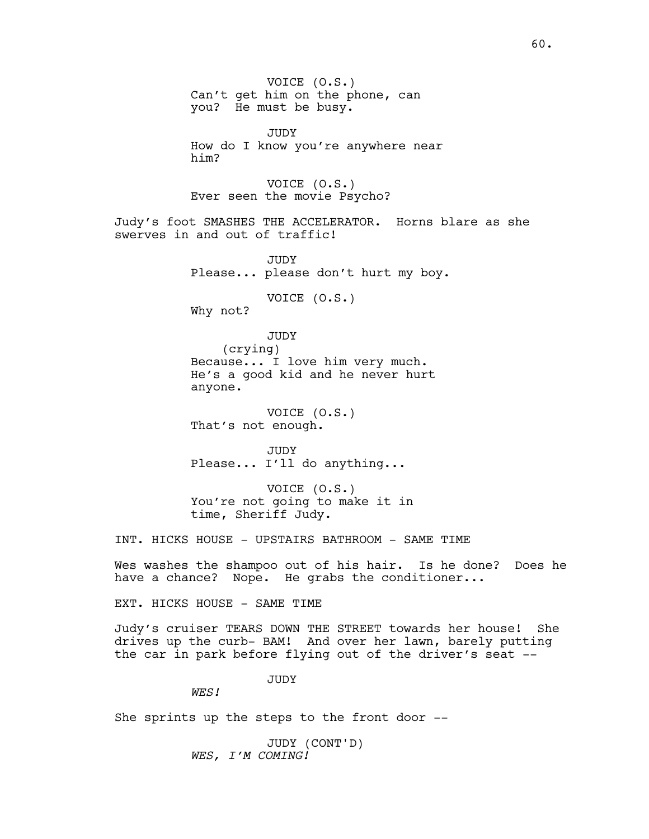VOICE (O.S.) Can't get him on the phone, can you? He must be busy.

JUDY How do I know you're anywhere near him?

VOICE (O.S.) Ever seen the movie Psycho?

Judy's foot SMASHES THE ACCELERATOR. Horns blare as she swerves in and out of traffic!

> JUDY Please... please don't hurt my boy.

> > VOICE (O.S.)

Why not?

JUDY (crying) Because... I love him very much. He's a good kid and he never hurt anyone.

VOICE (O.S.) That's not enough.

JUDY Please... I'll do anything...

VOICE (O.S.) You're not going to make it in time, Sheriff Judy.

INT. HICKS HOUSE - UPSTAIRS BATHROOM - SAME TIME

Wes washes the shampoo out of his hair. Is he done? Does he have a chance? Nope. He grabs the conditioner...

EXT. HICKS HOUSE - SAME TIME

Judy's cruiser TEARS DOWN THE STREET towards her house! She drives up the curb- BAM! And over her lawn, barely putting the car in park before flying out of the driver's seat --

JUDY

*WES!*

She sprints up the steps to the front door --

JUDY (CONT'D) *WES, I'M COMING!*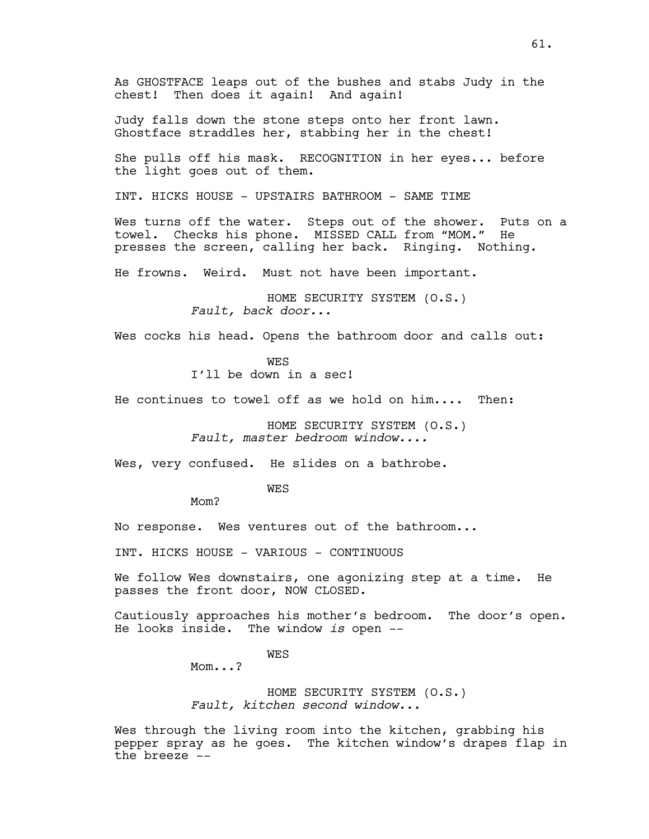Judy falls down the stone steps onto her front lawn. Ghostface straddles her, stabbing her in the chest!

She pulls off his mask. RECOGNITION in her eyes... before the light goes out of them.

INT. HICKS HOUSE - UPSTAIRS BATHROOM - SAME TIME

Wes turns off the water. Steps out of the shower. Puts on a towel. Checks his phone. MISSED CALL from "MOM." He presses the screen, calling her back. Ringing. Nothing.

He frowns. Weird. Must not have been important.

HOME SECURITY SYSTEM (O.S.) *Fault, back door...*

Wes cocks his head. Opens the bathroom door and calls out:

**WES** 

I'll be down in a sec!

He continues to towel off as we hold on him.... Then:

HOME SECURITY SYSTEM (O.S.) *Fault, master bedroom window....*

Wes, very confused. He slides on a bathrobe.

WES

Mom?

No response. Wes ventures out of the bathroom...

INT. HICKS HOUSE - VARIOUS - CONTINUOUS

We follow Wes downstairs, one agonizing step at a time. He passes the front door, NOW CLOSED.

Cautiously approaches his mother's bedroom. The door's open. He looks inside. The window *is* open --

WES

Mom...?

HOME SECURITY SYSTEM (O.S.) *Fault, kitchen second window...*

Wes through the living room into the kitchen, grabbing his pepper spray as he goes. The kitchen window's drapes flap in the breeze --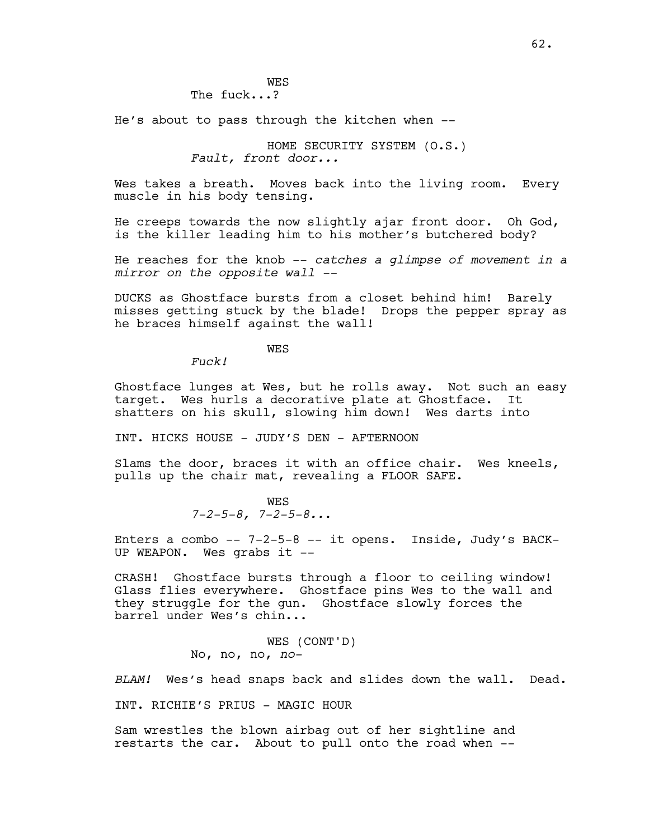**WES** The fuck...?

He's about to pass through the kitchen when --

HOME SECURITY SYSTEM (O.S.) *Fault, front door...*

Wes takes a breath. Moves back into the living room. Every muscle in his body tensing.

He creeps towards the now slightly ajar front door. Oh God, is the killer leading him to his mother's butchered body?

He reaches for the knob -- *catches a glimpse of movement in a mirror on the opposite wall --*

DUCKS as Ghostface bursts from a closet behind him! Barely misses getting stuck by the blade! Drops the pepper spray as he braces himself against the wall!

**WES** 

*Fuck!*

Ghostface lunges at Wes, but he rolls away. Not such an easy target. Wes hurls a decorative plate at Ghostface. It shatters on his skull, slowing him down! Wes darts into

INT. HICKS HOUSE - JUDY'S DEN - AFTERNOON

Slams the door, braces it with an office chair. Wes kneels, pulls up the chair mat, revealing a FLOOR SAFE.

> **WES** *7-2-5-8, 7-2-5-8..*.

Enters a combo -- 7-2-5-8 -- it opens. Inside, Judy's BACK-UP WEAPON. Wes grabs it --

CRASH! Ghostface bursts through a floor to ceiling window! Glass flies everywhere. Ghostface pins Wes to the wall and they struggle for the gun. Ghostface slowly forces the barrel under Wes's chin...

> WES (CONT'D) No, no, no, *no-*

*BLAM!* Wes's head snaps back and slides down the wall. Dead.

INT. RICHIE'S PRIUS - MAGIC HOUR

Sam wrestles the blown airbag out of her sightline and restarts the car. About to pull onto the road when --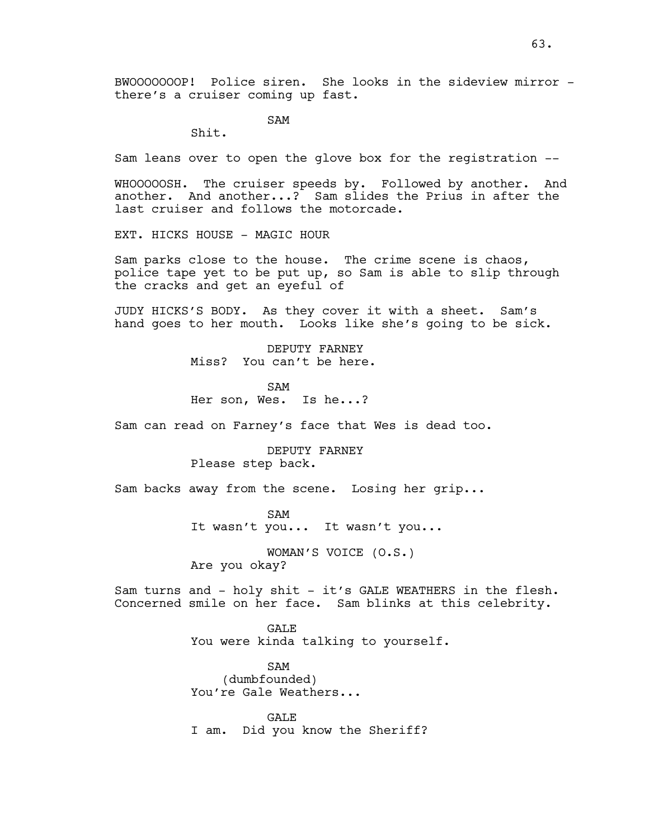SAM

Shit.

Sam leans over to open the glove box for the registration --

WHOOOOOSH. The cruiser speeds by. Followed by another. And another. And another...? Sam slides the Prius in after the last cruiser and follows the motorcade.

EXT. HICKS HOUSE - MAGIC HOUR

Sam parks close to the house. The crime scene is chaos, police tape yet to be put up, so Sam is able to slip through the cracks and get an eyeful of

JUDY HICKS'S BODY. As they cover it with a sheet. Sam's hand goes to her mouth. Looks like she's going to be sick.

> DEPUTY FARNEY Miss? You can't be here.

SAM Her son, Wes. Is he...?

Sam can read on Farney's face that Wes is dead too.

DEPUTY FARNEY Please step back.

Sam backs away from the scene. Losing her grip...

SAM It wasn't you... It wasn't you...

WOMAN'S VOICE (O.S.) Are you okay?

Sam turns and - holy shit - it's GALE WEATHERS in the flesh. Concerned smile on her face. Sam blinks at this celebrity.

> **GALE** You were kinda talking to yourself.

SAM (dumbfounded) You're Gale Weathers...

GALE I am. Did you know the Sheriff?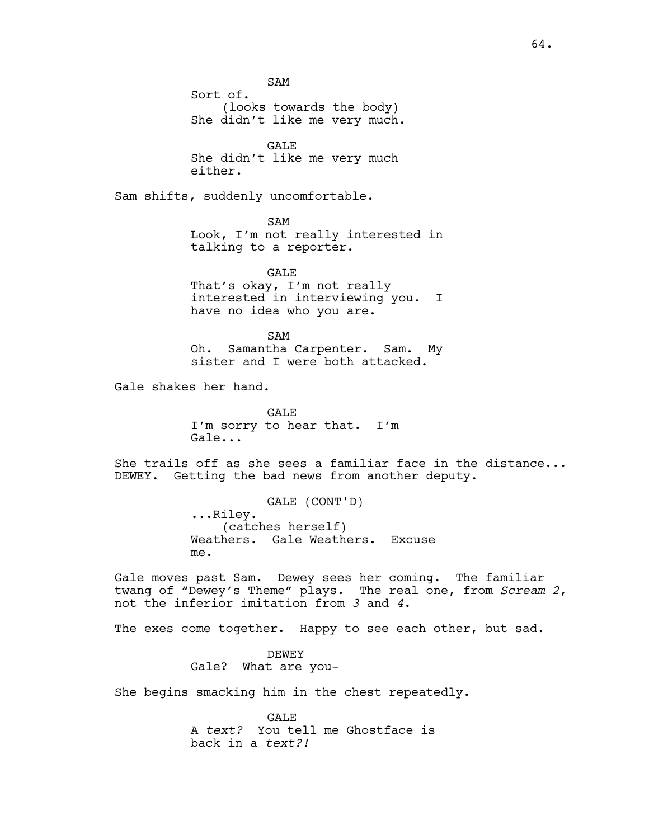SAM

Sort of. (looks towards the body) She didn't like me very much.

GALE She didn't like me very much either.

Sam shifts, suddenly uncomfortable.

SAM Look, I'm not really interested in talking to a reporter.

GALE That's okay, I'm not really interested in interviewing you. I have no idea who you are.

SAM Oh. Samantha Carpenter. Sam. My sister and I were both attacked.

Gale shakes her hand.

**GALE** I'm sorry to hear that. I'm Gale...

She trails off as she sees a familiar face in the distance... DEWEY. Getting the bad news from another deputy.

> GALE (CONT'D) ...Riley. (catches herself) Weathers. Gale Weathers. Excuse me.

Gale moves past Sam. Dewey sees her coming. The familiar twang of "Dewey's Theme" plays. The real one, from *Scream 2*, not the inferior imitation from *3* and *4*.

The exes come together. Happy to see each other, but sad.

DEWEY Gale? What are you-

She begins smacking him in the chest repeatedly.

GALE A *text?* You tell me Ghostface is back in a *text?!*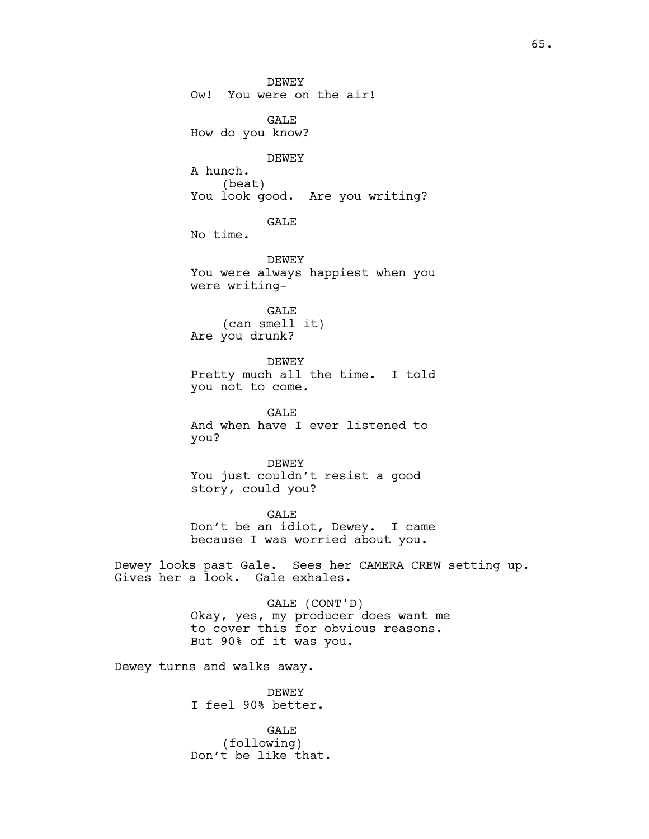DEWEY Ow! You were on the air! GALE How do you know? DEWEY A hunch. (beat) You look good. Are you writing? GALE No time. DEWEY You were always happiest when you were writing-GALE (can smell it) Are you drunk? DEWEY Pretty much all the time. I told you not to come. GALE And when have I ever listened to you? DEWEY You just couldn't resist a good story, could you? GALE Don't be an idiot, Dewey. I came because I was worried about you. Dewey looks past Gale. Sees her CAMERA CREW setting up. Gives her a look. Gale exhales. GALE (CONT'D) Okay, yes, my producer does want me to cover this for obvious reasons. But 90% of it was you. Dewey turns and walks away. DEWEY I feel 90% better.

> GALE (following) Don't be like that.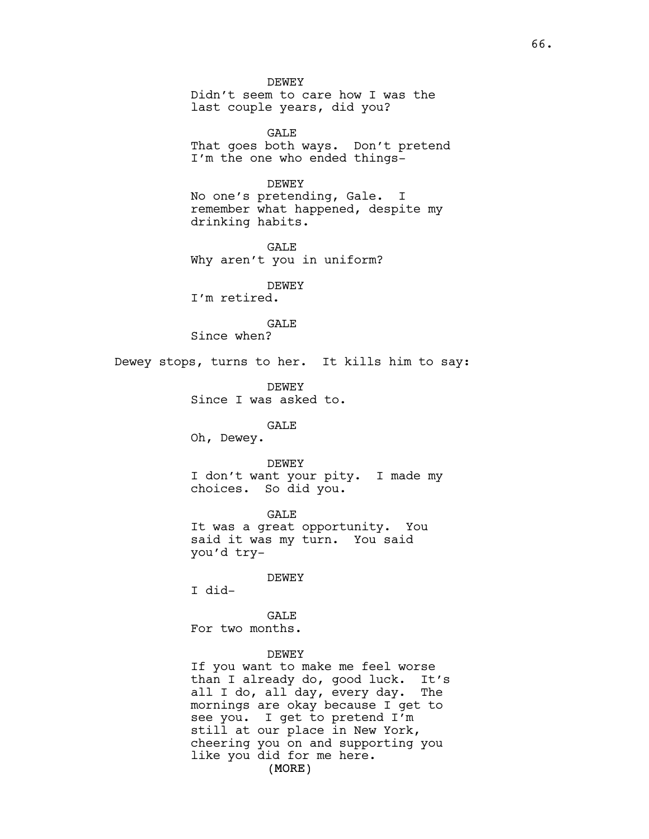DEWEY Didn't seem to care how I was the last couple years, did you?

GALE That goes both ways. Don't pretend I'm the one who ended things-

DEWEY

No one's pretending, Gale. I remember what happened, despite my drinking habits.

GALE Why aren't you in uniform?

DEWEY I'm retired.

**GALE** Since when?

Dewey stops, turns to her. It kills him to say:

DEWEY Since I was asked to.

# GALE

Oh, Dewey.

### DEWEY

I don't want your pity. I made my choices. So did you.

GALE It was a great opportunity. You said it was my turn. You said you'd try-

DEWEY

I did-

**GALE** For two months.

### DEWEY

(MORE) If you want to make me feel worse than I already do, good luck. It's all I do, all day, every day. The mornings are okay because I get to see you. I get to pretend I'm still at our place in New York, cheering you on and supporting you like you did for me here.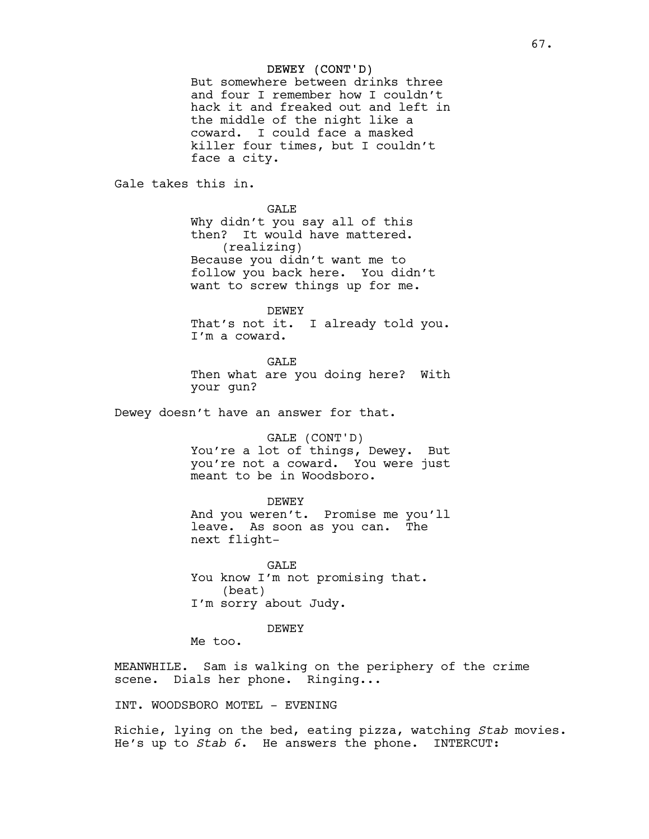## DEWEY (CONT'D)

But somewhere between drinks three and four I remember how I couldn't hack it and freaked out and left in the middle of the night like a coward. I could face a masked killer four times, but I couldn't face a city.

Gale takes this in.

# GALE

Why didn't you say all of this then? It would have mattered. (realizing) Because you didn't want me to follow you back here. You didn't want to screw things up for me.

DEWEY

That's not it. I already told you. I'm a coward.

**GALE** Then what are you doing here? With your gun?

Dewey doesn't have an answer for that.

## GALE (CONT'D)

You're a lot of things, Dewey. But you're not a coward. You were just meant to be in Woodsboro.

DEWEY

And you weren't. Promise me you'll leave. As soon as you can. The next flight-

GALE You know I'm not promising that. (beat) I'm sorry about Judy.

#### DEWEY

Me too.

MEANWHILE. Sam is walking on the periphery of the crime scene. Dials her phone. Ringing...

INT. WOODSBORO MOTEL - EVENING

Richie, lying on the bed, eating pizza, watching *Stab* movies. He's up to *Stab 6*. He answers the phone. INTERCUT: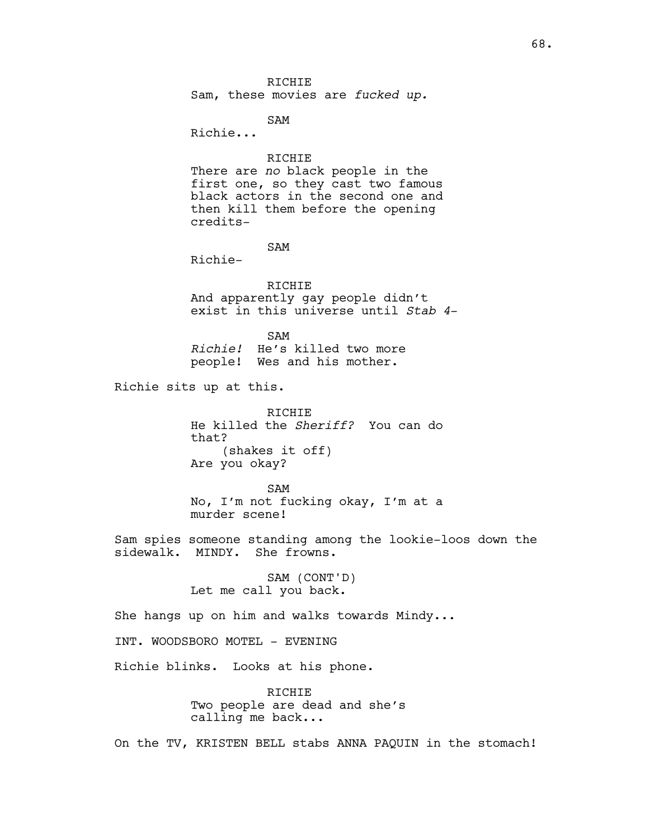RICHIE Sam, these movies are *fucked up.*

SAM

Richie...

RICHIE There are *no* black people in the first one, so they cast two famous black actors in the second one and then kill them before the opening credits-

# SAM

Richie-

RICHIE And apparently gay people didn't exist in this universe until *Stab 4*-

SAM *Richie!* He's killed two more people! Wes and his mother.

Richie sits up at this.

RICHIE He killed the *Sheriff?* You can do that? (shakes it off) Are you okay?

SAM No, I'm not fucking okay, I'm at a murder scene!

Sam spies someone standing among the lookie-loos down the sidewalk. MINDY. She frowns.

> SAM (CONT'D) Let me call you back.

She hangs up on him and walks towards Mindy...

INT. WOODSBORO MOTEL - EVENING

Richie blinks. Looks at his phone.

RICHIE Two people are dead and she's calling me back...

On the TV, KRISTEN BELL stabs ANNA PAQUIN in the stomach!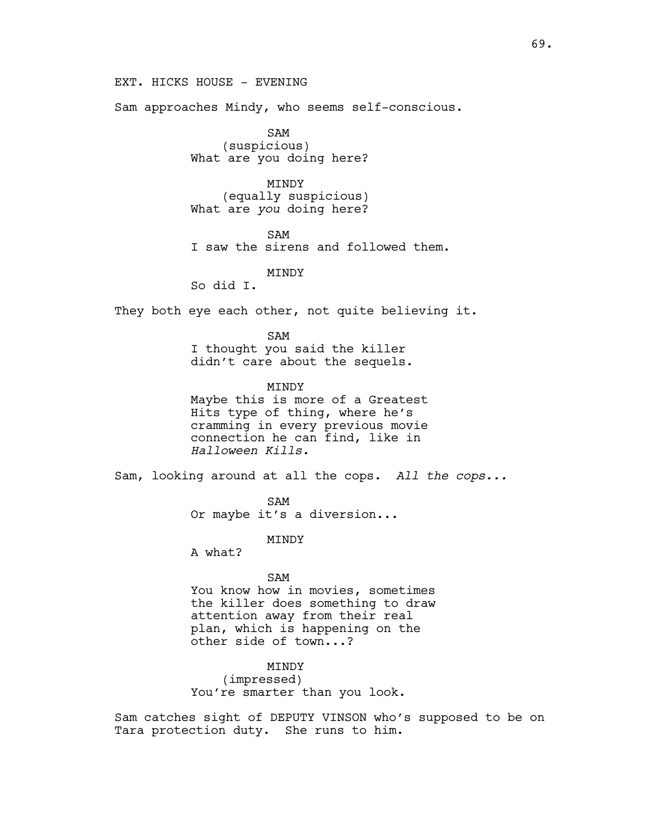EXT. HICKS HOUSE - EVENING

Sam approaches Mindy, who seems self-conscious.

SAM (suspicious) What are you doing here?

MINDY (equally suspicious) What are *you* doing here?

SAM

I saw the sirens and followed them.

MINDY

So did I.

They both eye each other, not quite believing it.

SAM I thought you said the killer didn't care about the sequels.

**MTNDY** Maybe this is more of a Greatest Hits type of thing, where he's cramming in every previous movie connection he can find, like in *Halloween Kills.*

Sam, looking around at all the cops. *All the cops...*

SAM Or maybe it's a diversion...

MINDY

A what?

SAM You know how in movies, sometimes the killer does something to draw attention away from their real plan, which is happening on the other side of town...?

MINDY (impressed) You're smarter than you look.

Sam catches sight of DEPUTY VINSON who's supposed to be on Tara protection duty. She runs to him.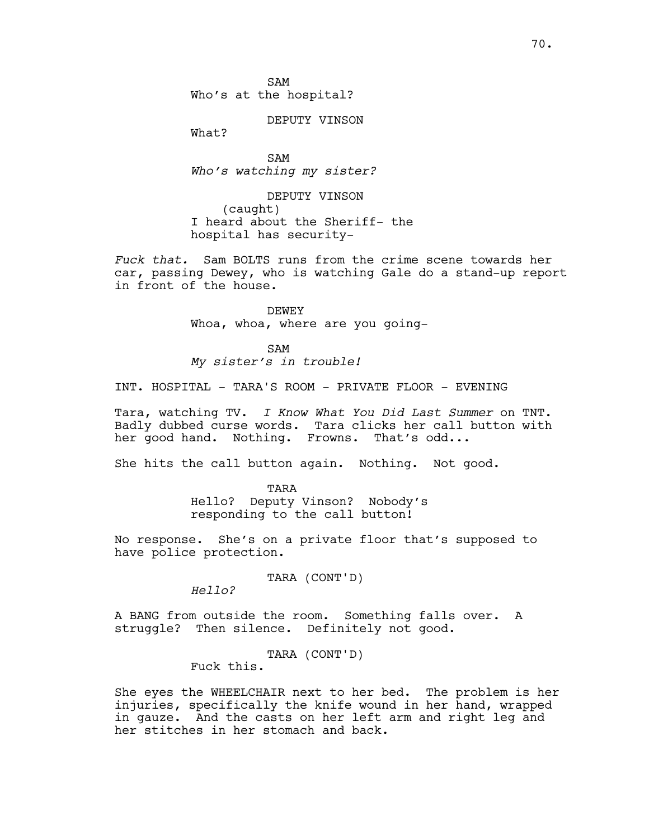SAM Who's at the hospital?

DEPUTY VINSON

What?

SAM *Who's watching my sister?*

DEPUTY VINSON (caught) I heard about the Sheriff- the hospital has security-

*Fuck that.* Sam BOLTS runs from the crime scene towards her car, passing Dewey, who is watching Gale do a stand-up report in front of the house.

> DEWEY Whoa, whoa, where are you going-

SAM *My sister's in trouble!*

INT. HOSPITAL - TARA'S ROOM - PRIVATE FLOOR - EVENING

Tara, watching TV. *I Know What You Did Last Summer* on TNT. Badly dubbed curse words. Tara clicks her call button with her good hand. Nothing. Frowns. That's odd...

She hits the call button again. Nothing. Not good.

TARA Hello? Deputy Vinson? Nobody's responding to the call button!

No response. She's on a private floor that's supposed to have police protection.

TARA (CONT'D)

*Hello?*

A BANG from outside the room. Something falls over. A struggle? Then silence. Definitely not good.

TARA (CONT'D)

Fuck this.

She eyes the WHEELCHAIR next to her bed. The problem is her injuries, specifically the knife wound in her hand, wrapped in gauze. And the casts on her left arm and right leg and her stitches in her stomach and back.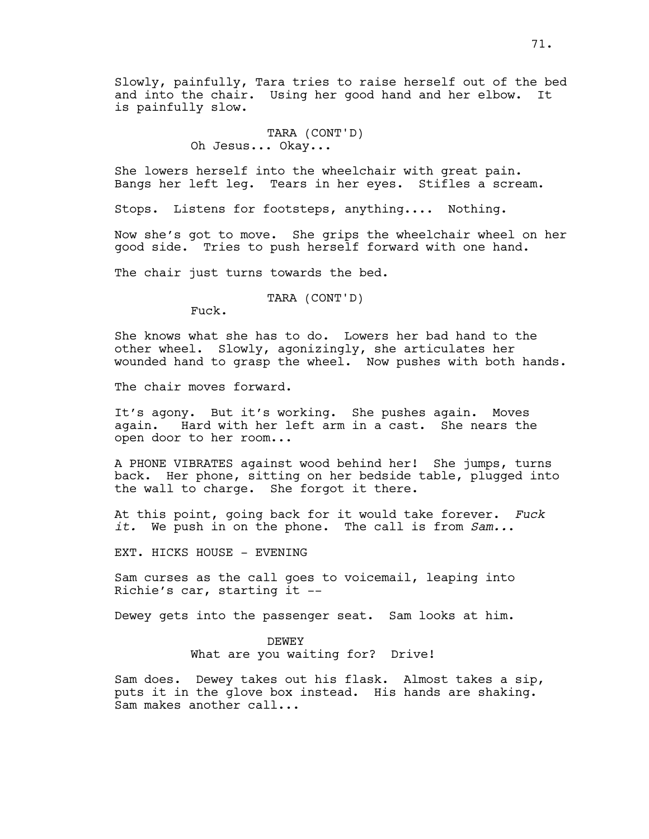Slowly, painfully, Tara tries to raise herself out of the bed and into the chair. Using her good hand and her elbow. It is painfully slow.

> TARA (CONT'D) Oh Jesus... Okay...

She lowers herself into the wheelchair with great pain. Bangs her left leg. Tears in her eyes. Stifles a scream.

Stops. Listens for footsteps, anything.... Nothing.

Now she's got to move. She grips the wheelchair wheel on her good side. Tries to push herself forward with one hand.

The chair just turns towards the bed.

TARA (CONT'D)

Fuck.

She knows what she has to do. Lowers her bad hand to the other wheel. Slowly, agonizingly, she articulates her wounded hand to grasp the wheel. Now pushes with both hands.

The chair moves forward.

It's agony. But it's working. She pushes again. Moves again. Hard with her left arm in a cast. She nears the open door to her room...

A PHONE VIBRATES against wood behind her! She jumps, turns back. Her phone, sitting on her bedside table, plugged into the wall to charge. She forgot it there.

At this point, going back for it would take forever. *Fuck it.* We push in on the phone. The call is from *Sam..*.

EXT. HICKS HOUSE - EVENING

Sam curses as the call goes to voicemail, leaping into Richie's car, starting it --

Dewey gets into the passenger seat. Sam looks at him.

DEWEY

What are you waiting for? Drive!

Sam does. Dewey takes out his flask. Almost takes a sip, puts it in the glove box instead. His hands are shaking. Sam makes another call...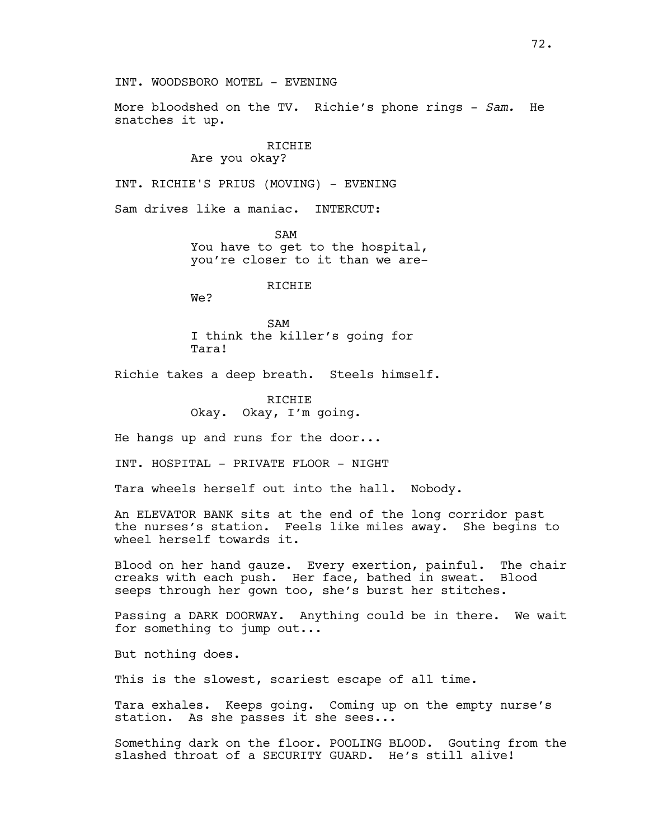More bloodshed on the TV. Richie's phone rings - *Sam.* He snatches it up.

## RICHIE Are you okay?

INT. RICHIE'S PRIUS (MOVING) - EVENING

Sam drives like a maniac. INTERCUT:

 SAM You have to get to the hospital, you're closer to it than we are-

# RICHIE

We?

SAM I think the killer's going for Tara!

Richie takes a deep breath. Steels himself.

RICHIE Okay. Okay, I'm going.

He hangs up and runs for the door...

INT. HOSPITAL - PRIVATE FLOOR - NIGHT

Tara wheels herself out into the hall. Nobody.

An ELEVATOR BANK sits at the end of the long corridor past the nurses's station. Feels like miles away. She begins to wheel herself towards it.

Blood on her hand gauze. Every exertion, painful. The chair creaks with each push. Her face, bathed in sweat. Blood seeps through her gown too, she's burst her stitches.

Passing a DARK DOORWAY. Anything could be in there. We wait for something to jump out...

But nothing does.

This is the slowest, scariest escape of all time.

Tara exhales. Keeps going. Coming up on the empty nurse's station. As she passes it she sees...

Something dark on the floor. POOLING BLOOD. Gouting from the slashed throat of a SECURITY GUARD. He's still alive!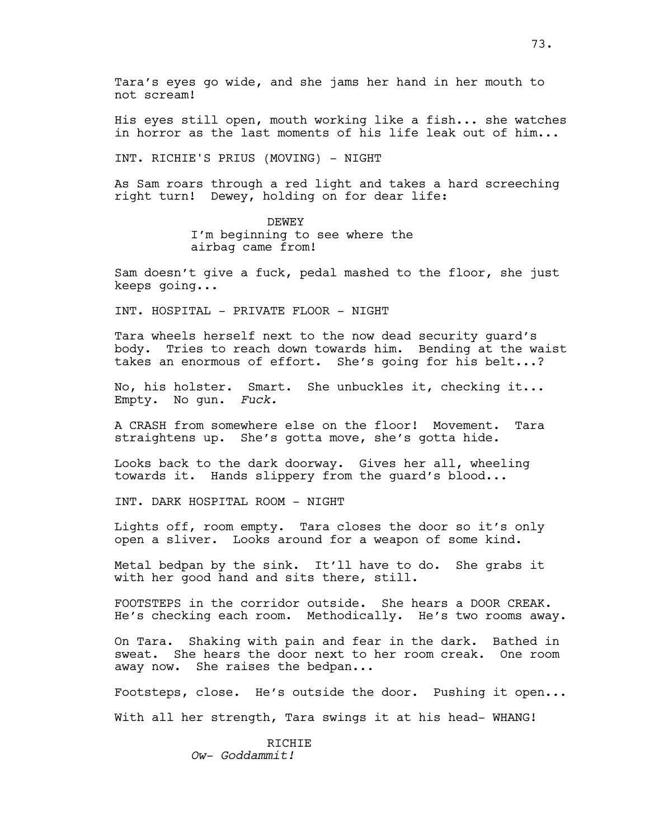His eyes still open, mouth working like a fish... she watches in horror as the last moments of his life leak out of him...

INT. RICHIE'S PRIUS (MOVING) - NIGHT

As Sam roars through a red light and takes a hard screeching right turn! Dewey, holding on for dear life:

> DEWEY I'm beginning to see where the airbag came from!

Sam doesn't give a fuck, pedal mashed to the floor, she just keeps going...

INT. HOSPITAL - PRIVATE FLOOR - NIGHT

Tara wheels herself next to the now dead security guard's body. Tries to reach down towards him. Bending at the waist takes an enormous of effort. She's going for his belt...?

No, his holster. Smart. She unbuckles it, checking it... Empty. No gun. *Fuck.*

A CRASH from somewhere else on the floor! Movement. Tara straightens up. She's gotta move, she's gotta hide.

Looks back to the dark doorway. Gives her all, wheeling towards it. Hands slippery from the guard's blood...

INT. DARK HOSPITAL ROOM - NIGHT

Lights off, room empty. Tara closes the door so it's only open a sliver. Looks around for a weapon of some kind.

Metal bedpan by the sink. It'll have to do. She grabs it with her good hand and sits there, still.

FOOTSTEPS in the corridor outside. She hears a DOOR CREAK. He's checking each room. Methodically. He's two rooms away.

On Tara. Shaking with pain and fear in the dark. Bathed in sweat. She hears the door next to her room creak. One room away now. She raises the bedpan...

Footsteps, close. He's outside the door. Pushing it open... With all her strength, Tara swings it at his head- WHANG!

> **RICHIE** *Ow- Goddammit!*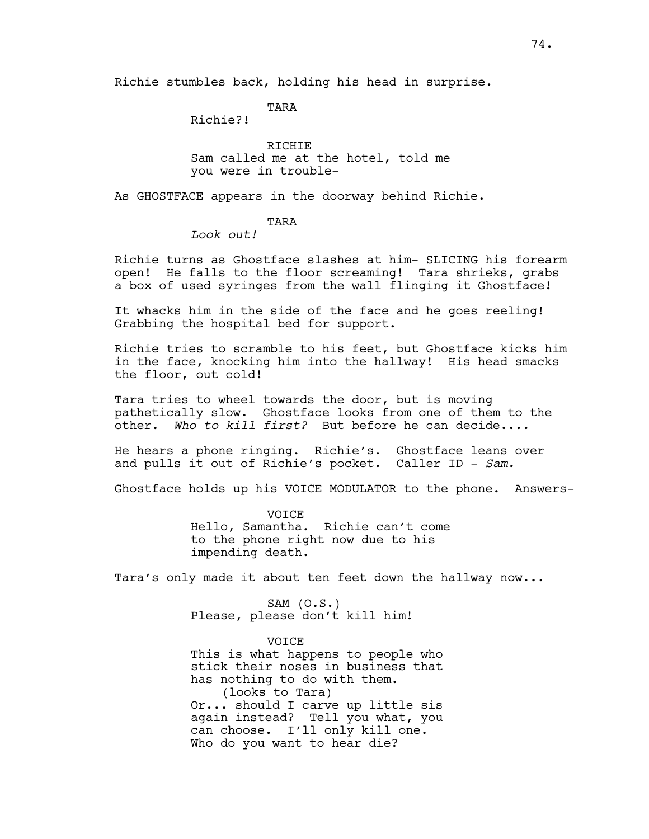Richie stumbles back, holding his head in surprise.

TARA

Richie?!

RICHIE Sam called me at the hotel, told me you were in trouble-

As GHOSTFACE appears in the doorway behind Richie.

TARA

*Look out!*

Richie turns as Ghostface slashes at him- SLICING his forearm open! He falls to the floor screaming! Tara shrieks, grabs a box of used syringes from the wall flinging it Ghostface!

It whacks him in the side of the face and he goes reeling! Grabbing the hospital bed for support.

Richie tries to scramble to his feet, but Ghostface kicks him in the face, knocking him into the hallway! His head smacks the floor, out cold!

Tara tries to wheel towards the door, but is moving pathetically slow. Ghostface looks from one of them to the other. *Who to kill first?* But before he can decide....

He hears a phone ringing. Richie's. Ghostface leans over and pulls it out of Richie's pocket. Caller ID - *Sam.*

Ghostface holds up his VOICE MODULATOR to the phone. Answers-

VOICE Hello, Samantha. Richie can't come to the phone right now due to his impending death.

Tara's only made it about ten feet down the hallway now...

SAM (O.S.) Please, please don't kill him!

VOICE This is what happens to people who stick their noses in business that has nothing to do with them. (looks to Tara) Or... should I carve up little sis again instead? Tell you what, you can choose. I'll only kill one. Who do you want to hear die?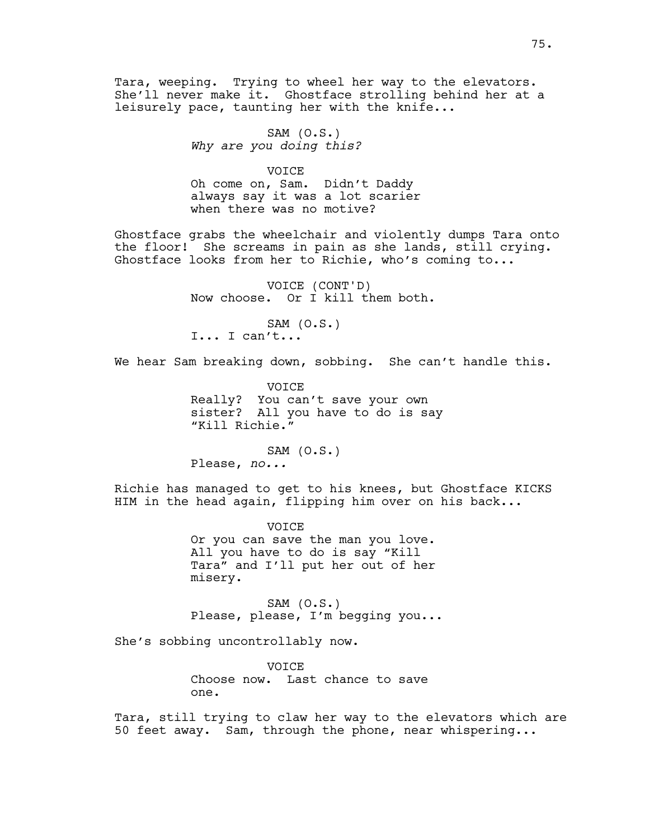Tara, weeping. Trying to wheel her way to the elevators. She'll never make it. Ghostface strolling behind her at a leisurely pace, taunting her with the knife...

> SAM (O.S.) *Why are you doing this?*

> > VOICE

Oh come on, Sam. Didn't Daddy always say it was a lot scarier when there was no motive?

Ghostface grabs the wheelchair and violently dumps Tara onto the floor! She screams in pain as she lands, still crying. Ghostface looks from her to Richie, who's coming to...

> VOICE (CONT'D) Now choose. Or I kill them both.

SAM (O.S.) I... I can't...

We hear Sam breaking down, sobbing. She can't handle this.

**VOTCE** Really? You can't save your own sister? All you have to do is say "Kill Richie."

SAM (O.S.) Please, *no...*

Richie has managed to get to his knees, but Ghostface KICKS HIM in the head again, flipping him over on his back...

> VOICE Or you can save the man you love. All you have to do is say "Kill Tara" and I'll put her out of her misery.

 $SAM (0.S.)$ Please, please, I'm begging you...

She's sobbing uncontrollably now.

**VOTCE** Choose now. Last chance to save one.

Tara, still trying to claw her way to the elevators which are 50 feet away. Sam, through the phone, near whispering...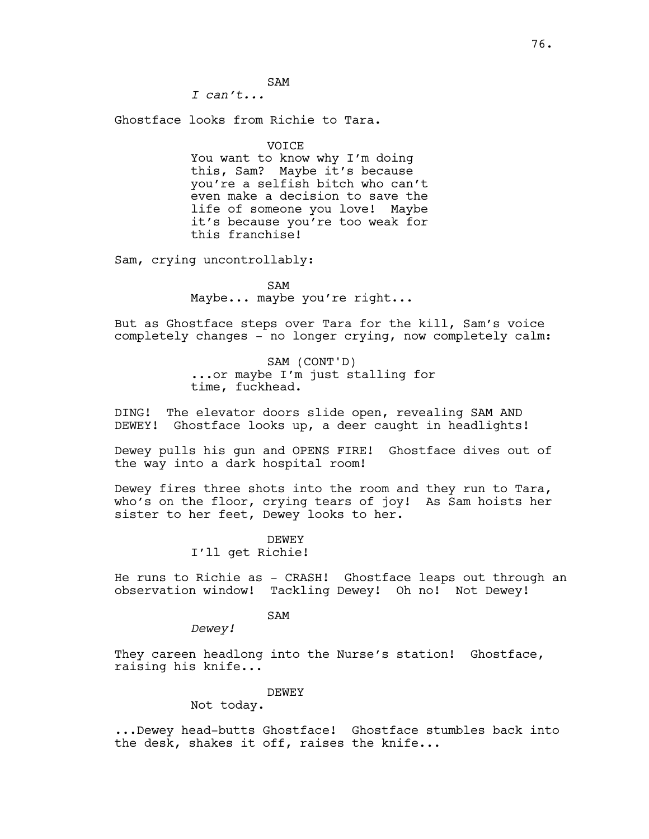SAM

*I can't...*

Ghostface looks from Richie to Tara.

VOICE

You want to know why I'm doing this, Sam? Maybe it's because you're a selfish bitch who can't even make a decision to save the life of someone you love! Maybe it's because you're too weak for this franchise!

Sam, crying uncontrollably:

SAM Maybe... maybe you're right...

But as Ghostface steps over Tara for the kill, Sam's voice completely changes - no longer crying, now completely calm:

> SAM (CONT'D) ...or maybe I'm just stalling for time, fuckhead.

DING! The elevator doors slide open, revealing SAM AND DEWEY! Ghostface looks up, a deer caught in headlights!

Dewey pulls his gun and OPENS FIRE! Ghostface dives out of the way into a dark hospital room!

Dewey fires three shots into the room and they run to Tara, who's on the floor, crying tears of joy! As Sam hoists her sister to her feet, Dewey looks to her.

> DEWEY I'll get Richie!

He runs to Richie as - CRASH! Ghostface leaps out through an observation window! Tackling Dewey! Oh no! Not Dewey!

SAM

*Dewey!*

They careen headlong into the Nurse's station! Ghostface, raising his knife...

DEWEY

Not today.

...Dewey head-butts Ghostface! Ghostface stumbles back into the desk, shakes it off, raises the knife...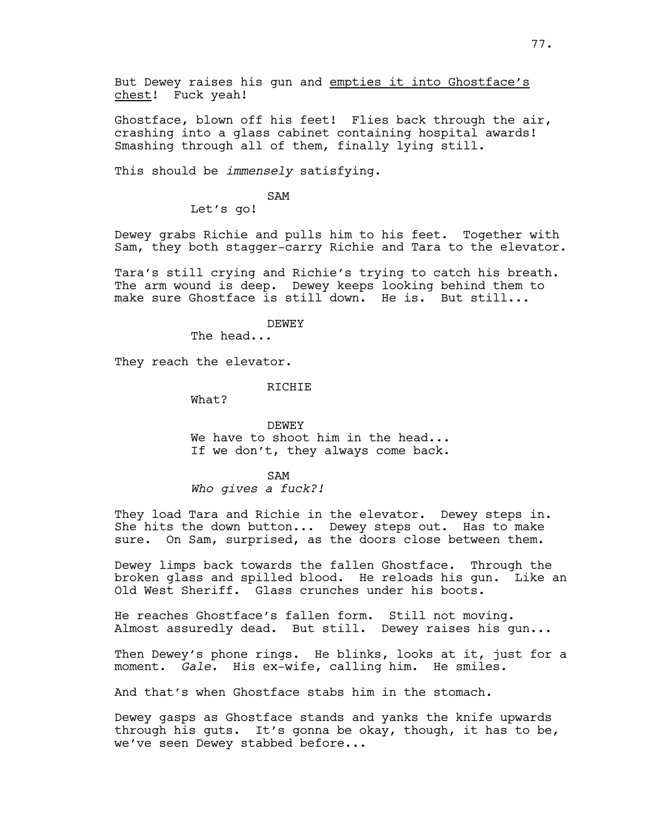But Dewey raises his gun and empties it into Ghostface's chest! Fuck yeah!

Ghostface, blown off his feet! Flies back through the air, crashing into a glass cabinet containing hospital awards! Smashing through all of them, finally lying still.

This should be *immensely* satisfying.

SAM

Let's go!

Dewey grabs Richie and pulls him to his feet. Together with Sam, they both stagger-carry Richie and Tara to the elevator.

Tara's still crying and Richie's trying to catch his breath. The arm wound is deep. Dewey keeps looking behind them to make sure Ghostface is still down. He is. But still...

DEWEY

The head...

They reach the elevator.

**RICHIE** 

What?

DEWEY We have to shoot him in the head... If we don't, they always come back.

SAM *Who gives a fuck?!*

They load Tara and Richie in the elevator. Dewey steps in. She hits the down button... Dewey steps out. Has to make sure. On Sam, surprised, as the doors close between them.

Dewey limps back towards the fallen Ghostface. Through the broken glass and spilled blood. He reloads his gun. Like an Old West Sheriff. Glass crunches under his boots.

He reaches Ghostface's fallen form. Still not moving. Almost assuredly dead. But still. Dewey raises his gun...

Then Dewey's phone rings. He blinks, looks at it, just for a moment. *Gale.* His ex-wife, calling him. He smiles.

And that's when Ghostface stabs him in the stomach.

Dewey gasps as Ghostface stands and yanks the knife upwards through his guts. It's gonna be okay, though, it has to be, we've seen Dewey stabbed before...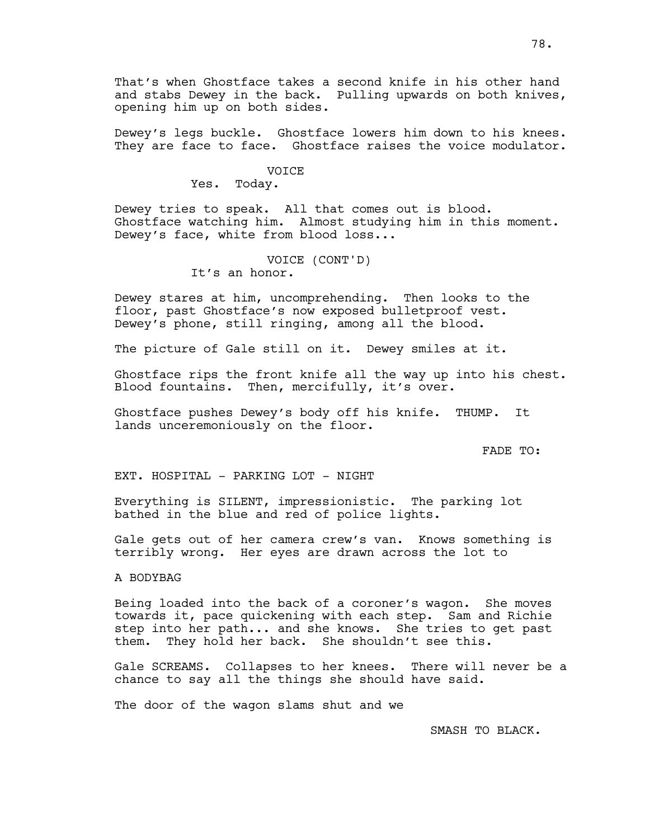That's when Ghostface takes a second knife in his other hand and stabs Dewey in the back. Pulling upwards on both knives, opening him up on both sides.

Dewey's legs buckle. Ghostface lowers him down to his knees. They are face to face. Ghostface raises the voice modulator.

#### VOICE

Yes. Today.

Dewey tries to speak. All that comes out is blood. Ghostface watching him. Almost studying him in this moment. Dewey's face, white from blood loss...

## VOICE (CONT'D) It's an honor.

Dewey stares at him, uncomprehending. Then looks to the floor, past Ghostface's now exposed bulletproof vest. Dewey's phone, still ringing, among all the blood.

The picture of Gale still on it. Dewey smiles at it.

Ghostface rips the front knife all the way up into his chest. Blood fountains. Then, mercifully, it's over.

Ghostface pushes Dewey's body off his knife. THUMP. It lands unceremoniously on the floor.

FADE TO:

EXT. HOSPITAL - PARKING LOT - NIGHT

Everything is SILENT, impressionistic. The parking lot bathed in the blue and red of police lights.

Gale gets out of her camera crew's van. Knows something is terribly wrong. Her eyes are drawn across the lot to

A BODYBAG

Being loaded into the back of a coroner's wagon. She moves towards it, pace quickening with each step. Sam and Richie step into her path... and she knows. She tries to get past them. They hold her back. She shouldn't see this.

Gale SCREAMS. Collapses to her knees. There will never be a chance to say all the things she should have said.

The door of the wagon slams shut and we

SMASH TO BLACK.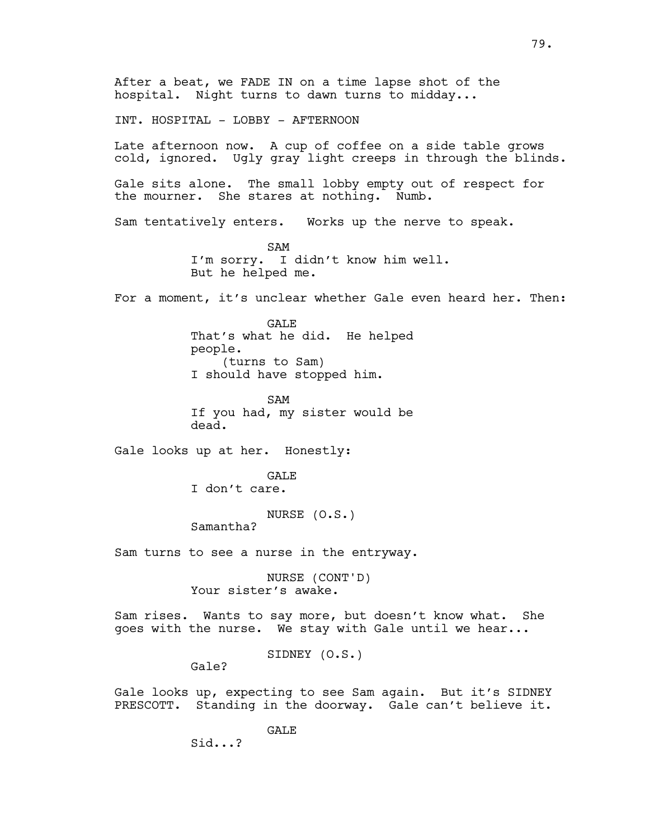After a beat, we FADE IN on a time lapse shot of the hospital. Night turns to dawn turns to midday... INT. HOSPITAL - LOBBY - AFTERNOON Late afternoon now. A cup of coffee on a side table grows cold, ignored. Ugly gray light creeps in through the blinds. Gale sits alone. The small lobby empty out of respect for the mourner. She stares at nothing. Numb. Sam tentatively enters. Works up the nerve to speak. SAM I'm sorry. I didn't know him well. But he helped me. For a moment, it's unclear whether Gale even heard her. Then: GALE That's what he did. He helped people. (turns to Sam) I should have stopped him. SAM If you had, my sister would be dead. Gale looks up at her. Honestly: **GALE** I don't care. NURSE (O.S.) Samantha? Sam turns to see a nurse in the entryway. NURSE (CONT'D) Your sister's awake. Sam rises. Wants to say more, but doesn't know what. She goes with the nurse. We stay with Gale until we hear... SIDNEY (O.S.) Gale? Gale looks up, expecting to see Sam again. But it's SIDNEY PRESCOTT. Standing in the doorway. Gale can't believe it. GALE Sid...?

79.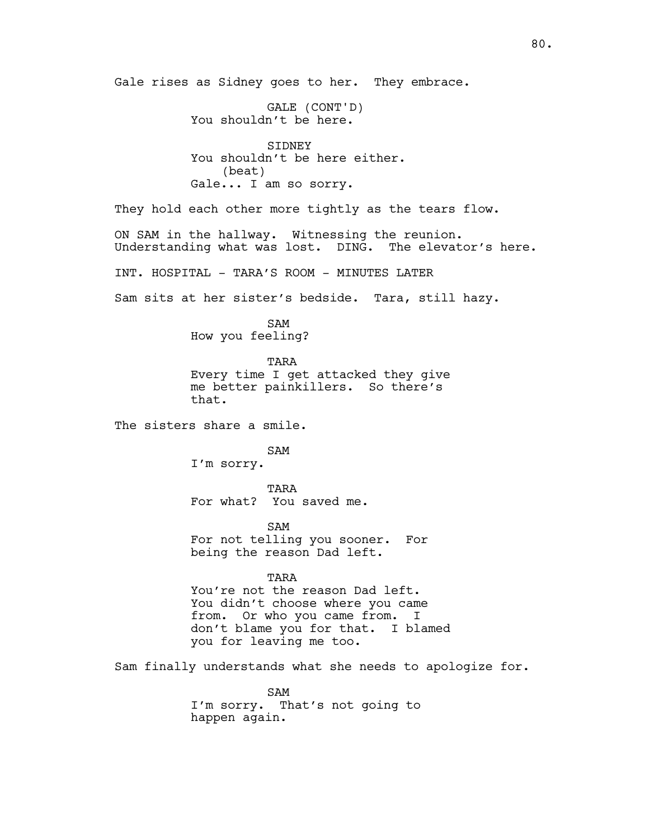GALE (CONT'D) You shouldn't be here. SIDNEY You shouldn't be here either. (beat) Gale... I am so sorry. They hold each other more tightly as the tears flow. ON SAM in the hallway. Witnessing the reunion. Understanding what was lost. DING. The elevator's here. INT. HOSPITAL - TARA'S ROOM - MINUTES LATER Sam sits at her sister's bedside. Tara, still hazy. SAM How you feeling? TARA Every time I get attacked they give me better painkillers. So there's that. The sisters share a smile. SAM I'm sorry. TARA For what? You saved me. SAM For not telling you sooner. For being the reason Dad left. TARA You're not the reason Dad left. You didn't choose where you came from. Or who you came from. I don't blame you for that. I blamed you for leaving me too. Sam finally understands what she needs to apologize for. SAM I'm sorry. That's not going to happen again.

Gale rises as Sidney goes to her. They embrace.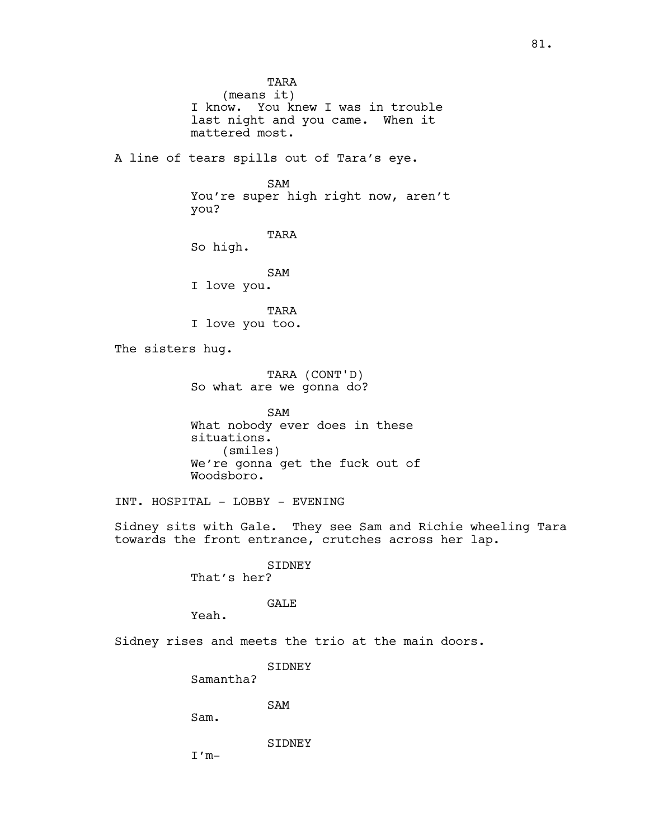TARA (means it) I know. You knew I was in trouble last night and you came. When it mattered most. A line of tears spills out of Tara's eye. SAM You're super high right now, aren't you? TARA So high. SAM I love you. TARA I love you too. The sisters hug. TARA (CONT'D) So what are we gonna do? SAM What nobody ever does in these situations. (smiles) We're gonna get the fuck out of Woodsboro. INT. HOSPITAL - LOBBY - EVENING Sidney sits with Gale. They see Sam and Richie wheeling Tara towards the front entrance, crutches across her lap. SIDNEY That's her? GALE Yeah. Sidney rises and meets the trio at the main doors. SIDNEY Samantha? SAM Sam. SIDNEY  $I'm-$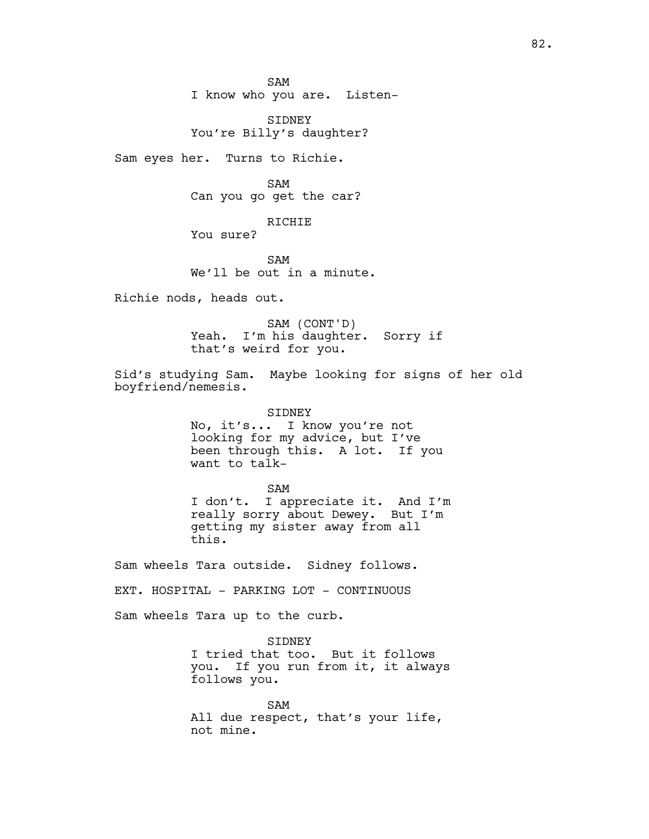SAM I know who you are. Listen-

SIDNEY You're Billy's daughter?

Sam eyes her. Turns to Richie.

SAM Can you go get the car?

RICHIE

You sure?

SAM We'll be out in a minute.

Richie nods, heads out.

SAM (CONT'D) Yeah. I'm his daughter. Sorry if that's weird for you.

Sid's studying Sam. Maybe looking for signs of her old boyfriend/nemesis.

> SIDNEY No, it's... I know you're not looking for my advice, but I've been through this. A lot. If you want to talk-

SAM I don't. I appreciate it. And I'm really sorry about Dewey. But I'm getting my sister away from all this.

Sam wheels Tara outside. Sidney follows.

EXT. HOSPITAL - PARKING LOT - CONTINUOUS

Sam wheels Tara up to the curb.

SIDNEY I tried that too. But it follows you. If you run from it, it always follows you.

SAM All due respect, that's your life, not mine.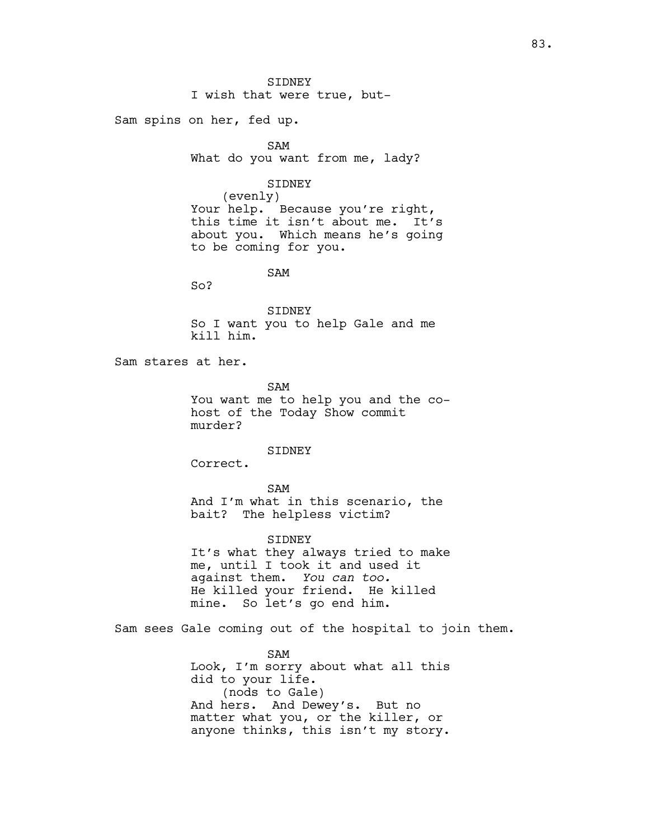SIDNEY I wish that were true, but-

Sam spins on her, fed up.

SAM

What do you want from me, lady?

SIDNEY

(evenly) Your help. Because you're right, this time it isn't about me. It's about you. Which means he's going to be coming for you.

SAM

So?

SIDNEY So I want you to help Gale and me kill him.

Sam stares at her.

SAM

You want me to help you and the cohost of the Today Show commit murder?

SIDNEY

Correct.

#### SAM

And I'm what in this scenario, the bait? The helpless victim?

SIDNEY

It's what they always tried to make me, until I took it and used it against them. *You can too.* He killed your friend. He killed mine. So let's go end him.

Sam sees Gale coming out of the hospital to join them.

SAM Look, I'm sorry about what all this did to your life. (nods to Gale) And hers. And Dewey's. But no matter what you, or the killer, or anyone thinks, this isn't my story.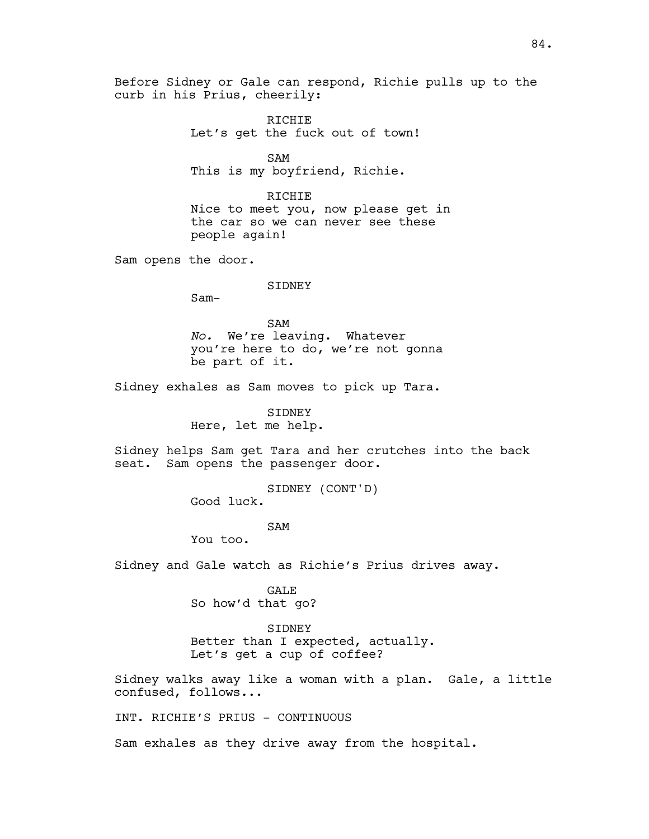Before Sidney or Gale can respond, Richie pulls up to the curb in his Prius, cheerily:

> RICHIE Let's get the fuck out of town!

SAM This is my boyfriend, Richie.

RICHIE Nice to meet you, now please get in the car so we can never see these people again!

Sam opens the door.

## SIDNEY

Sam-

SAM *No.* We're leaving. Whatever you're here to do, we're not gonna be part of it.

Sidney exhales as Sam moves to pick up Tara.

SIDNEY Here, let me help.

Sidney helps Sam get Tara and her crutches into the back seat. Sam opens the passenger door.

> SIDNEY (CONT'D) Good luck.

#### SAM

You too.

Sidney and Gale watch as Richie's Prius drives away.

GALE

So how'd that go?

#### SIDNEY

Better than I expected, actually. Let's get a cup of coffee?

Sidney walks away like a woman with a plan. Gale, a little confused, follows...

INT. RICHIE'S PRIUS - CONTINUOUS

Sam exhales as they drive away from the hospital.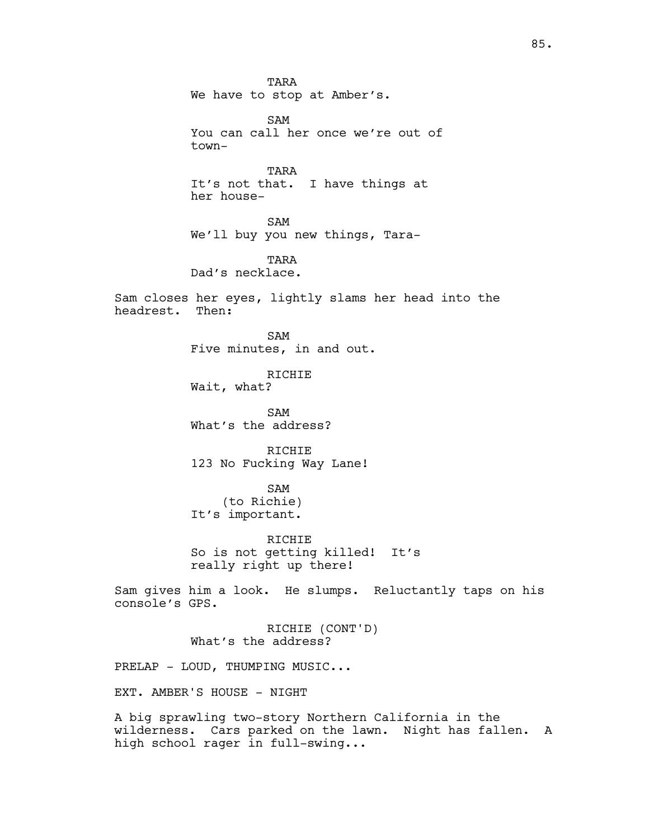TARA We have to stop at Amber's. SAM You can call her once we're out of town-TARA It's not that. I have things at her house-SAM We'll buy you new things, Tara-TARA Dad's necklace. Sam closes her eyes, lightly slams her head into the headrest. Then: SAM Five minutes, in and out. RICHIE Wait, what? SAM What's the address? RICHIE 123 No Fucking Way Lane! SAM (to Richie) It's important. RICHIE So is not getting killed! It's really right up there! Sam gives him a look. He slumps. Reluctantly taps on his console's GPS. RICHIE (CONT'D) What's the address? PRELAP - LOUD, THUMPING MUSIC... EXT. AMBER'S HOUSE - NIGHT A big sprawling two-story Northern California in the

wilderness. Cars parked on the lawn. Night has fallen. A high school rager in full-swing...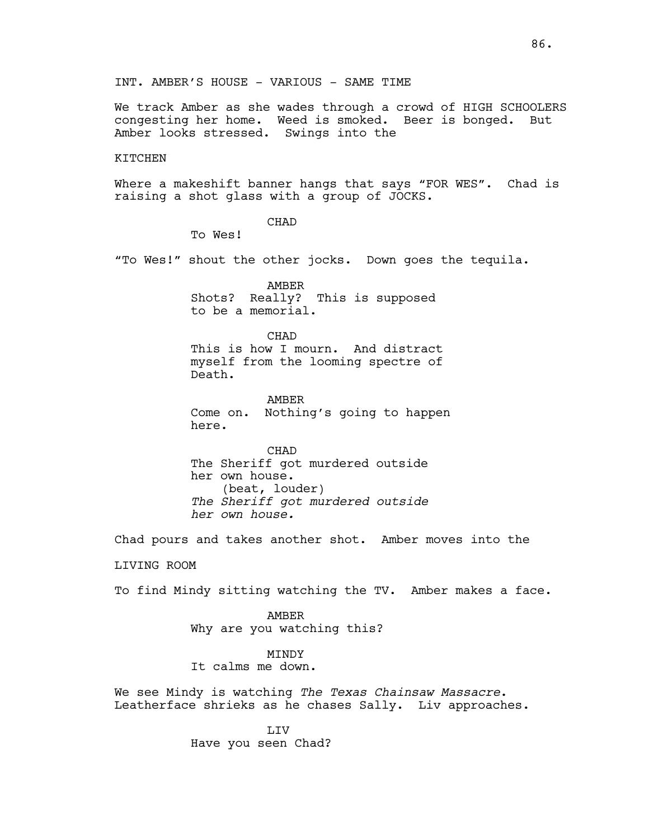INT. AMBER'S HOUSE - VARIOUS - SAME TIME

We track Amber as she wades through a crowd of HIGH SCHOOLERS congesting her home. Weed is smoked. Beer is bonged. But Amber looks stressed. Swings into the

#### KITCHEN

Where a makeshift banner hangs that says "FOR WES". Chad is raising a shot glass with a group of JOCKS.

CHAD

To Wes!

"To Wes!" shout the other jocks. Down goes the tequila.

AMBER Shots? Really? This is supposed to be a memorial.

CHAD This is how I mourn. And distract myself from the looming spectre of Death.

AMBER Come on. Nothing's going to happen here.

CHAD The Sheriff got murdered outside her own house. (beat, louder) *The Sheriff got murdered outside her own house.*

Chad pours and takes another shot. Amber moves into the LIVING ROOM

To find Mindy sitting watching the TV. Amber makes a face.

AMBER Why are you watching this?

MINDY

It calms me down.

We see Mindy is watching *The Texas Chainsaw Massacre*. Leatherface shrieks as he chases Sally. Liv approaches.

> LIV Have you seen Chad?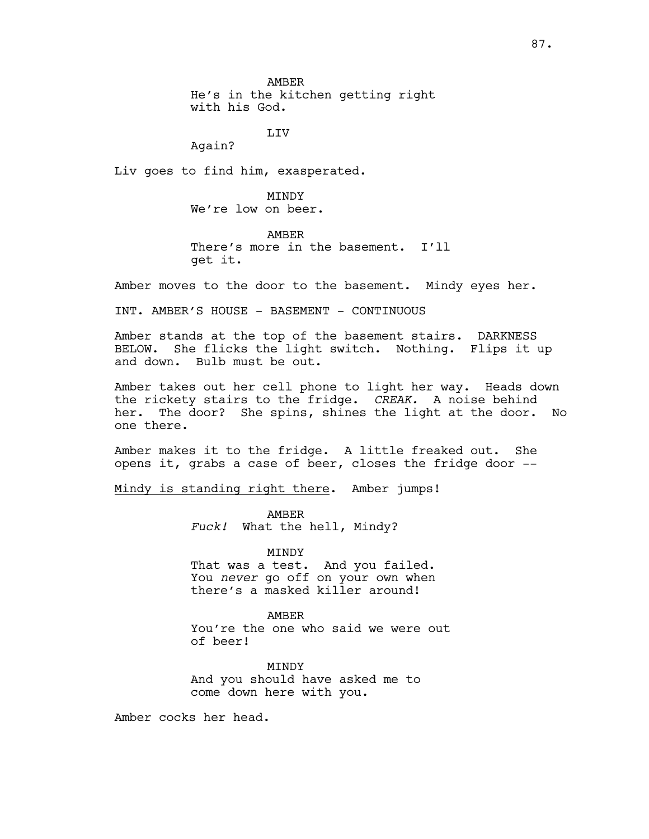AMBER

He's in the kitchen getting right with his God.

LIV

Again?

Liv goes to find him, exasperated.

**MTNDY** We're low on beer.

AMBER There's more in the basement. I'll get it.

Amber moves to the door to the basement. Mindy eyes her.

INT. AMBER'S HOUSE - BASEMENT - CONTINUOUS

Amber stands at the top of the basement stairs. DARKNESS BELOW. She flicks the light switch. Nothing. Flips it up and down. Bulb must be out.

Amber takes out her cell phone to light her way. Heads down the rickety stairs to the fridge. *CREAK.* A noise behind her. The door? She spins, shines the light at the door. No one there.

Amber makes it to the fridge. A little freaked out. She opens it, grabs a case of beer, closes the fridge door --

Mindy is standing right there. Amber jumps!

AMBER *Fuck!* What the hell, Mindy?

MINDY That was a test. And you failed. You *never* go off on your own when there's a masked killer around!

AMBER You're the one who said we were out of beer!

**MTNDY** And you should have asked me to come down here with you.

Amber cocks her head.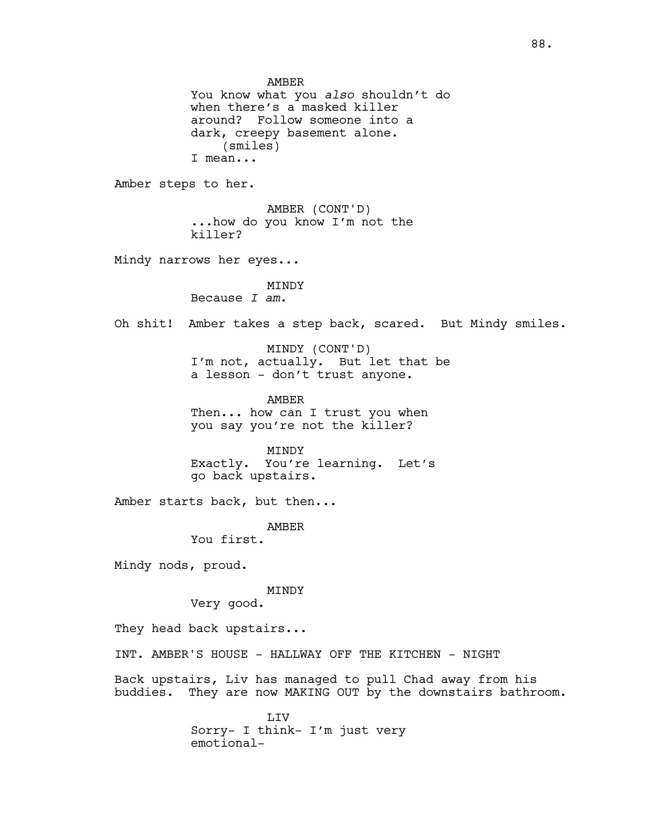AMBER You know what you *also* shouldn't do when there's a masked killer around? Follow someone into a dark, creepy basement alone. (smiles) I mean... Amber steps to her. AMBER (CONT'D) ...how do you know I'm not the killer? Mindy narrows her eyes... MINDY Because *I am.* Oh shit! Amber takes a step back, scared. But Mindy smiles. MINDY (CONT'D) I'm not, actually. But let that be a lesson - don't trust anyone. AMBER Then... how can I trust you when you say you're not the killer? MINDY Exactly. You're learning. Let's go back upstairs. Amber starts back, but then... AMBER You first. Mindy nods, proud. MINDY Very good. They head back upstairs... INT. AMBER'S HOUSE - HALLWAY OFF THE KITCHEN - NIGHT Back upstairs, Liv has managed to pull Chad away from his buddies. They are now MAKING OUT by the downstairs bathroom. LIV Sorry- I think- I'm just very

emotional-

88.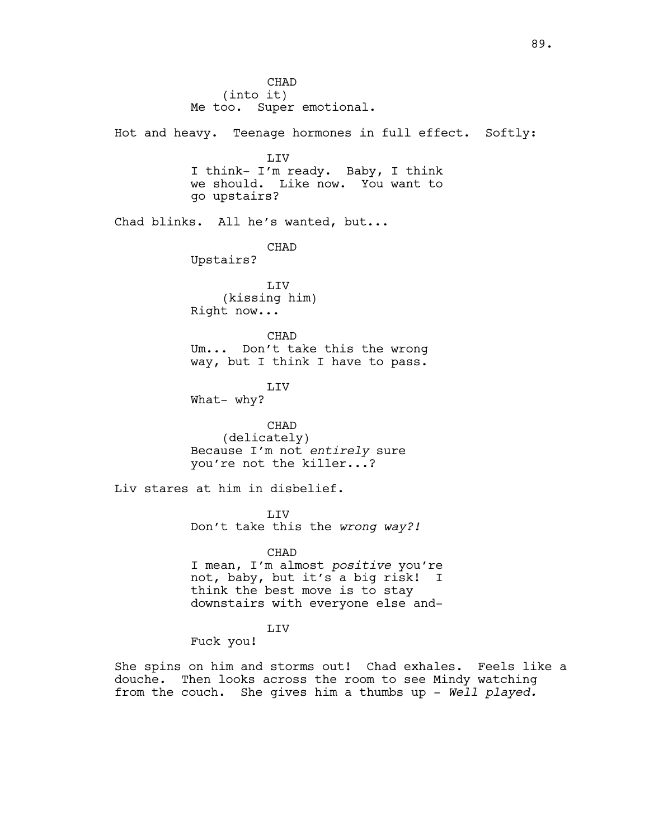CHAD (into it) Me too. Super emotional. Hot and heavy. Teenage hormones in full effect. Softly: LIV I think- I'm ready. Baby, I think we should. Like now. You want to go upstairs? Chad blinks. All he's wanted, but... CHAD Upstairs? LIV (kissing him) Right now... CHAD Um... Don't take this the wrong way, but I think I have to pass. LIV What- why? CHAD (delicately) Because I'm not *entirely* sure you're not the killer...? Liv stares at him in disbelief. LIV Don't take this the *wrong way?!* CHAD I mean, I'm almost *positive* you're not, baby, but it's a big risk! I think the best move is to stay downstairs with everyone else and-LIV Fuck you! She spins on him and storms out! Chad exhales. Feels like a

douche. Then looks across the room to see Mindy watching from the couch. She gives him a thumbs up - *Well played.*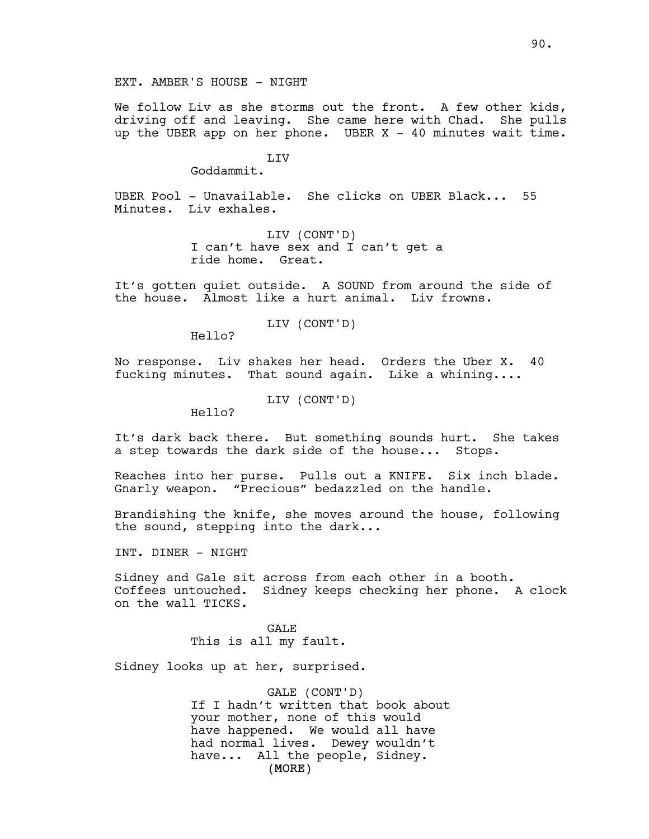EXT. AMBER'S HOUSE - NIGHT

We follow Liv as she storms out the front. A few other kids, driving off and leaving. She came here with Chad. She pulls up the UBER app on her phone. UBER  $X - 40$  minutes wait time.

LIV

Goddammit.

UBER Pool - Unavailable. She clicks on UBER Black... 55 Minutes. Liv exhales.

> LIV (CONT'D) I can't have sex and I can't get a ride home. Great.

It's gotten quiet outside. A SOUND from around the side of the house. Almost like a hurt animal. Liv frowns.

LIV (CONT'D)

Hello?

No response. Liv shakes her head. Orders the Uber X. 40 fucking minutes. That sound again. Like a whining....

LIV (CONT'D)

Hello?

It's dark back there. But something sounds hurt. She takes a step towards the dark side of the house... Stops.

Reaches into her purse. Pulls out a KNIFE. Six inch blade. Gnarly weapon. "Precious" bedazzled on the handle.

Brandishing the knife, she moves around the house, following the sound, stepping into the dark...

INT. DINER - NIGHT

Sidney and Gale sit across from each other in a booth. Coffees untouched. Sidney keeps checking her phone. A clock on the wall TICKS.

> GALE This is all my fault.

Sidney looks up at her, surprised.

(MORE) GALE (CONT'D) If I hadn't written that book about your mother, none of this would have happened. We would all have had normal lives. Dewey wouldn't have... All the people, Sidney.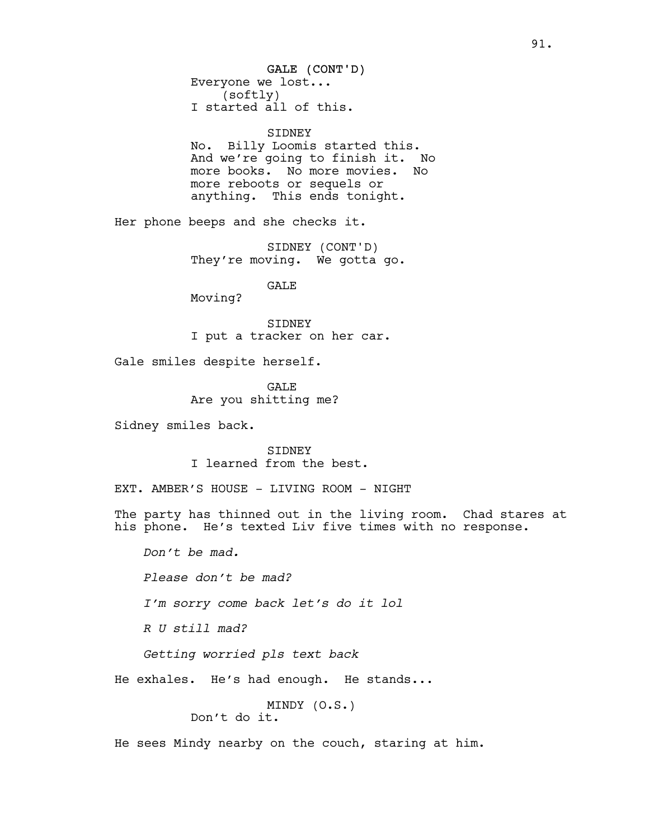GALE (CONT'D) Everyone we lost... (softly) I started all of this.

#### SIDNEY

No. Billy Loomis started this. And we're going to finish it. No more books. No more movies. No more reboots or sequels or anything. This ends tonight.

Her phone beeps and she checks it.

SIDNEY (CONT'D) They're moving. We gotta go.

GALE

Moving?

SIDNEY I put a tracker on her car.

Gale smiles despite herself.

**GALE** Are you shitting me?

Sidney smiles back.

SIDNEY I learned from the best.

EXT. AMBER'S HOUSE - LIVING ROOM - NIGHT

The party has thinned out in the living room. Chad stares at his phone. He's texted Liv five times with no response.

*Don't be mad.*

*Please don't be mad?*

*I'm sorry come back let's do it lol*

*R U still mad?*

*Getting worried pls text back*

He exhales. He's had enough. He stands...

MINDY (O.S.) Don't do it.

He sees Mindy nearby on the couch, staring at him.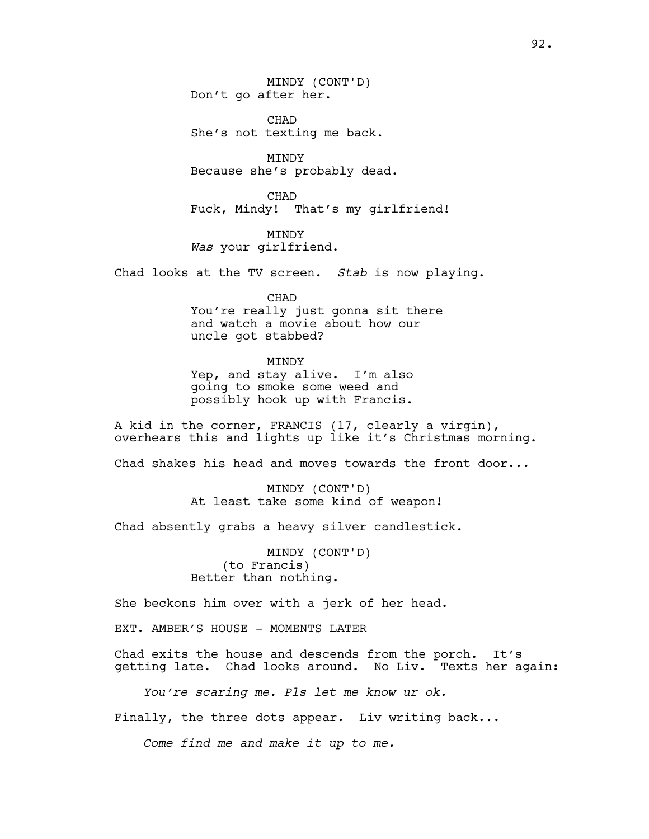MINDY (CONT'D) Don't go after her.

CHAD She's not texting me back.

MINDY Because she's probably dead.

CHAD Fuck, Mindy! That's my girlfriend!

MINDY *Was* your girlfriend.

Chad looks at the TV screen. *Stab* is now playing.

CHAD

You're really just gonna sit there and watch a movie about how our uncle got stabbed?

MINDY

Yep, and stay alive. I'm also going to smoke some weed and possibly hook up with Francis.

A kid in the corner, FRANCIS (17, clearly a virgin), overhears this and lights up like it's Christmas morning.

Chad shakes his head and moves towards the front door...

MINDY (CONT'D) At least take some kind of weapon!

Chad absently grabs a heavy silver candlestick.

MINDY (CONT'D) (to Francis) Better than nothing.

She beckons him over with a jerk of her head.

EXT. AMBER'S HOUSE - MOMENTS LATER

Chad exits the house and descends from the porch. It's getting late. Chad looks around. No Liv. Texts her again:

*You're scaring me. Pls let me know ur ok.*

Finally, the three dots appear. Liv writing back...

*Come find me and make it up to me.*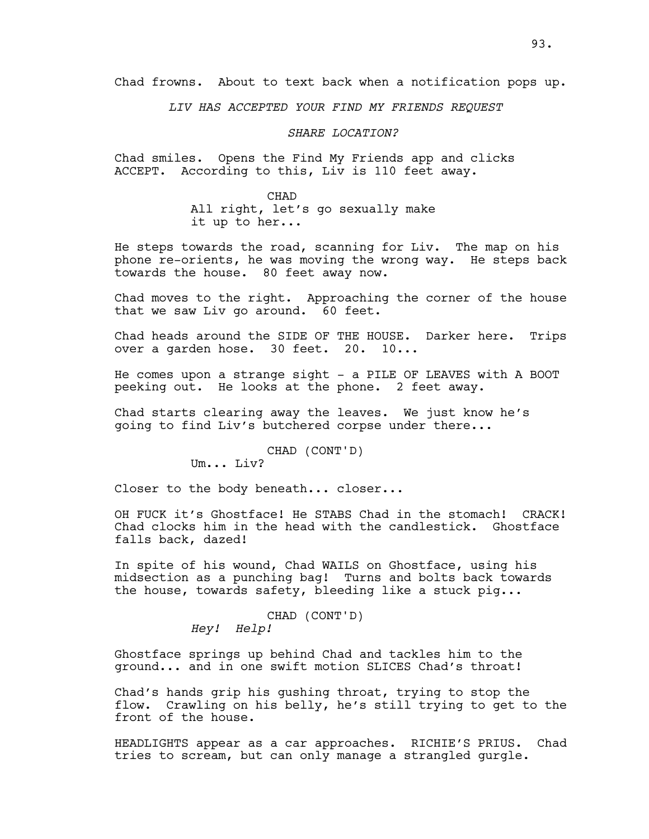Chad frowns. About to text back when a notification pops up.

*LIV HAS ACCEPTED YOUR FIND MY FRIENDS REQUEST* 

*SHARE LOCATION?*

Chad smiles. Opens the Find My Friends app and clicks ACCEPT. According to this, Liv is 110 feet away.

> CHAD All right, let's go sexually make it up to her...

He steps towards the road, scanning for Liv. The map on his phone re-orients, he was moving the wrong way. He steps back towards the house. 80 feet away now.

Chad moves to the right. Approaching the corner of the house that we saw Liv go around. 60 feet.

Chad heads around the SIDE OF THE HOUSE. Darker here. Trips over a garden hose. 30 feet. 20. 10...

He comes upon a strange sight - a PILE OF LEAVES with A BOOT peeking out.He looks at the phone. 2 feet away.

Chad starts clearing away the leaves. We just know he's going to find Liv's butchered corpse under there...

CHAD (CONT'D)

Um... Liv?

Closer to the body beneath... closer...

OH FUCK it's Ghostface! He STABS Chad in the stomach! CRACK! Chad clocks him in the head with the candlestick. Ghostface falls back, dazed!

In spite of his wound, Chad WAILS on Ghostface, using his midsection as a punching bag! Turns and bolts back towards the house, towards safety, bleeding like a stuck pig...

> CHAD (CONT'D) *Hey! Help!*

Ghostface springs up behind Chad and tackles him to the ground... and in one swift motion SLICES Chad's throat!

Chad's hands grip his gushing throat, trying to stop the flow. Crawling on his belly, he's still trying to get to the front of the house.

HEADLIGHTS appear as a car approaches. RICHIE'S PRIUS. Chad tries to scream, but can only manage a strangled gurgle.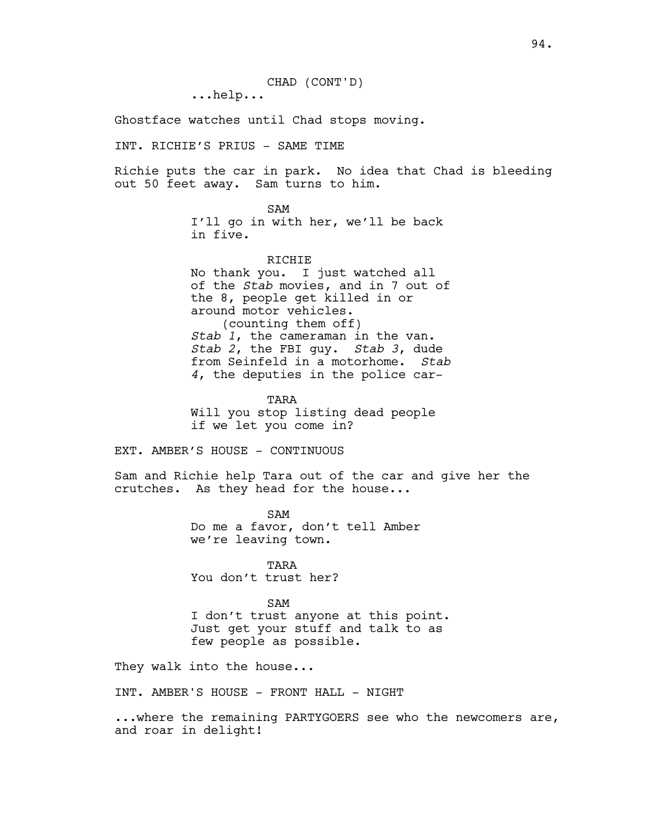CHAD (CONT'D)

...help...

Ghostface watches until Chad stops moving.

INT. RICHIE'S PRIUS - SAME TIME

Richie puts the car in park. No idea that Chad is bleeding out 50 feet away. Sam turns to him.

SAM

I'll go in with her, we'll be back in five.

RICHIE No thank you. I just watched all of the *Stab* movies, and in 7 out of the 8, people get killed in or around motor vehicles. (counting them off) *Stab 1*, the cameraman in the van. *Stab 2*, the FBI guy. *Stab 3*, dude from Seinfeld in a motorhome. *Stab 4*, the deputies in the police car-

TARA Will you stop listing dead people if we let you come in?

EXT. AMBER'S HOUSE - CONTINUOUS

Sam and Richie help Tara out of the car and give her the crutches. As they head for the house...

> SAM Do me a favor, don't tell Amber we're leaving town.

TARA You don't trust her?

SAM I don't trust anyone at this point. Just get your stuff and talk to as few people as possible.

They walk into the house...

INT. AMBER'S HOUSE - FRONT HALL - NIGHT

...where the remaining PARTYGOERS see who the newcomers are, and roar in delight!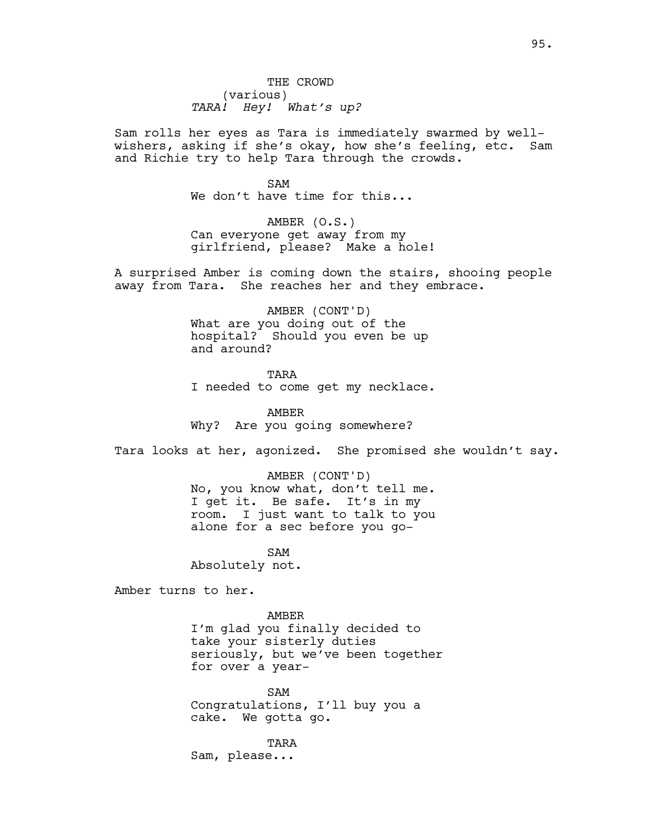Sam rolls her eyes as Tara is immediately swarmed by wellwishers, asking if she's okay, how she's feeling, etc. Sam and Richie try to help Tara through the crowds.

> SAM We don't have time for this...

AMBER (O.S.) Can everyone get away from my girlfriend, please? Make a hole!

A surprised Amber is coming down the stairs, shooing people away from Tara. She reaches her and they embrace.

> AMBER (CONT'D) What are you doing out of the hospital? Should you even be up and around?

TARA I needed to come get my necklace.

AMBER Why? Are you going somewhere?

Tara looks at her, agonized. She promised she wouldn't say.

AMBER (CONT'D) No, you know what, don't tell me. I get it. Be safe. It's in my room. I just want to talk to you alone for a sec before you go-

SAM Absolutely not.

Amber turns to her.

AMBER I'm glad you finally decided to take your sisterly duties seriously, but we've been together for over a year-

SAM Congratulations, I'll buy you a cake. We gotta go.

TARA Sam, please...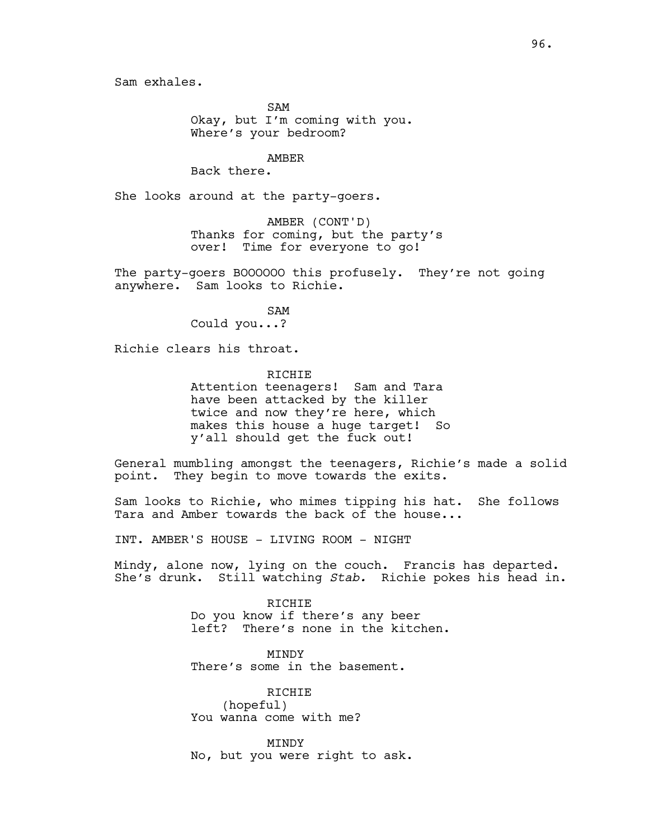Sam exhales.

SAM Okay, but I'm coming with you. Where's your bedroom?

AMBER

Back there.

She looks around at the party-goers.

AMBER (CONT'D) Thanks for coming, but the party's over! Time for everyone to go!

The party-goers BOOOOOO this profusely. They're not going anywhere. Sam looks to Richie.

SAM

Could you...?

Richie clears his throat.

RICHIE Attention teenagers! Sam and Tara have been attacked by the killer twice and now they're here, which makes this house a huge target! So y'all should get the fuck out!

General mumbling amongst the teenagers, Richie's made a solid point. They begin to move towards the exits.

Sam looks to Richie, who mimes tipping his hat. She follows Tara and Amber towards the back of the house...

INT. AMBER'S HOUSE - LIVING ROOM - NIGHT

Mindy, alone now, lying on the couch. Francis has departed. She's drunk. Still watching *Stab.* Richie pokes his head in.

> RICHIE Do you know if there's any beer left? There's none in the kitchen.

MINDY There's some in the basement.

RICHIE (hopeful) You wanna come with me?

MINDY No, but you were right to ask.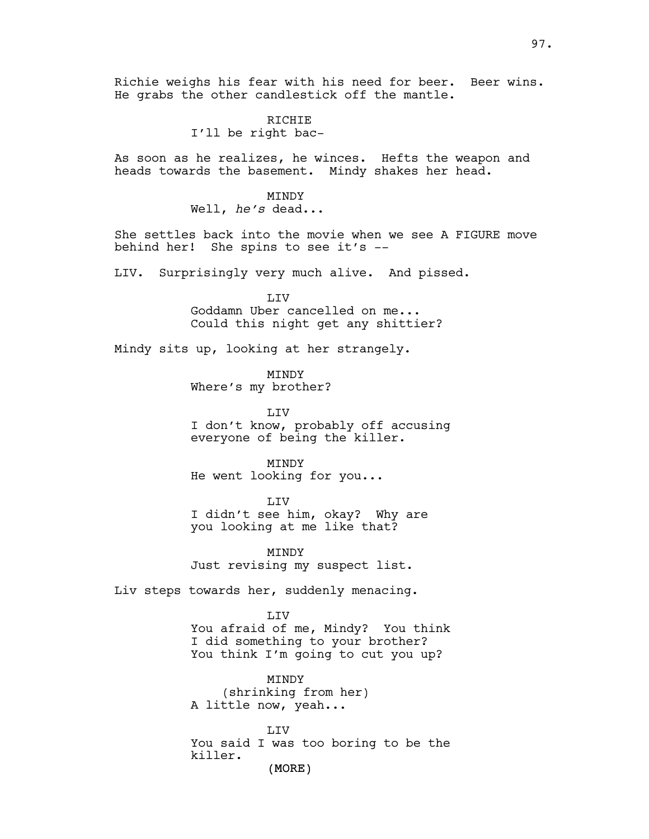Richie weighs his fear with his need for beer. Beer wins. He grabs the other candlestick off the mantle.

> RICHIE I'll be right bac-

As soon as he realizes, he winces. Hefts the weapon and heads towards the basement. Mindy shakes her head.

> MINDY Well, *he's* dead...

She settles back into the movie when we see A FIGURE move behind her! She spins to see it's --

LIV. Surprisingly very much alive. And pissed.

LIV Goddamn Uber cancelled on me... Could this night get any shittier?

Mindy sits up, looking at her strangely.

MINDY Where's my brother?

LIV I don't know, probably off accusing everyone of being the killer.

MINDY He went looking for you...

LIV I didn't see him, okay? Why are you looking at me like that?

MINDY Just revising my suspect list.

Liv steps towards her, suddenly menacing.

LIV You afraid of me, Mindy? You think I did something to your brother? You think I'm going to cut you up?

MINDY (shrinking from her) A little now, yeah...

(MORE) **LTV** You said I was too boring to be the killer.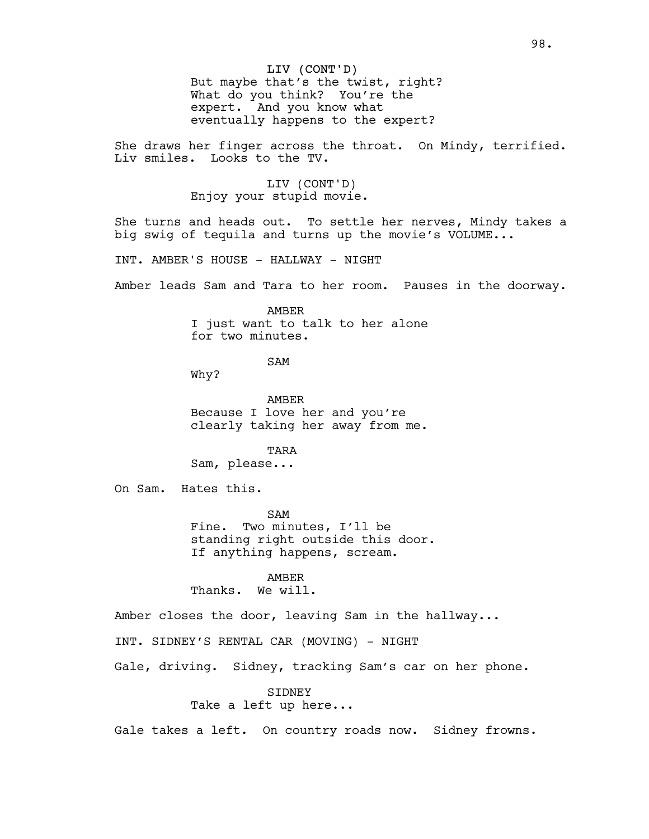# LIV (CONT'D)

But maybe that's the twist, right? What do you think? You're the expert. And you know what eventually happens to the expert?

She draws her finger across the throat. On Mindy, terrified. Liv smiles. Looks to the TV.

> LIV (CONT'D) Enjoy your stupid movie.

She turns and heads out. To settle her nerves, Mindy takes a big swig of tequila and turns up the movie's VOLUME...

INT. AMBER'S HOUSE - HALLWAY - NIGHT

Amber leads Sam and Tara to her room. Pauses in the doorway.

AMBER I just want to talk to her alone for two minutes.

SAM

Why?

AMBER Because I love her and you're clearly taking her away from me.

TARA

Sam, please...

On Sam. Hates this.

SAM Fine. Two minutes, I'll be standing right outside this door. If anything happens, scream.

AMBER

Thanks. We will.

Amber closes the door, leaving Sam in the hallway...

INT. SIDNEY'S RENTAL CAR (MOVING) - NIGHT

Gale, driving. Sidney, tracking Sam's car on her phone.

SIDNEY

Take a left up here...

Gale takes a left. On country roads now. Sidney frowns.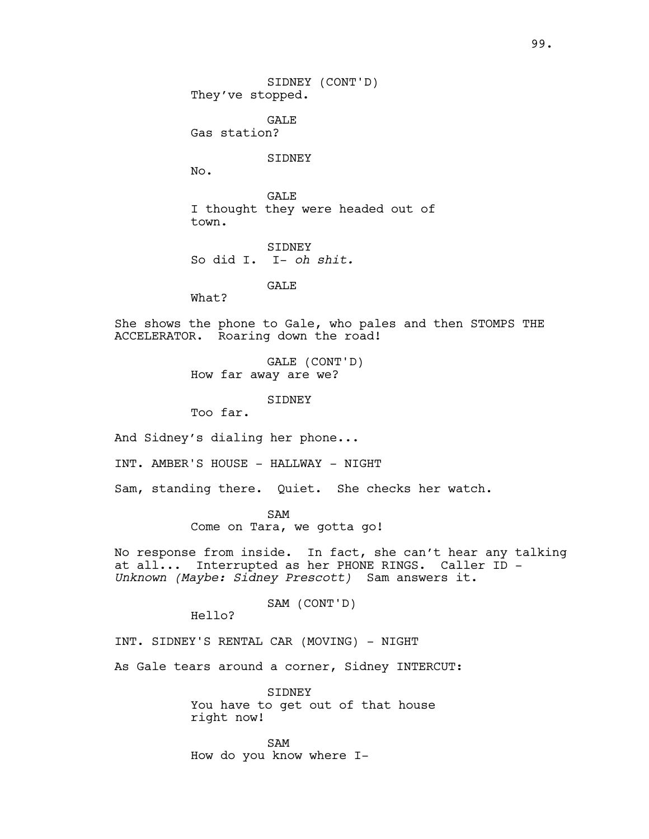GALE Gas station?

SIDNEY

No.

**GALE** I thought they were headed out of town.

SIDNEY So did I. I- *oh shit.*

GALE

What?

She shows the phone to Gale, who pales and then STOMPS THE ACCELERATOR. Roaring down the road!

> GALE (CONT'D) How far away are we?

> > SIDNEY

Too far.

And Sidney's dialing her phone...

INT. AMBER'S HOUSE - HALLWAY - NIGHT

Sam, standing there. Quiet. She checks her watch.

SAM Come on Tara, we gotta go!

No response from inside. In fact, she can't hear any talking at all... Interrupted as her PHONE RINGS. Caller ID - *Unknown (Maybe: Sidney Prescott)* Sam answers it.

SAM (CONT'D)

Hello?

INT. SIDNEY'S RENTAL CAR (MOVING) - NIGHT

As Gale tears around a corner, Sidney INTERCUT:

SIDNEY You have to get out of that house right now!

SAM How do you know where I-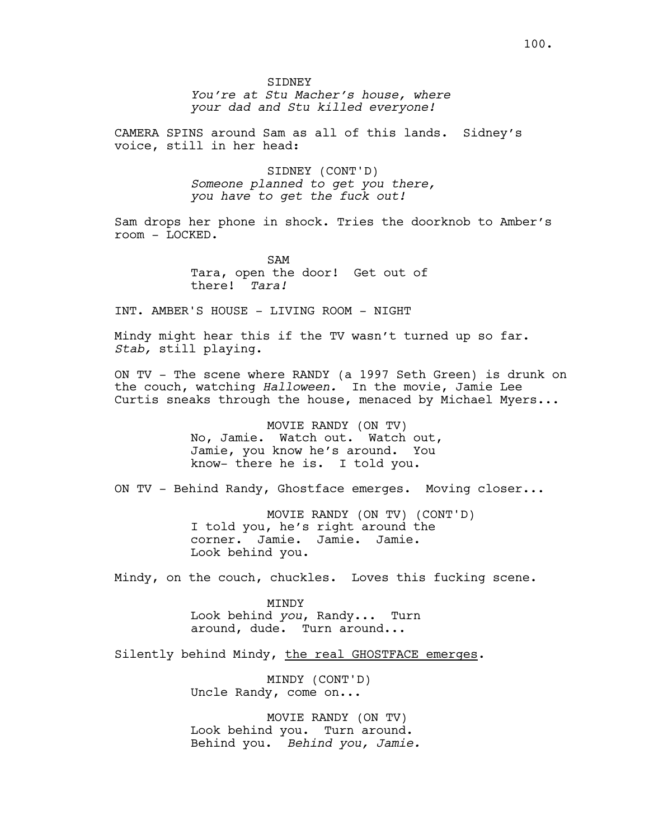*You're at Stu Macher's house, where your dad and Stu killed everyone!*

CAMERA SPINS around Sam as all of this lands. Sidney's voice, still in her head:

> SIDNEY (CONT'D) *Someone planned to get you there, you have to get the fuck out!*

Sam drops her phone in shock. Tries the doorknob to Amber's room - LOCKED.

> SAM Tara, open the door! Get out of there! *Tara!*

INT. AMBER'S HOUSE - LIVING ROOM - NIGHT

Mindy might hear this if the TV wasn't turned up so far. *Stab,* still playing.

ON TV - The scene where RANDY (a 1997 Seth Green) is drunk on the couch, watching *Halloween.* In the movie, Jamie Lee Curtis sneaks through the house, menaced by Michael Myers...

> MOVIE RANDY (ON TV) No, Jamie. Watch out. Watch out, Jamie, you know he's around. You know- there he is. I told you.

ON TV - Behind Randy, Ghostface emerges. Moving closer...

MOVIE RANDY (ON TV) (CONT'D) I told you, he's right around the corner. Jamie. Jamie. Jamie. Look behind you.

Mindy, on the couch, chuckles. Loves this fucking scene.

MINDY Look behind *you*, Randy... Turn around, dude. Turn around...

Silently behind Mindy, the real GHOSTFACE emerges.

MINDY (CONT'D) Uncle Randy, come on...

MOVIE RANDY (ON TV) Look behind you. Turn around. Behind you. *Behind you, Jamie.*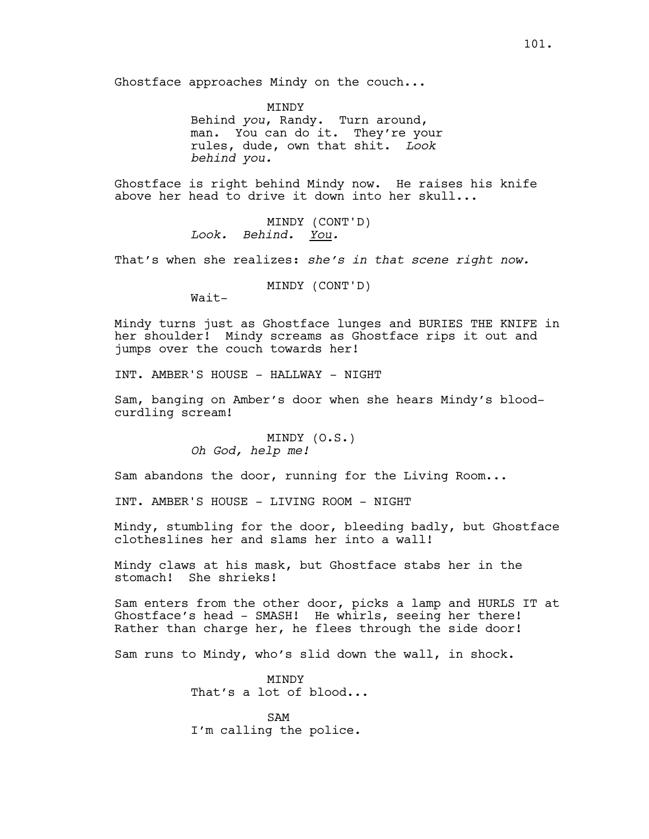MINDY Behind *you*, Randy. Turn around, man. You can do it. They're your rules, dude, own that shit. *Look behind you.*

Ghostface is right behind Mindy now. He raises his knife above her head to drive it down into her skull...

> MINDY (CONT'D) *Look. Behind. You.*

That's when she realizes: *she's in that scene right now.*

MINDY (CONT'D)

Wait-

Mindy turns just as Ghostface lunges and BURIES THE KNIFE in her shoulder! Mindy screams as Ghostface rips it out and jumps over the couch towards her!

INT. AMBER'S HOUSE - HALLWAY - NIGHT

Sam, banging on Amber's door when she hears Mindy's bloodcurdling scream!

> MINDY (O.S.) *Oh God, help me!*

Sam abandons the door, running for the Living Room...

INT. AMBER'S HOUSE - LIVING ROOM - NIGHT

Mindy, stumbling for the door, bleeding badly, but Ghostface clotheslines her and slams her into a wall!

Mindy claws at his mask, but Ghostface stabs her in the stomach! She shrieks!

Sam enters from the other door, picks a lamp and HURLS IT at Ghostface's head - SMASH! He whirls, seeing her there! Rather than charge her, he flees through the side door!

Sam runs to Mindy, who's slid down the wall, in shock.

MINDY That's a lot of blood...

SAM I'm calling the police.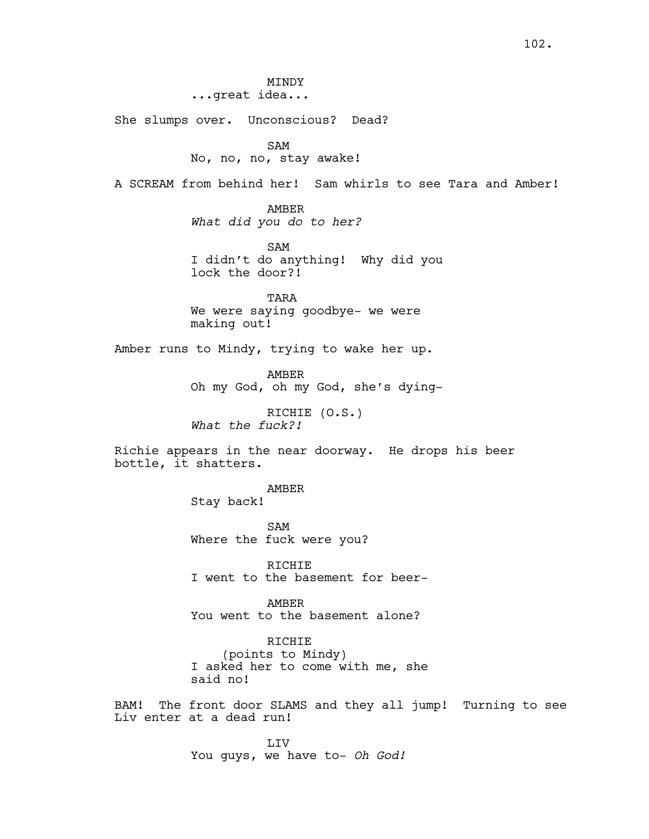MINDY

...great idea...

She slumps over. Unconscious? Dead?

SAM

No, no, no, stay awake!

A SCREAM from behind her! Sam whirls to see Tara and Amber!

AMBER *What did you do to her?*

SAM I didn't do anything! Why did you lock the door?!

TARA We were saying goodbye- we were making out!

Amber runs to Mindy, trying to wake her up.

AMBER Oh my God, oh my God, she's dying-

RICHIE (O.S.) *What the fuck?!*

Richie appears in the near doorway. He drops his beer bottle, it shatters.

> AMBER Stay back!

SAM Where the fuck were you?

RICHIE I went to the basement for beer-

AMBER You went to the basement alone?

RICHIE (points to Mindy) I asked her to come with me, she said no!

BAM! The front door SLAMS and they all jump! Turning to see Liv enter at a dead run!

> LIV You guys, we have to- *Oh God!*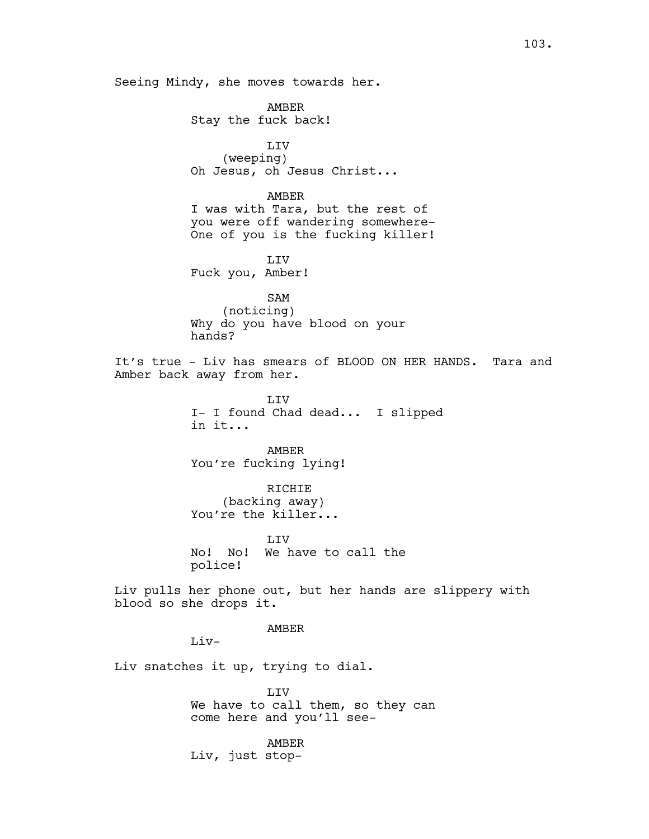Seeing Mindy, she moves towards her.

AMBER Stay the fuck back!

LIV (weeping) Oh Jesus, oh Jesus Christ...

AMBER I was with Tara, but the rest of you were off wandering somewhere-One of you is the fucking killer!

LIV Fuck you, Amber!

SAM (noticing) Why do you have blood on your hands?

It's true - Liv has smears of BLOOD ON HER HANDS. Tara and Amber back away from her.

> LIV I- I found Chad dead... I slipped in it...

AMBER You're fucking lying!

RICHIE (backing away) You're the killer...

**LIV** No! No! We have to call the police!

Liv pulls her phone out, but her hands are slippery with blood so she drops it.

AMBER

 $Li<sub>v</sub>$ 

Liv snatches it up, trying to dial.

LIV We have to call them, so they can come here and you'll see-

AMBER Liv, just stop-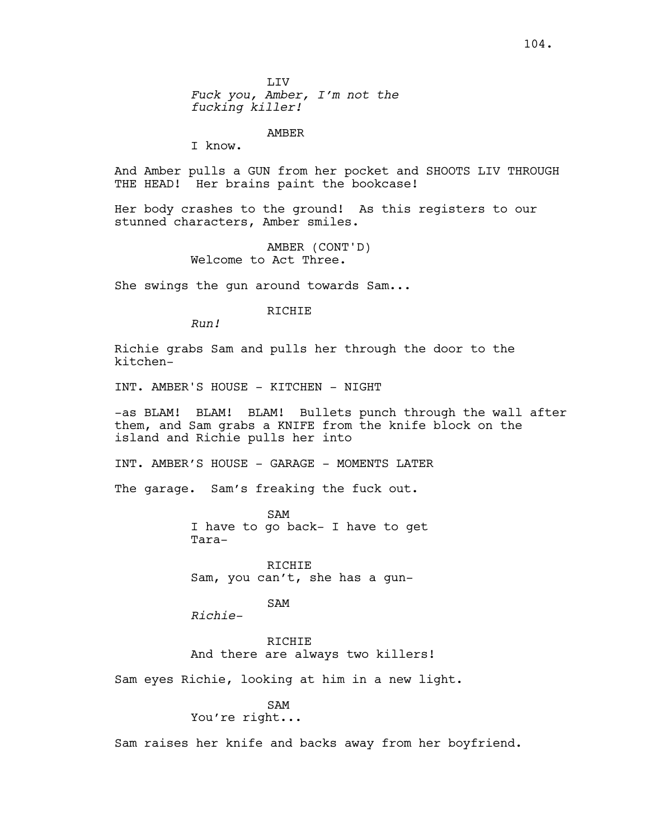LIV *Fuck you, Amber, I'm not the fucking killer!*

AMBER

I know.

And Amber pulls a GUN from her pocket and SHOOTS LIV THROUGH THE HEAD! Her brains paint the bookcase!

Her body crashes to the ground! As this registers to our stunned characters, Amber smiles.

> AMBER (CONT'D) Welcome to Act Three.

She swings the gun around towards Sam...

RICHIE

*Run!*

Richie grabs Sam and pulls her through the door to the kitchen-

INT. AMBER'S HOUSE - KITCHEN - NIGHT

-as BLAM! BLAM! BLAM! Bullets punch through the wall after them, and Sam grabs a KNIFE from the knife block on the island and Richie pulls her into

INT. AMBER'S HOUSE - GARAGE - MOMENTS LATER

The garage. Sam's freaking the fuck out.

SAM I have to go back- I have to get Tara-

RICHIE Sam, you can't, she has a gun-

SAM

*Richie-*

RICHIE And there are always two killers!

Sam eyes Richie, looking at him in a new light.

# SAM

You're right...

Sam raises her knife and backs away from her boyfriend.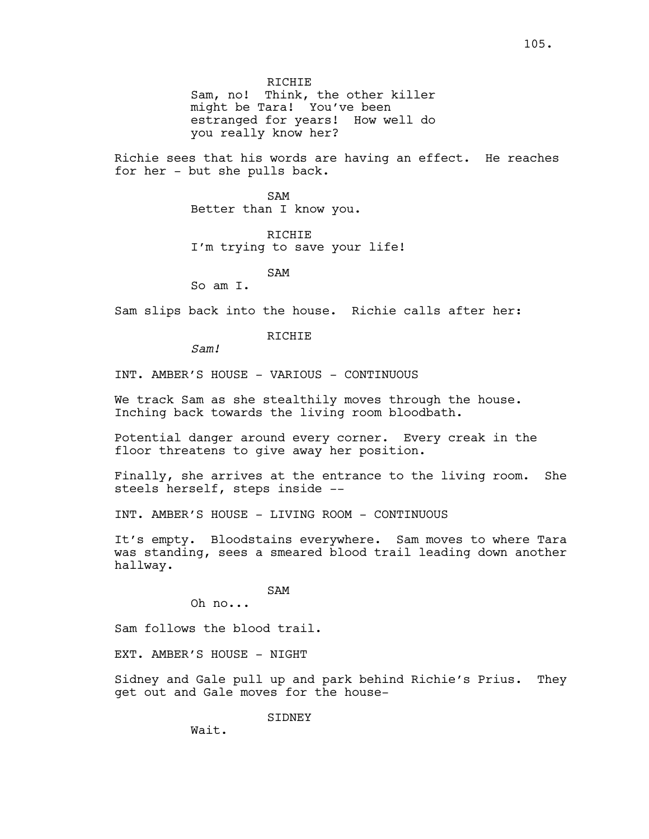RICHIE Sam, no! Think, the other killer might be Tara! You've been estranged for years! How well do you really know her?

Richie sees that his words are having an effect. He reaches for her - but she pulls back.

> SAM Better than I know you.

RICHIE I'm trying to save your life!

SAM

So am I.

Sam slips back into the house. Richie calls after her:

**RICHIE** 

*Sam!*

INT. AMBER'S HOUSE - VARIOUS - CONTINUOUS

We track Sam as she stealthily moves through the house. Inching back towards the living room bloodbath.

Potential danger around every corner. Every creak in the floor threatens to give away her position.

Finally, she arrives at the entrance to the living room. She steels herself, steps inside --

INT. AMBER'S HOUSE - LIVING ROOM - CONTINUOUS

It's empty. Bloodstains everywhere. Sam moves to where Tara was standing, sees a smeared blood trail leading down another hallway.

SAM

Oh no...

Sam follows the blood trail.

EXT. AMBER'S HOUSE - NIGHT

Sidney and Gale pull up and park behind Richie's Prius. They get out and Gale moves for the house-

SIDNEY

Wait.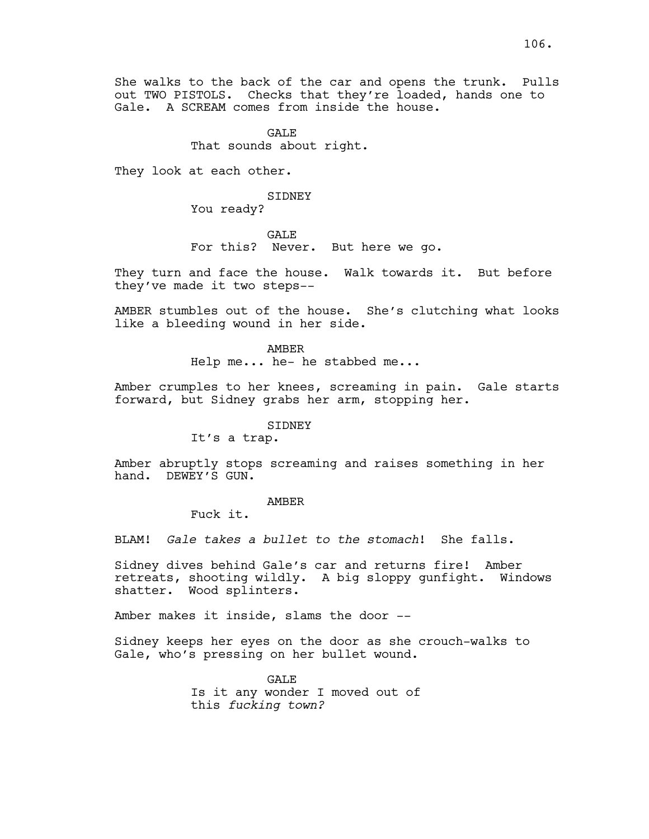# **GALE** That sounds about right.

They look at each other.

#### SIDNEY

You ready?

GALE For this? Never. But here we go.

They turn and face the house. Walk towards it. But before they've made it two steps--

AMBER stumbles out of the house. She's clutching what looks like a bleeding wound in her side.

#### AMBER

Help me... he- he stabbed me...

Amber crumples to her knees, screaming in pain. Gale starts forward, but Sidney grabs her arm, stopping her.

## SIDNEY

It's a trap.

Amber abruptly stops screaming and raises something in her hand. DEWEY'S GUN.

## AMBER

Fuck it.

BLAM! *Gale takes a bullet to the stomach*! She falls.

Sidney dives behind Gale's car and returns fire! Amber retreats, shooting wildly. A big sloppy gunfight. Windows shatter. Wood splinters.

Amber makes it inside, slams the door --

Sidney keeps her eyes on the door as she crouch-walks to Gale, who's pressing on her bullet wound.

> GALE Is it any wonder I moved out of this *fucking town?*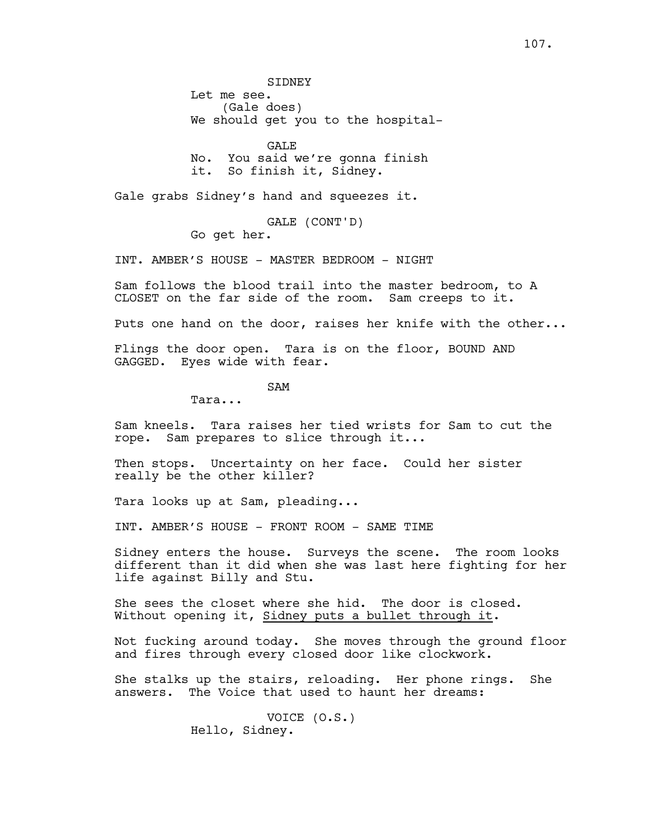**STDNEY** Let me see. (Gale does) We should get you to the hospital-

GALE No. You said we're gonna finish it. So finish it, Sidney.

Gale grabs Sidney's hand and squeezes it.

GALE (CONT'D)

Go get her.

INT. AMBER'S HOUSE - MASTER BEDROOM - NIGHT

Sam follows the blood trail into the master bedroom, to A CLOSET on the far side of the room. Sam creeps to it.

Puts one hand on the door, raises her knife with the other...

Flings the door open. Tara is on the floor, BOUND AND GAGGED. Eyes wide with fear.

SAM

Tara...

Sam kneels. Tara raises her tied wrists for Sam to cut the rope. Sam prepares to slice through it...

Then stops. Uncertainty on her face. Could her sister really be the other killer?

Tara looks up at Sam, pleading...

INT. AMBER'S HOUSE - FRONT ROOM - SAME TIME

Sidney enters the house. Surveys the scene. The room looks different than it did when she was last here fighting for her life against Billy and Stu.

She sees the closet where she hid. The door is closed. Without opening it, Sidney puts a bullet through it.

Not fucking around today. She moves through the ground floor and fires through every closed door like clockwork.

She stalks up the stairs, reloading. Her phone rings. She answers. The Voice that used to haunt her dreams:

> VOICE (O.S.) Hello, Sidney.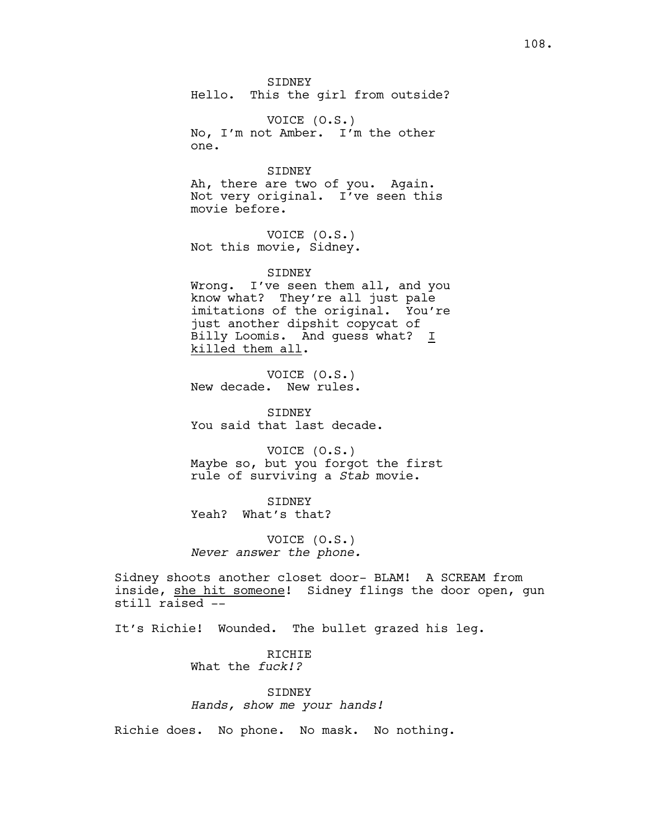SIDNEY Hello. This the girl from outside?

VOICE (O.S.) No, I'm not Amber. I'm the other one.

SIDNEY Ah, there are two of you. Again. Not very original. I've seen this movie before.

VOICE (O.S.) Not this movie, Sidney.

SIDNEY Wrong. I've seen them all, and you know what? They're all just pale imitations of the original. You're just another dipshit copycat of Billy Loomis. And guess what? I killed them all.

VOICE (O.S.) New decade. New rules.

SIDNEY You said that last decade.

VOICE (O.S.) Maybe so, but you forgot the first rule of surviving a *Stab* movie.

SIDNEY Yeah? What's that?

VOICE (O.S.) *Never answer the phone.*

Sidney shoots another closet door- BLAM! A SCREAM from inside, she hit someone! Sidney flings the door open, gun still raised --

It's Richie! Wounded. The bullet grazed his leg.

RICHIE What the *fuck!?*

SIDNEY *Hands, show me your hands!*

Richie does. No phone. No mask. No nothing.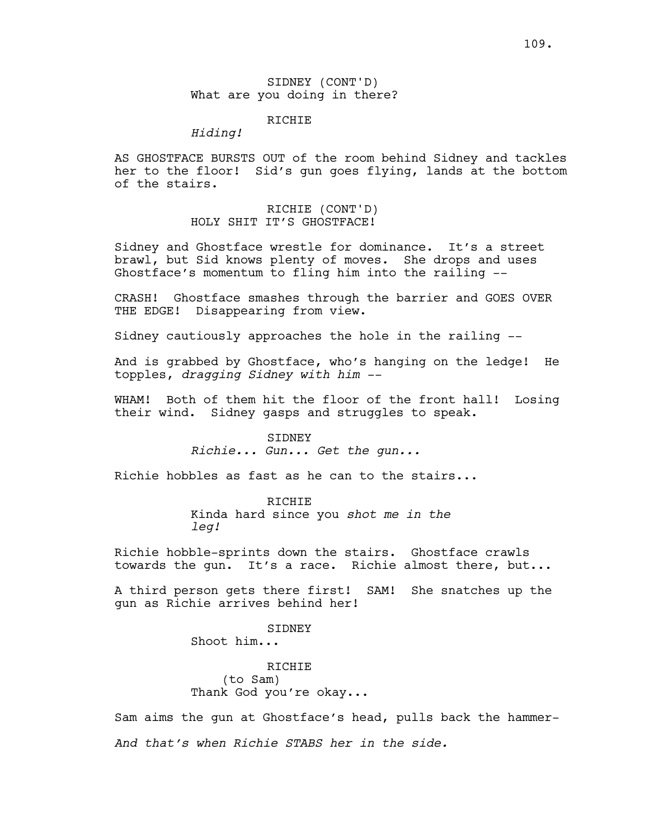SIDNEY (CONT'D) What are you doing in there?

# **RICHIE**

*Hiding!*

AS GHOSTFACE BURSTS OUT of the room behind Sidney and tackles her to the floor! Sid's gun goes flying, lands at the bottom of the stairs.

> RICHIE (CONT'D) HOLY SHIT IT'S GHOSTFACE!

Sidney and Ghostface wrestle for dominance. It's a street brawl, but Sid knows plenty of moves. She drops and uses Ghostface's momentum to fling him into the railing --

CRASH! Ghostface smashes through the barrier and GOES OVER THE EDGE! Disappearing from view.

Sidney cautiously approaches the hole in the railing --

And is grabbed by Ghostface, who's hanging on the ledge! He topples, *dragging Sidney with him --*

WHAM! Both of them hit the floor of the front hall! Losing their wind. Sidney gasps and struggles to speak.

#### SIDNEY

*Richie... Gun... Get the gun...*

Richie hobbles as fast as he can to the stairs...

RICHIE Kinda hard since you *shot me in the leg!*

Richie hobble-sprints down the stairs. Ghostface crawls towards the gun. It's a race. Richie almost there, but...

A third person gets there first! SAM! She snatches up the gun as Richie arrives behind her!

SIDNEY

Shoot him...

**RICHIE** (to Sam) Thank God you're okay...

Sam aims the gun at Ghostface's head, pulls back the hammer-*And that's when Richie STABS her in the side.*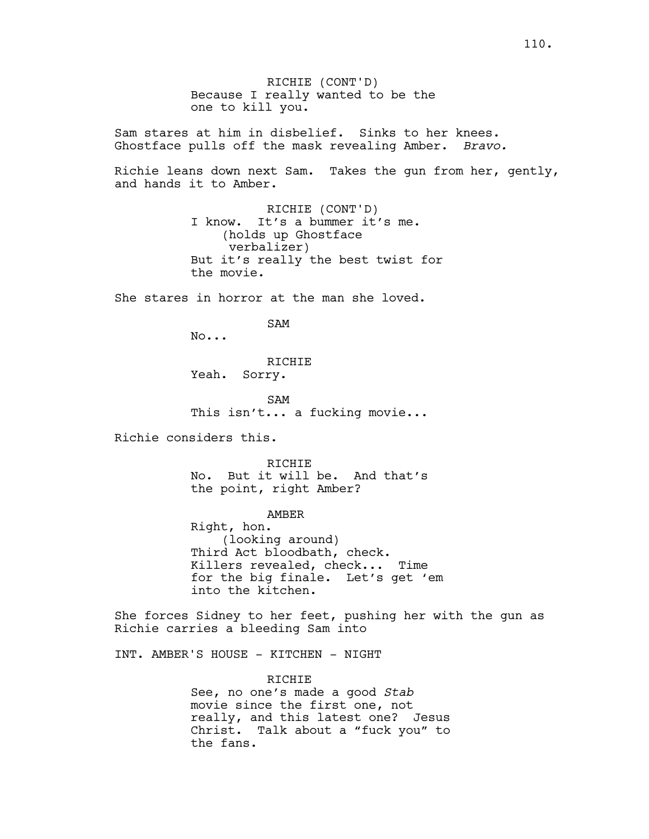RICHIE (CONT'D) Because I really wanted to be the one to kill you. Sam stares at him in disbelief. Sinks to her knees. Ghostface pulls off the mask revealing Amber. *Bravo.* Richie leans down next Sam. Takes the gun from her, gently, and hands it to Amber. RICHIE (CONT'D) I know. It's a bummer it's me. (holds up Ghostface verbalizer) But it's really the best twist for the movie. She stares in horror at the man she loved. SAM No... RICHIE Yeah. Sorry. SAM This isn't... a fucking movie... Richie considers this. **RICHIE** No. But it will be. And that's the point, right Amber? AMBER Right, hon. (looking around) Third Act bloodbath, check. Killers revealed, check... Time for the big finale. Let's get 'em into the kitchen. She forces Sidney to her feet, pushing her with the gun as Richie carries a bleeding Sam into INT. AMBER'S HOUSE - KITCHEN - NIGHT RICHIE See, no one's made a good *Stab*

movie since the first one, not really, and this latest one? Jesus Christ. Talk about a "fuck you" to the fans.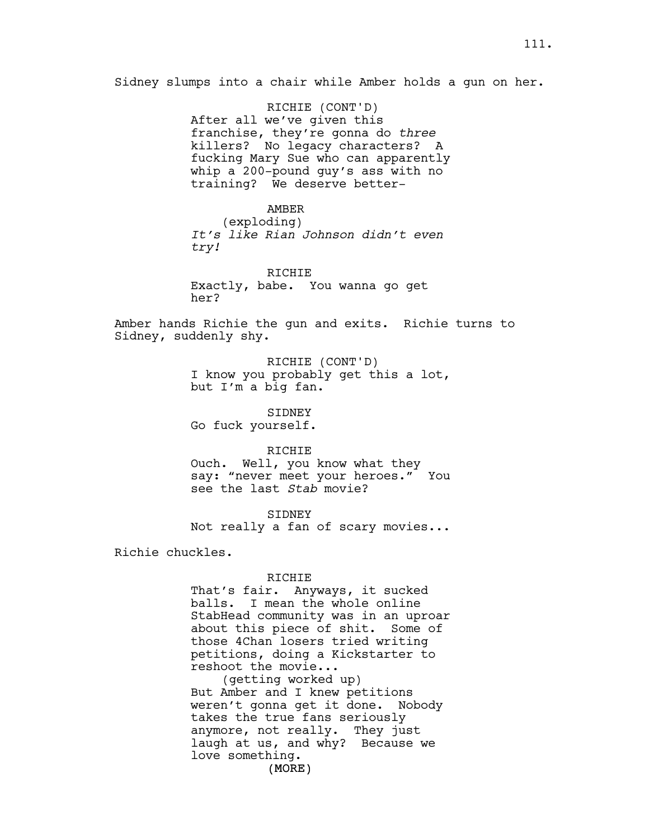Sidney slumps into a chair while Amber holds a gun on her.

RICHIE (CONT'D) After all we've given this franchise, they're gonna do *three*  killers? No legacy characters? A fucking Mary Sue who can apparently whip a 200-pound guy's ass with no training? We deserve better-

#### AMBER

(exploding) *It's like Rian Johnson didn't even try!*

RICHIE Exactly, babe. You wanna go get her?

Amber hands Richie the gun and exits. Richie turns to Sidney, suddenly shy.

> RICHIE (CONT'D) I know you probably get this a lot, but I'm a big fan.

SIDNEY Go fuck yourself.

RICHIE

Ouch. Well, you know what they say: "never meet your heroes." You see the last *Stab* movie?

SIDNEY Not really a fan of scary movies...

Richie chuckles.

#### RICHIE

That's fair. Anyways, it sucked balls. I mean the whole online StabHead community was in an uproar about this piece of shit. Some of those 4Chan losers tried writing petitions, doing a Kickstarter to reshoot the movie...

(MORE) (getting worked up) But Amber and I knew petitions weren't gonna get it done. Nobody takes the true fans seriously anymore, not really. They just laugh at us, and why? Because we love something.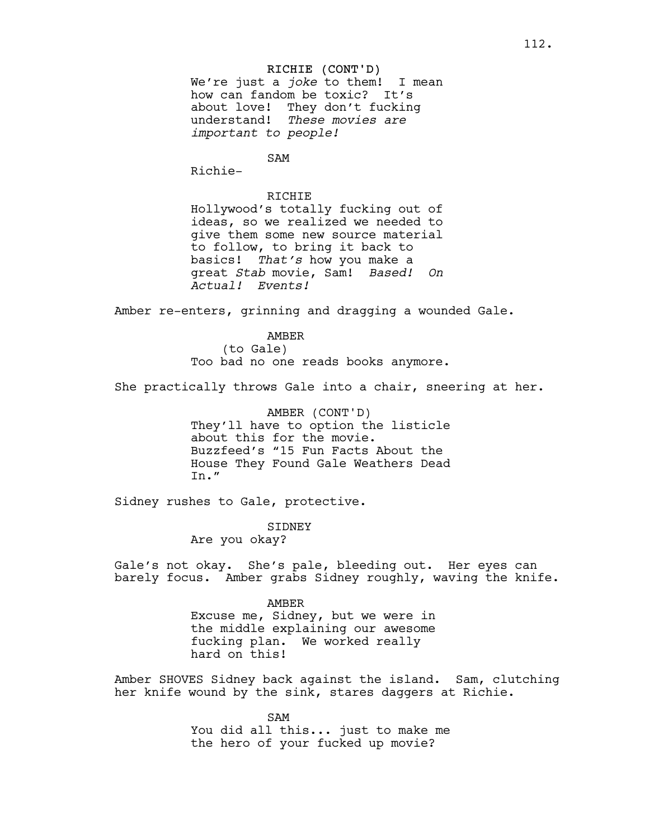### RICHIE (CONT'D)

We're just a *joke* to them! I mean how can fandom be toxic? It's about love! They don't fucking understand! *These movies are important to people!* 

SAM

Richie-

# RICHIE

Hollywood's totally fucking out of ideas, so we realized we needed to give them some new source material to follow, to bring it back to basics! *That's* how you make a great *Stab* movie, Sam! *Based! On Actual! Events!* 

Amber re-enters, grinning and dragging a wounded Gale.

# AMBER

(to Gale) Too bad no one reads books anymore.

She practically throws Gale into a chair, sneering at her.

AMBER (CONT'D) They'll have to option the listicle about this for the movie. Buzzfeed's "15 Fun Facts About the House They Found Gale Weathers Dead In."

Sidney rushes to Gale, protective.

# SIDNEY

Are you okay?

Gale's not okay. She's pale, bleeding out. Her eyes can barely focus. Amber grabs Sidney roughly, waving the knife.

### AMBER

Excuse me, Sidney, but we were in the middle explaining our awesome fucking plan. We worked really hard on this!

Amber SHOVES Sidney back against the island. Sam, clutching her knife wound by the sink, stares daggers at Richie.

> SAM You did all this... just to make me the hero of your fucked up movie?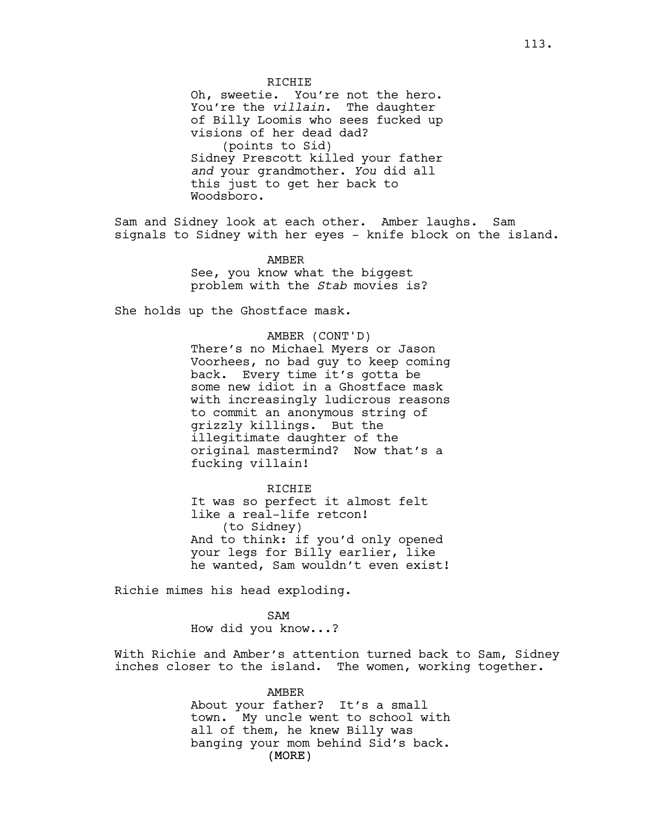RICHIE

Oh, sweetie. You're not the hero. You're the *villain.* The daughter of Billy Loomis who sees fucked up visions of her dead dad? (points to Sid) Sidney Prescott killed your father *and* your grandmother. *You* did all this just to get her back to Woodsboro.

Sam and Sidney look at each other. Amber laughs. Sam signals to Sidney with her eyes - knife block on the island.

> AMBER See, you know what the biggest problem with the *Stab* movies is?

She holds up the Ghostface mask.

AMBER (CONT'D) There's no Michael Myers or Jason Voorhees, no bad guy to keep coming back. Every time it's gotta be some new idiot in a Ghostface mask with increasingly ludicrous reasons to commit an anonymous string of grizzly killings. But the illegitimate daughter of the original mastermind? Now that's a fucking villain!

RICHIE It was so perfect it almost felt like a real-life retcon! (to Sidney) And to think: if you'd only opened your legs for Billy earlier, like he wanted, Sam wouldn't even exist!

Richie mimes his head exploding.

SAM How did you know...?

With Richie and Amber's attention turned back to Sam, Sidney inches closer to the island. The women, working together.

> (MORE) AMBER About your father? It's a small town. My uncle went to school with all of them, he knew Billy was banging your mom behind Sid's back.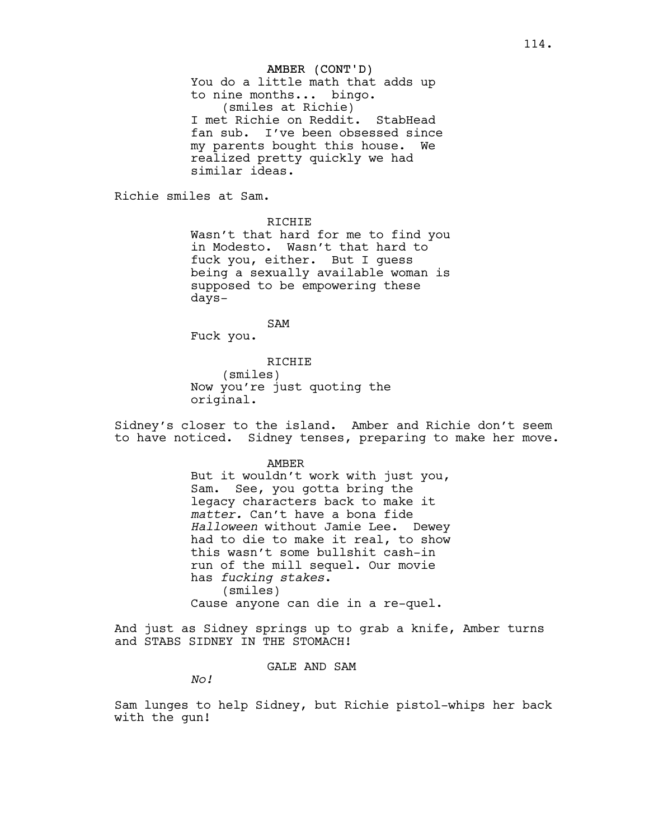### AMBER (CONT'D)

You do a little math that adds up to nine months... bingo. (smiles at Richie) I met Richie on Reddit. StabHead fan sub. I've been obsessed since my parents bought this house. We realized pretty quickly we had similar ideas.

Richie smiles at Sam.

RICHIE

Wasn't that hard for me to find you in Modesto. Wasn't that hard to fuck you, either. But I guess being a sexually available woman is supposed to be empowering these days-

SAM Fuck you.

RICHIE (smiles) Now you're just quoting the original.

Sidney's closer to the island. Amber and Richie don't seem to have noticed. Sidney tenses, preparing to make her move.

AMBER

But it wouldn't work with just you, Sam. See, you gotta bring the legacy characters back to make it *matter.* Can't have a bona fide *Halloween* without Jamie Lee. Dewey had to die to make it real, to show this wasn't some bullshit cash-in run of the mill sequel. Our movie has *fucking stakes*. (smiles) Cause anyone can die in a re-quel.

And just as Sidney springs up to grab a knife, Amber turns and STABS SIDNEY IN THE STOMACH!

GALE AND SAM

*No!*

Sam lunges to help Sidney, but Richie pistol-whips her back with the gun!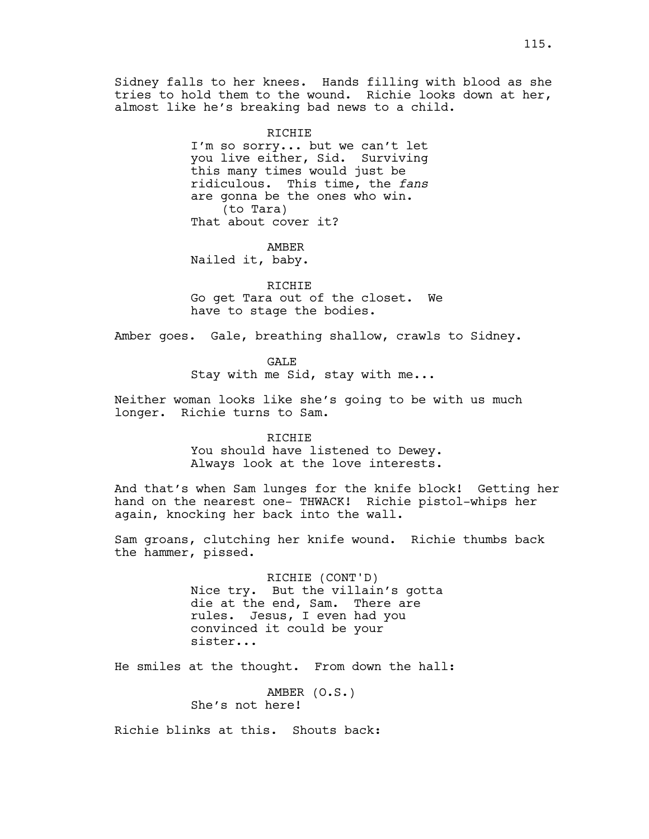Sidney falls to her knees. Hands filling with blood as she tries to hold them to the wound. Richie looks down at her, almost like he's breaking bad news to a child.

> RICHIE I'm so sorry... but we can't let you live either, Sid. Surviving this many times would just be ridiculous. This time, the *fans* are gonna be the ones who win. (to Tara) That about cover it?

AMBER Nailed it, baby.

RICHIE Go get Tara out of the closet. We have to stage the bodies.

Amber goes. Gale, breathing shallow, crawls to Sidney.

GALE

Stay with me Sid, stay with me...

Neither woman looks like she's going to be with us much longer. Richie turns to Sam.

### RICHIE

You should have listened to Dewey. Always look at the love interests.

And that's when Sam lunges for the knife block! Getting her hand on the nearest one- THWACK! Richie pistol-whips her again, knocking her back into the wall.

Sam groans, clutching her knife wound. Richie thumbs back the hammer, pissed.

> RICHIE (CONT'D) Nice try. But the villain's gotta die at the end, Sam. There are rules. Jesus, I even had you convinced it could be your sister...

He smiles at the thought. From down the hall:

AMBER (O.S.) She's not here!

Richie blinks at this. Shouts back: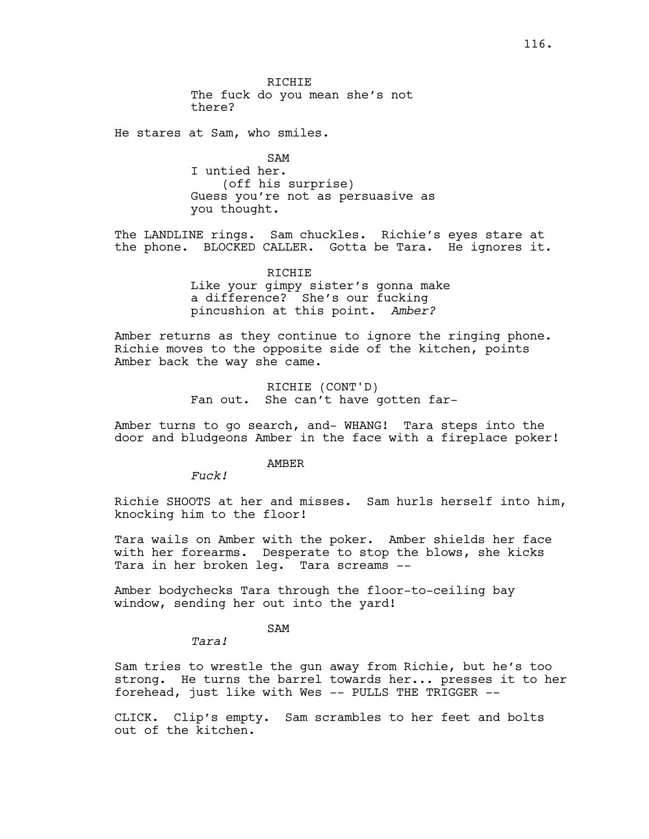RICHIE The fuck do you mean she's not there?

He stares at Sam, who smiles.

SAM I untied her. (off his surprise) Guess you're not as persuasive as you thought.

The LANDLINE rings. Sam chuckles. Richie's eyes stare at the phone. BLOCKED CALLER. Gotta be Tara. He ignores it.

> RICHIE Like your gimpy sister's gonna make a difference? She's our fucking pincushion at this point. *Amber?*

Amber returns as they continue to ignore the ringing phone. Richie moves to the opposite side of the kitchen, points Amber back the way she came.

> RICHIE (CONT'D) Fan out. She can't have gotten far-

Amber turns to go search, and- WHANG! Tara steps into the door and bludgeons Amber in the face with a fireplace poker!

AMBER

*Fuck!*

Richie SHOOTS at her and misses. Sam hurls herself into him, knocking him to the floor!

Tara wails on Amber with the poker. Amber shields her face with her forearms. Desperate to stop the blows, she kicks Tara in her broken leg. Tara screams --

Amber bodychecks Tara through the floor-to-ceiling bay window, sending her out into the yard!

SAM

*Tara!*

Sam tries to wrestle the gun away from Richie, but he's too strong. He turns the barrel towards her... presses it to her forehead, just like with Wes -- PULLS THE TRIGGER --

CLICK. Clip's empty. Sam scrambles to her feet and bolts out of the kitchen.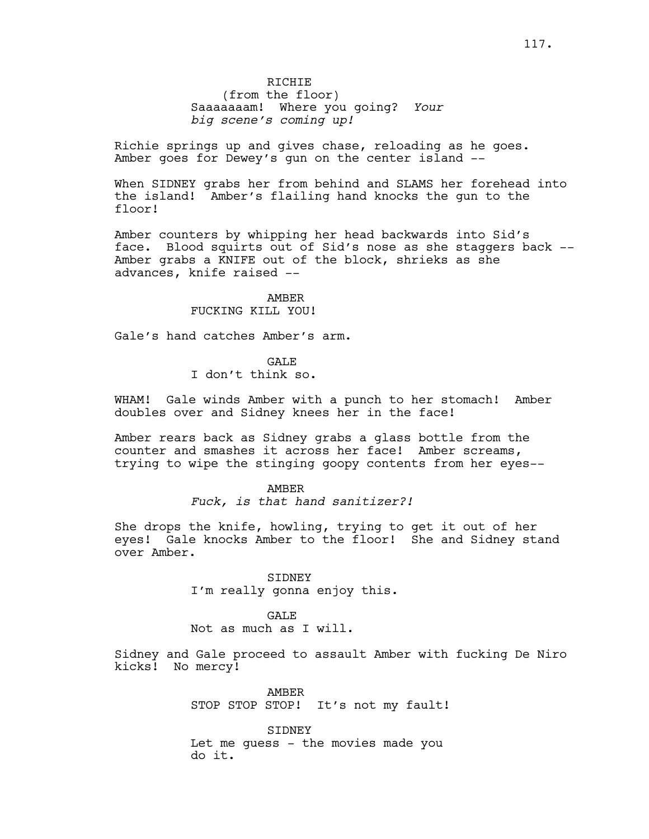Richie springs up and gives chase, reloading as he goes. Amber goes for Dewey's gun on the center island --

When SIDNEY grabs her from behind and SLAMS her forehead into the island! Amber's flailing hand knocks the gun to the floor!

Amber counters by whipping her head backwards into Sid's face. Blood squirts out of Sid's nose as she staggers back -- Amber grabs a KNIFE out of the block, shrieks as she advances, knife raised --

> AMBER FUCKING KILL YOU!

Gale's hand catches Amber's arm.

**GALE** 

I don't think so.

WHAM! Gale winds Amber with a punch to her stomach! Amber doubles over and Sidney knees her in the face!

Amber rears back as Sidney grabs a glass bottle from the counter and smashes it across her face! Amber screams, trying to wipe the stinging goopy contents from her eyes--

> AMBER *Fuck, is that hand sanitizer?!*

She drops the knife, howling, trying to get it out of her eyes! Gale knocks Amber to the floor! She and Sidney stand over Amber.

> SIDNEY I'm really gonna enjoy this.

**GALE** Not as much as I will.

Sidney and Gale proceed to assault Amber with fucking De Niro kicks! No mercy!

> AMBER STOP STOP STOP! It's not my fault!

SIDNEY Let me guess - the movies made you do it.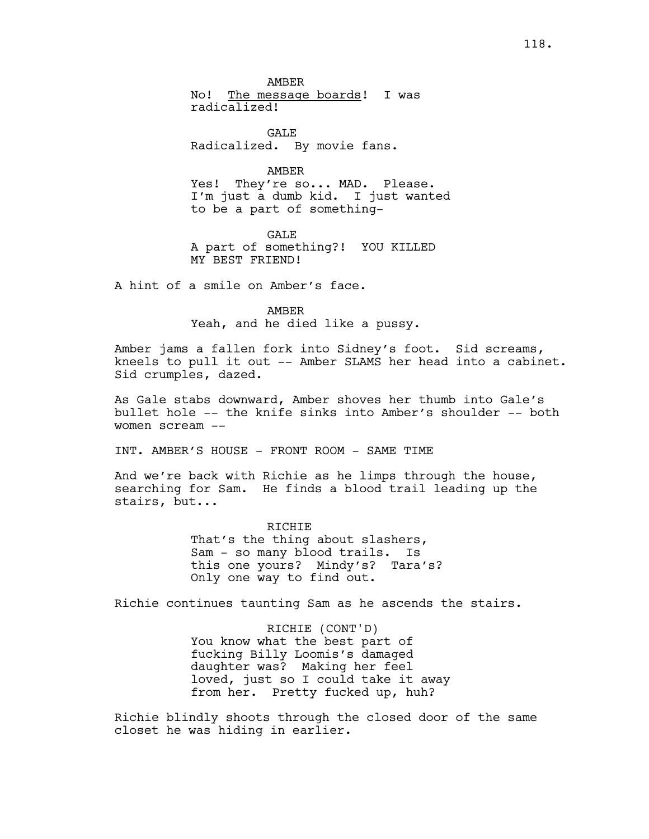AMBER No! The message boards! I was radicalized!

GALE Radicalized. By movie fans.

AMBER

Yes! They're so... MAD. Please. I'm just a dumb kid. I just wanted to be a part of something-

GALE A part of something?! YOU KILLED MY BEST FRIEND!

A hint of a smile on Amber's face.

AMBER Yeah, and he died like a pussy.

Amber jams a fallen fork into Sidney's foot. Sid screams, kneels to pull it out -- Amber SLAMS her head into a cabinet. Sid crumples, dazed.

As Gale stabs downward, Amber shoves her thumb into Gale's bullet hole -- the knife sinks into Amber's shoulder -- both women scream --

INT. AMBER'S HOUSE - FRONT ROOM - SAME TIME

And we're back with Richie as he limps through the house, searching for Sam. He finds a blood trail leading up the stairs, but...

> RICHIE That's the thing about slashers, Sam - so many blood trails. Is this one yours? Mindy's? Tara's? Only one way to find out.

Richie continues taunting Sam as he ascends the stairs.

RICHIE (CONT'D) You know what the best part of fucking Billy Loomis's damaged daughter was? Making her feel loved, just so I could take it away from her. Pretty fucked up, huh?

Richie blindly shoots through the closed door of the same closet he was hiding in earlier.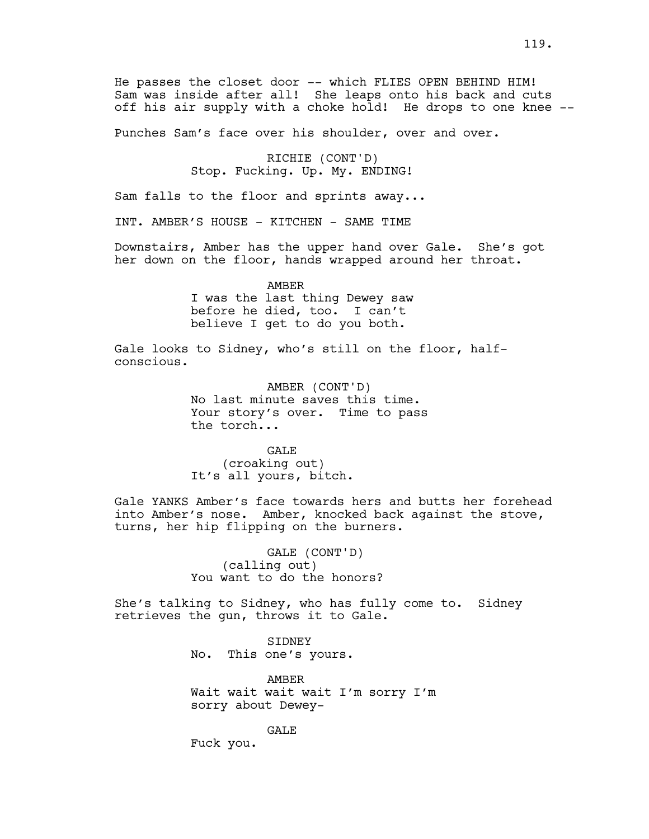He passes the closet door -- which FLIES OPEN BEHIND HIM! Sam was inside after all! She leaps onto his back and cuts off his air supply with a choke hold! He drops to one knee --

Punches Sam's face over his shoulder, over and over.

RICHIE (CONT'D) Stop. Fucking. Up. My. ENDING!

Sam falls to the floor and sprints away...

INT. AMBER'S HOUSE - KITCHEN - SAME TIME

Downstairs, Amber has the upper hand over Gale. She's got her down on the floor, hands wrapped around her throat.

> AMBER I was the last thing Dewey saw before he died, too. I can't believe I get to do you both.

Gale looks to Sidney, who's still on the floor, halfconscious.

> AMBER (CONT'D) No last minute saves this time. Your story's over. Time to pass the torch...

GALE (croaking out) It's all yours, bitch.

Gale YANKS Amber's face towards hers and butts her forehead into Amber's nose. Amber, knocked back against the stove, turns, her hip flipping on the burners.

> GALE (CONT'D) (calling out) You want to do the honors?

She's talking to Sidney, who has fully come to. Sidney retrieves the gun, throws it to Gale.

> SIDNEY No. This one's yours.

AMBER Wait wait wait wait I'm sorry I'm sorry about Dewey-

**GALE** 

Fuck you.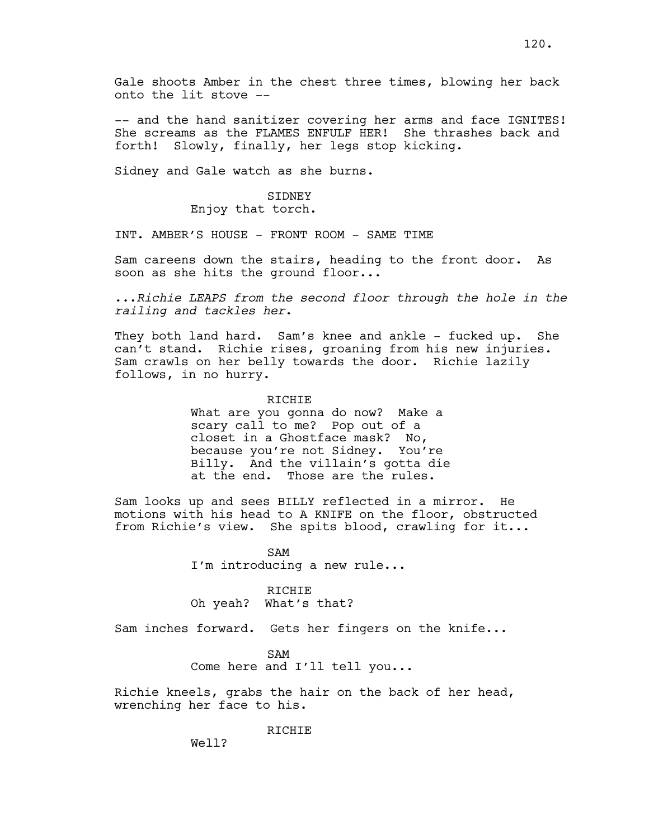Gale shoots Amber in the chest three times, blowing her back onto the lit stove --

-- and the hand sanitizer covering her arms and face IGNITES! She screams as the FLAMES ENFULF HER! She thrashes back and forth! Slowly, finally, her legs stop kicking.

Sidney and Gale watch as she burns.

### SIDNEY Enjoy that torch.

INT. AMBER'S HOUSE - FRONT ROOM - SAME TIME

Sam careens down the stairs, heading to the front door. As soon as she hits the ground floor...

...*Richie LEAPS from the second floor through the hole in the railing and tackles her*.

They both land hard. Sam's knee and ankle - fucked up. She can't stand. Richie rises, groaning from his new injuries. Sam crawls on her belly towards the door. Richie lazily follows, in no hurry.

### RICHIE

What are you gonna do now? Make a scary call to me? Pop out of a closet in a Ghostface mask? No, because you're not Sidney. You're Billy. And the villain's gotta die at the end. Those are the rules.

Sam looks up and sees BILLY reflected in a mirror. He motions with his head to A KNIFE on the floor, obstructed from Richie's view. She spits blood, crawling for it...

> SAM I'm introducing a new rule...

#### RICHIE

Oh yeah? What's that?

Sam inches forward. Gets her fingers on the knife...

### SAM

Come here and I'll tell you...

Richie kneels, grabs the hair on the back of her head, wrenching her face to his.

#### RICHIE

Well?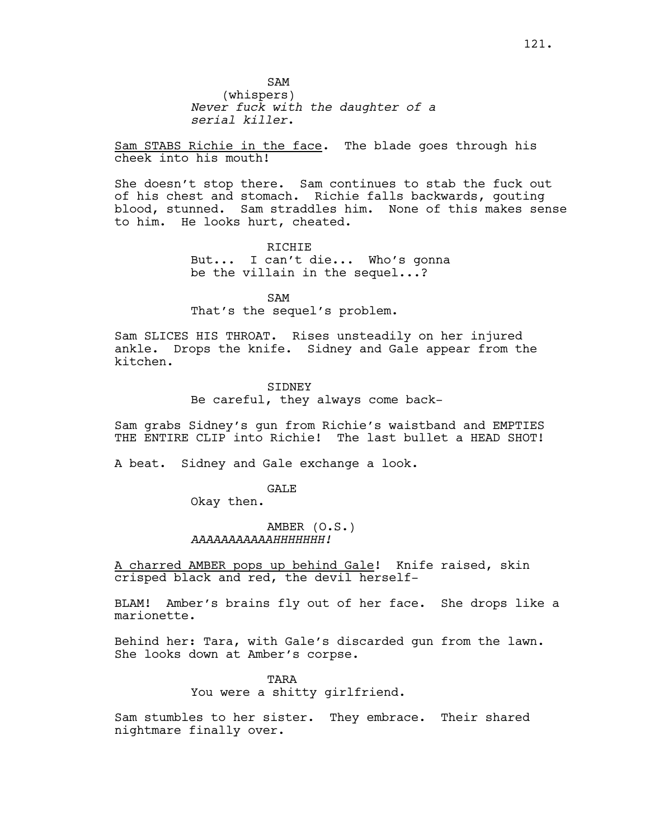Sam STABS Richie in the face. The blade goes through his cheek into his mouth!

She doesn't stop there. Sam continues to stab the fuck out of his chest and stomach. Richie falls backwards, gouting blood, stunned. Sam straddles him. None of this makes sense to him. He looks hurt, cheated.

> RICHIE But... I can't die... Who's gonna be the villain in the sequel...?

SAM That's the sequel's problem.

Sam SLICES HIS THROAT. Rises unsteadily on her injured ankle. Drops the knife. Sidney and Gale appear from the kitchen.

> **STDNEY** Be careful, they always come back-

Sam grabs Sidney's gun from Richie's waistband and EMPTIES THE ENTIRE CLIP into Richie! The last bullet a HEAD SHOT!

A beat. Sidney and Gale exchange a look.

GALE

Okay then.

# AMBER (O.S.) *AAAAAAAAAAAHHHHHHH!*

A charred AMBER pops up behind Gale! Knife raised, skin crisped black and red, the devil herself-

BLAM! Amber's brains fly out of her face. She drops like a marionette.

Behind her: Tara, with Gale's discarded gun from the lawn. She looks down at Amber's corpse.

> TARA You were a shitty girlfriend.

Sam stumbles to her sister. They embrace. Their shared nightmare finally over.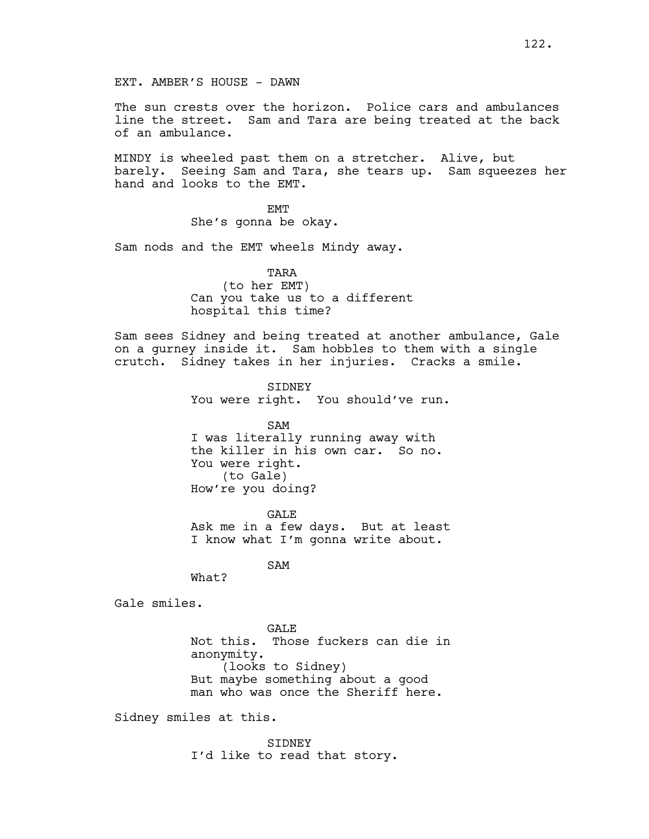The sun crests over the horizon. Police cars and ambulances line the street. Sam and Tara are being treated at the back of an ambulance.

MINDY is wheeled past them on a stretcher. Alive, but barely. Seeing Sam and Tara, she tears up. Sam squeezes her hand and looks to the EMT.

> **EMT** She's gonna be okay.

Sam nods and the EMT wheels Mindy away.

TARA (to her EMT) Can you take us to a different hospital this time?

Sam sees Sidney and being treated at another ambulance, Gale on a gurney inside it. Sam hobbles to them with a single crutch. Sidney takes in her injuries. Cracks a smile.

> SIDNEY You were right. You should've run.

SAM I was literally running away with the killer in his own car. So no. You were right. (to Gale) How're you doing?

GALE Ask me in a few days. But at least I know what I'm gonna write about.

SAM

What?

Gale smiles.

GALE Not this. Those fuckers can die in anonymity. (looks to Sidney) But maybe something about a good man who was once the Sheriff here.

Sidney smiles at this.

SIDNEY I'd like to read that story.